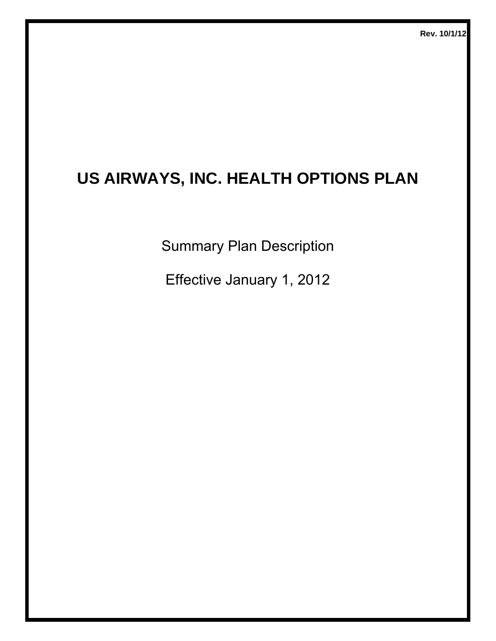# **US AIRWAYS, INC. HEALTH OPTIONS PLAN**

Summary Plan Description

Effective January 1, 2012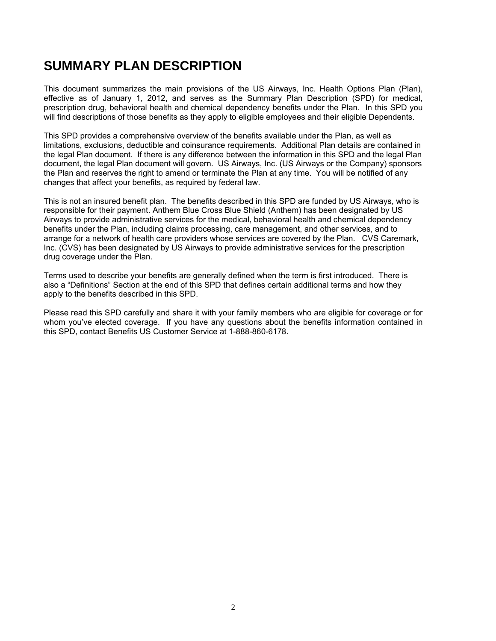### **SUMMARY PLAN DESCRIPTION**

This document summarizes the main provisions of the US Airways, Inc. Health Options Plan (Plan), effective as of January 1, 2012, and serves as the Summary Plan Description (SPD) for medical, prescription drug, behavioral health and chemical dependency benefits under the Plan. In this SPD you will find descriptions of those benefits as they apply to eligible employees and their eligible Dependents.

This SPD provides a comprehensive overview of the benefits available under the Plan, as well as limitations, exclusions, deductible and coinsurance requirements. Additional Plan details are contained in the legal Plan document. If there is any difference between the information in this SPD and the legal Plan document, the legal Plan document will govern. US Airways, Inc. (US Airways or the Company) sponsors the Plan and reserves the right to amend or terminate the Plan at any time. You will be notified of any changes that affect your benefits, as required by federal law.

This is not an insured benefit plan. The benefits described in this SPD are funded by US Airways, who is responsible for their payment. Anthem Blue Cross Blue Shield (Anthem) has been designated by US Airways to provide administrative services for the medical, behavioral health and chemical dependency benefits under the Plan, including claims processing, care management, and other services, and to arrange for a network of health care providers whose services are covered by the Plan. CVS Caremark, Inc. (CVS) has been designated by US Airways to provide administrative services for the prescription drug coverage under the Plan.

Terms used to describe your benefits are generally defined when the term is first introduced. There is also a "Definitions" Section at the end of this SPD that defines certain additional terms and how they apply to the benefits described in this SPD.

Please read this SPD carefully and share it with your family members who are eligible for coverage or for whom you've elected coverage. If you have any questions about the benefits information contained in this SPD, contact Benefits US Customer Service at 1-888-860-6178.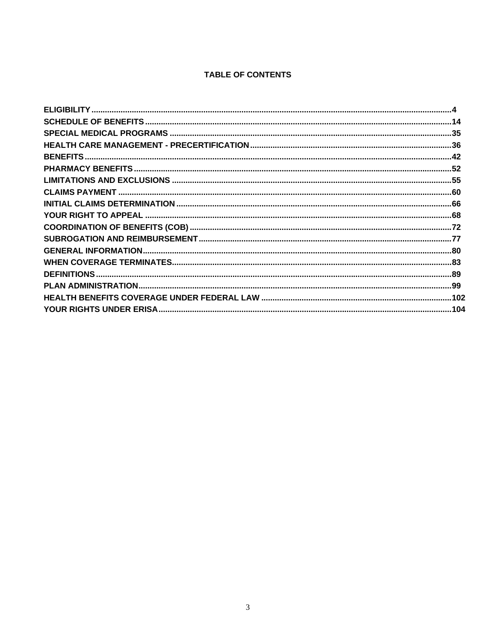#### **TABLE OF CONTENTS**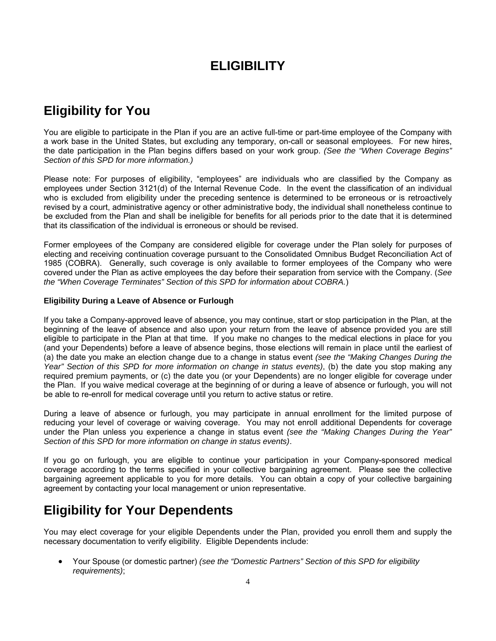### **ELIGIBILITY**

# **Eligibility for You**

You are eligible to participate in the Plan if you are an active full-time or part-time employee of the Company with a work base in the United States, but excluding any temporary, on-call or seasonal employees. For new hires, the date participation in the Plan begins differs based on your work group. *(See the "When Coverage Begins" Section of this SPD for more information.)* 

Please note: For purposes of eligibility, "employees" are individuals who are classified by the Company as employees under Section 3121(d) of the Internal Revenue Code. In the event the classification of an individual who is excluded from eligibility under the preceding sentence is determined to be erroneous or is retroactively revised by a court, administrative agency or other administrative body, the individual shall nonetheless continue to be excluded from the Plan and shall be ineligible for benefits for all periods prior to the date that it is determined that its classification of the individual is erroneous or should be revised.

Former employees of the Company are considered eligible for coverage under the Plan solely for purposes of electing and receiving continuation coverage pursuant to the Consolidated Omnibus Budget Reconciliation Act of 1985 (COBRA). Generally, such coverage is only available to former employees of the Company who were covered under the Plan as active employees the day before their separation from service with the Company. (*See the "When Coverage Terminates" Section of this SPD for information about COBRA.*)

#### **Eligibility During a Leave of Absence or Furlough**

If you take a Company-approved leave of absence, you may continue, start or stop participation in the Plan, at the beginning of the leave of absence and also upon your return from the leave of absence provided you are still eligible to participate in the Plan at that time. If you make no changes to the medical elections in place for you (and your Dependents) before a leave of absence begins, those elections will remain in place until the earliest of (a) the date you make an election change due to a change in status event *(see the "Making Changes During the Year" Section of this SPD for more information on change in status events)*, (b) the date you stop making any required premium payments, or (c) the date you (or your Dependents) are no longer eligible for coverage under the Plan. If you waive medical coverage at the beginning of or during a leave of absence or furlough, you will not be able to re-enroll for medical coverage until you return to active status or retire.

During a leave of absence or furlough, you may participate in annual enrollment for the limited purpose of reducing your level of coverage or waiving coverage. You may not enroll additional Dependents for coverage under the Plan unless you experience a change in status event *(see the "Making Changes During the Year" Section of this SPD for more information on change in status events)*.

If you go on furlough, you are eligible to continue your participation in your Company-sponsored medical coverage according to the terms specified in your collective bargaining agreement. Please see the collective bargaining agreement applicable to you for more details. You can obtain a copy of your collective bargaining agreement by contacting your local management or union representative.

### **Eligibility for Your Dependents**

You may elect coverage for your eligible Dependents under the Plan, provided you enroll them and supply the necessary documentation to verify eligibility. Eligible Dependents include:

 Your Spouse (or domestic partner) *(see the "Domestic Partners" Section of this SPD for eligibility requirements)*;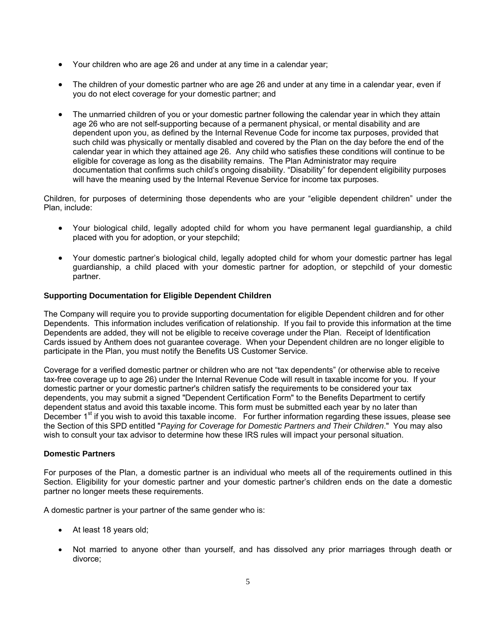- Your children who are age 26 and under at any time in a calendar year;
- The children of your domestic partner who are age 26 and under at any time in a calendar year, even if you do not elect coverage for your domestic partner; and
- The unmarried children of you or your domestic partner following the calendar year in which they attain age 26 who are not self-supporting because of a permanent physical, or mental disability and are dependent upon you, as defined by the Internal Revenue Code for income tax purposes, provided that such child was physically or mentally disabled and covered by the Plan on the day before the end of the calendar year in which they attained age 26. Any child who satisfies these conditions will continue to be eligible for coverage as long as the disability remains. The Plan Administrator may require documentation that confirms such child's ongoing disability. "Disability" for dependent eligibility purposes will have the meaning used by the Internal Revenue Service for income tax purposes.

Children, for purposes of determining those dependents who are your "eligible dependent children" under the Plan, include:

- Your biological child, legally adopted child for whom you have permanent legal guardianship, a child placed with you for adoption, or your stepchild;
- Your domestic partner's biological child, legally adopted child for whom your domestic partner has legal guardianship, a child placed with your domestic partner for adoption, or stepchild of your domestic partner.

#### **Supporting Documentation for Eligible Dependent Children**

The Company will require you to provide supporting documentation for eligible Dependent children and for other Dependents. This information includes verification of relationship. If you fail to provide this information at the time Dependents are added, they will not be eligible to receive coverage under the Plan. Receipt of Identification Cards issued by Anthem does not guarantee coverage. When your Dependent children are no longer eligible to participate in the Plan, you must notify the Benefits US Customer Service.

Coverage for a verified domestic partner or children who are not "tax dependents" (or otherwise able to receive tax-free coverage up to age 26) under the Internal Revenue Code will result in taxable income for you. If your domestic partner or your domestic partner's children satisfy the requirements to be considered your tax dependents, you may submit a signed "Dependent Certification Form" to the Benefits Department to certify dependent status and avoid this taxable income. This form must be submitted each year by no later than December 1<sup>st</sup> if you wish to avoid this taxable income. For further information regarding these issues, please see the Section of this SPD entitled "*Paying for Coverage for Domestic Partners and Their Children*." You may also wish to consult your tax advisor to determine how these IRS rules will impact your personal situation.

#### **Domestic Partners**

For purposes of the Plan, a domestic partner is an individual who meets all of the requirements outlined in this Section. Eligibility for your domestic partner and your domestic partner's children ends on the date a domestic partner no longer meets these requirements.

A domestic partner is your partner of the same gender who is:

- At least 18 years old;
- Not married to anyone other than yourself, and has dissolved any prior marriages through death or divorce;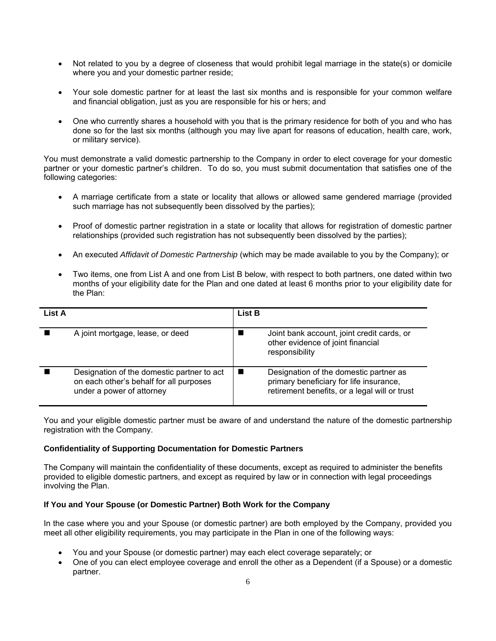- Not related to you by a degree of closeness that would prohibit legal marriage in the state(s) or domicile where you and your domestic partner reside;
- Your sole domestic partner for at least the last six months and is responsible for your common welfare and financial obligation, just as you are responsible for his or hers; and
- One who currently shares a household with you that is the primary residence for both of you and who has done so for the last six months (although you may live apart for reasons of education, health care, work, or military service).

You must demonstrate a valid domestic partnership to the Company in order to elect coverage for your domestic partner or your domestic partner's children. To do so, you must submit documentation that satisfies one of the following categories:

- A marriage certificate from a state or locality that allows or allowed same gendered marriage (provided such marriage has not subsequently been dissolved by the parties);
- Proof of domestic partner registration in a state or locality that allows for registration of domestic partner relationships (provided such registration has not subsequently been dissolved by the parties);
- An executed *Affidavit of Domestic Partnership* (which may be made available to you by the Company); or
- Two items, one from List A and one from List B below, with respect to both partners, one dated within two months of your eligibility date for the Plan and one dated at least 6 months prior to your eligibility date for the Plan:

| List A |                                                                                                                    | <b>List B</b> |                                                                                                                                    |
|--------|--------------------------------------------------------------------------------------------------------------------|---------------|------------------------------------------------------------------------------------------------------------------------------------|
|        | A joint mortgage, lease, or deed                                                                                   |               | Joint bank account, joint credit cards, or<br>other evidence of joint financial<br>responsibility                                  |
|        | Designation of the domestic partner to act<br>on each other's behalf for all purposes<br>under a power of attorney |               | Designation of the domestic partner as<br>primary beneficiary for life insurance,<br>retirement benefits, or a legal will or trust |

You and your eligible domestic partner must be aware of and understand the nature of the domestic partnership registration with the Company.

#### **Confidentiality of Supporting Documentation for Domestic Partners**

The Company will maintain the confidentiality of these documents, except as required to administer the benefits provided to eligible domestic partners, and except as required by law or in connection with legal proceedings involving the Plan.

#### **If You and Your Spouse (or Domestic Partner) Both Work for the Company**

In the case where you and your Spouse (or domestic partner) are both employed by the Company, provided you meet all other eligibility requirements, you may participate in the Plan in one of the following ways:

- You and your Spouse (or domestic partner) may each elect coverage separately; or
- One of you can elect employee coverage and enroll the other as a Dependent (if a Spouse) or a domestic partner.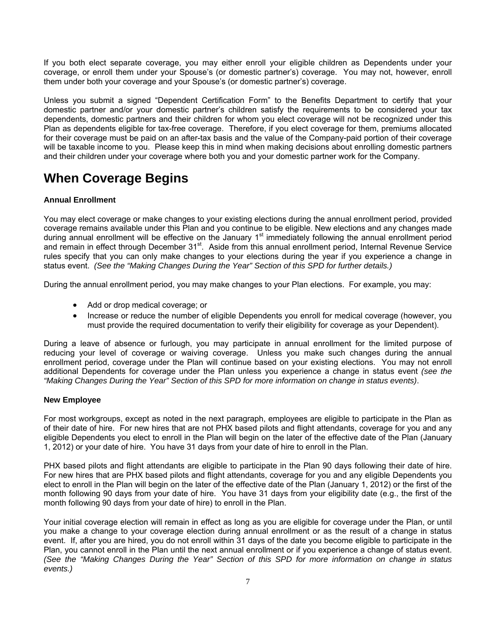If you both elect separate coverage, you may either enroll your eligible children as Dependents under your coverage, or enroll them under your Spouse's (or domestic partner's) coverage. You may not, however, enroll them under both your coverage and your Spouse's (or domestic partner's) coverage.

Unless you submit a signed "Dependent Certification Form" to the Benefits Department to certify that your domestic partner and/or your domestic partner's children satisfy the requirements to be considered your tax dependents, domestic partners and their children for whom you elect coverage will not be recognized under this Plan as dependents eligible for tax-free coverage. Therefore, if you elect coverage for them, premiums allocated for their coverage must be paid on an after-tax basis and the value of the Company-paid portion of their coverage will be taxable income to you. Please keep this in mind when making decisions about enrolling domestic partners and their children under your coverage where both you and your domestic partner work for the Company.

### **When Coverage Begins**

#### **Annual Enrollment**

You may elect coverage or make changes to your existing elections during the annual enrollment period, provided coverage remains available under this Plan and you continue to be eligible. New elections and any changes made during annual enrollment will be effective on the January  $1<sup>st</sup>$  immediately following the annual enrollment period and remain in effect through December 31<sup>st</sup>. Aside from this annual enrollment period, Internal Revenue Service rules specify that you can only make changes to your elections during the year if you experience a change in status event. *(See the "Making Changes During the Year" Section of this SPD for further details.)*

During the annual enrollment period, you may make changes to your Plan elections. For example, you may:

- Add or drop medical coverage; or
- Increase or reduce the number of eligible Dependents you enroll for medical coverage (however, you must provide the required documentation to verify their eligibility for coverage as your Dependent).

During a leave of absence or furlough, you may participate in annual enrollment for the limited purpose of reducing your level of coverage or waiving coverage. Unless you make such changes during the annual enrollment period, coverage under the Plan will continue based on your existing elections. You may not enroll additional Dependents for coverage under the Plan unless you experience a change in status event *(see the "Making Changes During the Year" Section of this SPD for more information on change in status events)*.

#### **New Employee**

For most workgroups, except as noted in the next paragraph, employees are eligible to participate in the Plan as of their date of hire. For new hires that are not PHX based pilots and flight attendants, coverage for you and any eligible Dependents you elect to enroll in the Plan will begin on the later of the effective date of the Plan (January 1, 2012) or your date of hire. You have 31 days from your date of hire to enroll in the Plan.

PHX based pilots and flight attendants are eligible to participate in the Plan 90 days following their date of hire. For new hires that are PHX based pilots and flight attendants, coverage for you and any eligible Dependents you elect to enroll in the Plan will begin on the later of the effective date of the Plan (January 1, 2012) or the first of the month following 90 days from your date of hire. You have 31 days from your eligibility date (e.g., the first of the month following 90 days from your date of hire) to enroll in the Plan.

Your initial coverage election will remain in effect as long as you are eligible for coverage under the Plan, or until you make a change to your coverage election during annual enrollment or as the result of a change in status event. If, after you are hired, you do not enroll within 31 days of the date you become eligible to participate in the Plan, you cannot enroll in the Plan until the next annual enrollment or if you experience a change of status event. *(See the "Making Changes During the Year" Section of this SPD for more information on change in status events.)*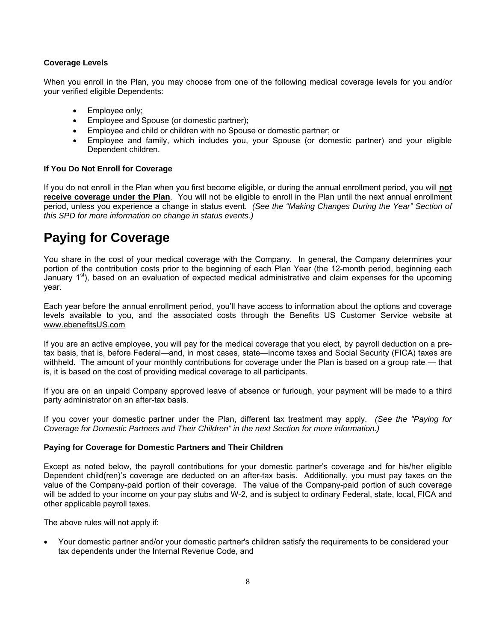#### **Coverage Levels**

When you enroll in the Plan, you may choose from one of the following medical coverage levels for you and/or your verified eligible Dependents:

- Employee only;
- **Employee and Spouse (or domestic partner);**
- Employee and child or children with no Spouse or domestic partner; or
- Employee and family, which includes you, your Spouse (or domestic partner) and your eligible Dependent children.

#### **If You Do Not Enroll for Coverage**

If you do not enroll in the Plan when you first become eligible, or during the annual enrollment period, you will **not receive coverage under the Plan**. You will not be eligible to enroll in the Plan until the next annual enrollment period, unless you experience a change in status event. *(See the "Making Changes During the Year" Section of this SPD for more information on change in status events.)*

# **Paying for Coverage**

You share in the cost of your medical coverage with the Company. In general, the Company determines your portion of the contribution costs prior to the beginning of each Plan Year (the 12-month period, beginning each January  $1<sup>st</sup>$ ), based on an evaluation of expected medical administrative and claim expenses for the upcoming year.

Each year before the annual enrollment period, you'll have access to information about the options and coverage levels available to you, and the associated costs through the Benefits US Customer Service website at www.ebenefitsUS.com

If you are an active employee, you will pay for the medical coverage that you elect, by payroll deduction on a pretax basis, that is, before Federal—and, in most cases, state—income taxes and Social Security (FICA) taxes are withheld. The amount of your monthly contributions for coverage under the Plan is based on a group rate — that is, it is based on the cost of providing medical coverage to all participants.

If you are on an unpaid Company approved leave of absence or furlough, your payment will be made to a third party administrator on an after-tax basis.

If you cover your domestic partner under the Plan, different tax treatment may apply. *(See the "Paying for Coverage for Domestic Partners and Their Children" in the next Section for more information.)*

#### **Paying for Coverage for Domestic Partners and Their Children**

Except as noted below, the payroll contributions for your domestic partner's coverage and for his/her eligible Dependent child(ren)'s coverage are deducted on an after-tax basis. Additionally, you must pay taxes on the value of the Company-paid portion of their coverage. The value of the Company-paid portion of such coverage will be added to your income on your pay stubs and W-2, and is subject to ordinary Federal, state, local, FICA and other applicable payroll taxes.

The above rules will not apply if:

 Your domestic partner and/or your domestic partner's children satisfy the requirements to be considered your tax dependents under the Internal Revenue Code, and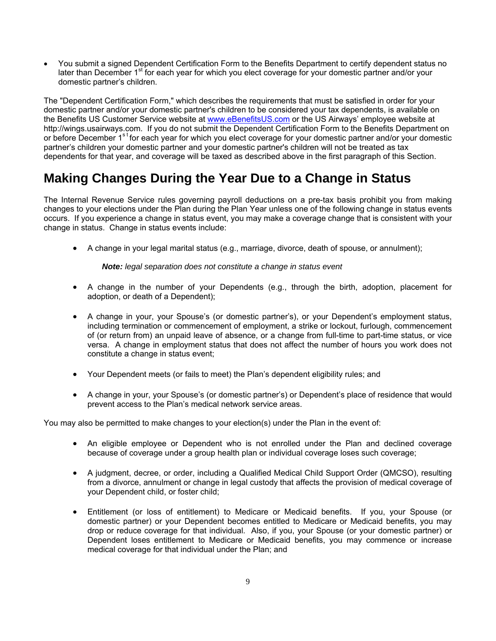You submit a signed Dependent Certification Form to the Benefits Department to certify dependent status no later than December 1<sup>st</sup> for each year for which you elect coverage for your domestic partner and/or your domestic partner's children.

The "Dependent Certification Form," which describes the requirements that must be satisfied in order for your domestic partner and/or your domestic partner's children to be considered your tax dependents, is available on the Benefits US Customer Service website at www.eBenefitsUS.com or the US Airways' employee website at http://wings.usairways.com. If you do not submit the Dependent Certification Form to the Benefits Department on or before December 1<sup>st</sup> for each year for which you elect coverage for your domestic partner and/or your domestic partner's children your domestic partner and your domestic partner's children will not be treated as tax dependents for that year, and coverage will be taxed as described above in the first paragraph of this Section.

### **Making Changes During the Year Due to a Change in Status**

The Internal Revenue Service rules governing payroll deductions on a pre-tax basis prohibit you from making changes to your elections under the Plan during the Plan Year unless one of the following change in status events occurs. If you experience a change in status event, you may make a coverage change that is consistent with your change in status. Change in status events include:

A change in your legal marital status (e.g., marriage, divorce, death of spouse, or annulment);

#### *Note: legal separation does not constitute a change in status event*

- A change in the number of your Dependents (e.g., through the birth, adoption, placement for adoption, or death of a Dependent);
- A change in your, your Spouse's (or domestic partner's), or your Dependent's employment status, including termination or commencement of employment, a strike or lockout, furlough, commencement of (or return from) an unpaid leave of absence, or a change from full-time to part-time status, or vice versa. A change in employment status that does not affect the number of hours you work does not constitute a change in status event;
- Your Dependent meets (or fails to meet) the Plan's dependent eligibility rules; and
- A change in your, your Spouse's (or domestic partner's) or Dependent's place of residence that would prevent access to the Plan's medical network service areas.

You may also be permitted to make changes to your election(s) under the Plan in the event of:

- An eligible employee or Dependent who is not enrolled under the Plan and declined coverage because of coverage under a group health plan or individual coverage loses such coverage;
- A judgment, decree, or order, including a Qualified Medical Child Support Order (QMCSO), resulting from a divorce, annulment or change in legal custody that affects the provision of medical coverage of your Dependent child, or foster child;
- Entitlement (or loss of entitlement) to Medicare or Medicaid benefits. If you, your Spouse (or domestic partner) or your Dependent becomes entitled to Medicare or Medicaid benefits, you may drop or reduce coverage for that individual. Also, if you, your Spouse (or your domestic partner) or Dependent loses entitlement to Medicare or Medicaid benefits, you may commence or increase medical coverage for that individual under the Plan; and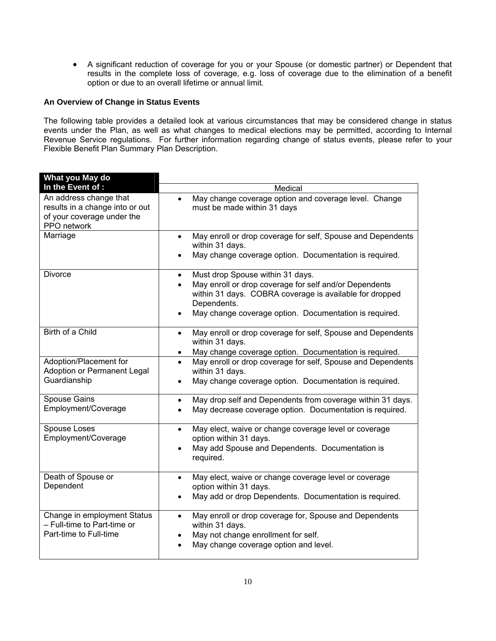A significant reduction of coverage for you or your Spouse (or domestic partner) or Dependent that results in the complete loss of coverage, e.g. loss of coverage due to the elimination of a benefit option or due to an overall lifetime or annual limit.

#### **An Overview of Change in Status Events**

The following table provides a detailed look at various circumstances that may be considered change in status events under the Plan, as well as what changes to medical elections may be permitted, according to Internal Revenue Service regulations. For further information regarding change of status events, please refer to your Flexible Benefit Plan Summary Plan Description.

| What you May do                                                                                        |                                                                                                                                                                                                                                                          |
|--------------------------------------------------------------------------------------------------------|----------------------------------------------------------------------------------------------------------------------------------------------------------------------------------------------------------------------------------------------------------|
| In the Event of :                                                                                      | Medical                                                                                                                                                                                                                                                  |
| An address change that<br>results in a change into or out<br>of your coverage under the<br>PPO network | May change coverage option and coverage level. Change<br>$\bullet$<br>must be made within 31 days                                                                                                                                                        |
| Marriage                                                                                               | May enroll or drop coverage for self, Spouse and Dependents<br>$\bullet$<br>within 31 days.<br>May change coverage option. Documentation is required.                                                                                                    |
| <b>Divorce</b>                                                                                         | Must drop Spouse within 31 days.<br>$\bullet$<br>May enroll or drop coverage for self and/or Dependents<br>$\bullet$<br>within 31 days. COBRA coverage is available for dropped<br>Dependents.<br>May change coverage option. Documentation is required. |
| <b>Birth of a Child</b>                                                                                | May enroll or drop coverage for self, Spouse and Dependents<br>$\bullet$<br>within 31 days.<br>May change coverage option. Documentation is required.<br>$\bullet$                                                                                       |
| Adoption/Placement for<br>Adoption or Permanent Legal<br>Guardianship                                  | May enroll or drop coverage for self, Spouse and Dependents<br>$\bullet$<br>within 31 days.<br>May change coverage option. Documentation is required.<br>$\bullet$                                                                                       |
| Spouse Gains<br>Employment/Coverage                                                                    | May drop self and Dependents from coverage within 31 days.<br>$\bullet$<br>May decrease coverage option. Documentation is required.                                                                                                                      |
| Spouse Loses<br>Employment/Coverage                                                                    | May elect, waive or change coverage level or coverage<br>$\bullet$<br>option within 31 days.<br>May add Spouse and Dependents. Documentation is<br>$\bullet$<br>required.                                                                                |
| Death of Spouse or<br>Dependent                                                                        | May elect, waive or change coverage level or coverage<br>$\bullet$<br>option within 31 days.<br>May add or drop Dependents. Documentation is required.                                                                                                   |
| Change in employment Status<br>- Full-time to Part-time or<br>Part-time to Full-time                   | May enroll or drop coverage for, Spouse and Dependents<br>$\bullet$<br>within 31 days.<br>May not change enrollment for self.<br>May change coverage option and level.                                                                                   |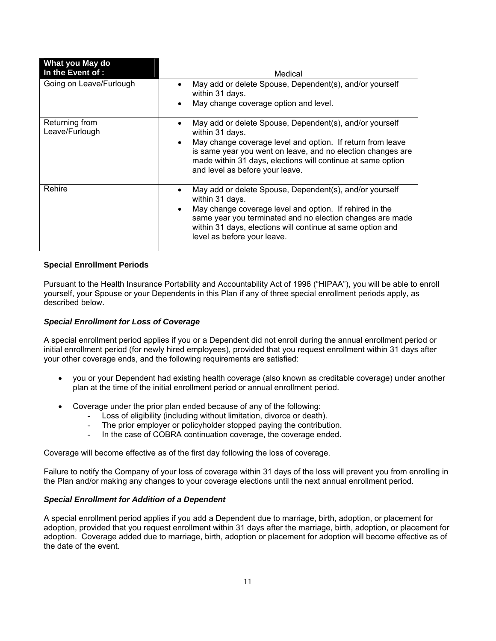| What you May do                  |                                                                                                                                                                                                                                                                                                                        |
|----------------------------------|------------------------------------------------------------------------------------------------------------------------------------------------------------------------------------------------------------------------------------------------------------------------------------------------------------------------|
| In the Event of :                | Medical                                                                                                                                                                                                                                                                                                                |
| Going on Leave/Furlough          | May add or delete Spouse, Dependent(s), and/or yourself<br>within 31 days.<br>May change coverage option and level.<br>$\bullet$                                                                                                                                                                                       |
| Returning from<br>Leave/Furlough | May add or delete Spouse, Dependent(s), and/or yourself<br>within 31 days.<br>May change coverage level and option. If return from leave<br>$\bullet$<br>is same year you went on leave, and no election changes are<br>made within 31 days, elections will continue at same option<br>and level as before your leave. |
| Rehire                           | May add or delete Spouse, Dependent(s), and/or yourself<br>within 31 days.<br>May change coverage level and option. If rehired in the<br>$\bullet$<br>same year you terminated and no election changes are made<br>within 31 days, elections will continue at same option and<br>level as before your leave.           |

#### **Special Enrollment Periods**

Pursuant to the Health Insurance Portability and Accountability Act of 1996 ("HIPAA"), you will be able to enroll yourself, your Spouse or your Dependents in this Plan if any of three special enrollment periods apply, as described below.

#### *Special Enrollment for Loss of Coverage*

A special enrollment period applies if you or a Dependent did not enroll during the annual enrollment period or initial enrollment period (for newly hired employees), provided that you request enrollment within 31 days after your other coverage ends, and the following requirements are satisfied:

- you or your Dependent had existing health coverage (also known as creditable coverage) under another plan at the time of the initial enrollment period or annual enrollment period.
- Coverage under the prior plan ended because of any of the following:
	- Loss of eligibility (including without limitation, divorce or death).
	- The prior employer or policyholder stopped paying the contribution.
	- In the case of COBRA continuation coverage, the coverage ended.

Coverage will become effective as of the first day following the loss of coverage.

Failure to notify the Company of your loss of coverage within 31 days of the loss will prevent you from enrolling in the Plan and/or making any changes to your coverage elections until the next annual enrollment period.

#### *Special Enrollment for Addition of a Dependent*

A special enrollment period applies if you add a Dependent due to marriage, birth, adoption, or placement for adoption, provided that you request enrollment within 31 days after the marriage, birth, adoption, or placement for adoption. Coverage added due to marriage, birth, adoption or placement for adoption will become effective as of the date of the event.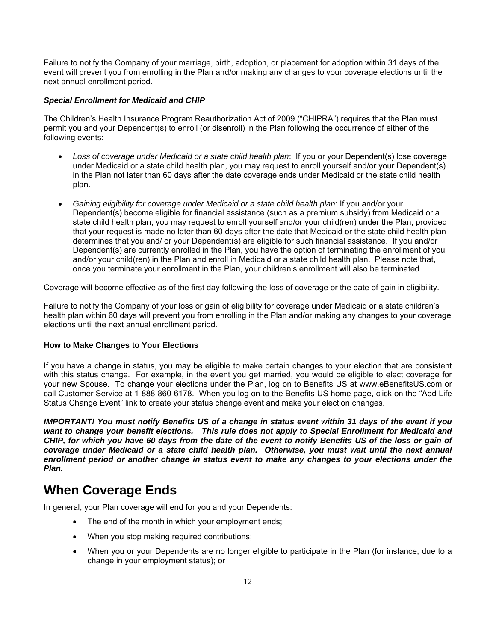Failure to notify the Company of your marriage, birth, adoption, or placement for adoption within 31 days of the event will prevent you from enrolling in the Plan and/or making any changes to your coverage elections until the next annual enrollment period.

#### *Special Enrollment for Medicaid and CHIP*

The Children's Health Insurance Program Reauthorization Act of 2009 ("CHIPRA") requires that the Plan must permit you and your Dependent(s) to enroll (or disenroll) in the Plan following the occurrence of either of the following events:

- *Loss of coverage under Medicaid or a state child health plan*: If you or your Dependent(s) lose coverage under Medicaid or a state child health plan, you may request to enroll yourself and/or your Dependent(s) in the Plan not later than 60 days after the date coverage ends under Medicaid or the state child health plan.
- *Gaining eligibility for coverage under Medicaid or a state child health plan*: If you and/or your Dependent(s) become eligible for financial assistance (such as a premium subsidy) from Medicaid or a state child health plan, you may request to enroll yourself and/or your child(ren) under the Plan, provided that your request is made no later than 60 days after the date that Medicaid or the state child health plan determines that you and/ or your Dependent(s) are eligible for such financial assistance. If you and/or Dependent(s) are currently enrolled in the Plan, you have the option of terminating the enrollment of you and/or your child(ren) in the Plan and enroll in Medicaid or a state child health plan. Please note that, once you terminate your enrollment in the Plan, your children's enrollment will also be terminated.

Coverage will become effective as of the first day following the loss of coverage or the date of gain in eligibility.

Failure to notify the Company of your loss or gain of eligibility for coverage under Medicaid or a state children's health plan within 60 days will prevent you from enrolling in the Plan and/or making any changes to your coverage elections until the next annual enrollment period.

#### **How to Make Changes to Your Elections**

If you have a change in status, you may be eligible to make certain changes to your election that are consistent with this status change. For example, in the event you get married, you would be eligible to elect coverage for your new Spouse. To change your elections under the Plan, log on to Benefits US at www.eBenefitsUS.com or call Customer Service at 1-888-860-6178. When you log on to the Benefits US home page, click on the "Add Life Status Change Event" link to create your status change event and make your election changes.

*IMPORTANT! You must notify Benefits US of a change in status event within 31 days of the event if you want to change your benefit elections. This rule does not apply to Special Enrollment for Medicaid and CHIP, for which you have 60 days from the date of the event to notify Benefits US of the loss or gain of coverage under Medicaid or a state child health plan. Otherwise, you must wait until the next annual enrollment period or another change in status event to make any changes to your elections under the Plan.* 

### **When Coverage Ends**

In general, your Plan coverage will end for you and your Dependents:

- The end of the month in which your employment ends;
- When you stop making required contributions;
- When you or your Dependents are no longer eligible to participate in the Plan (for instance, due to a change in your employment status); or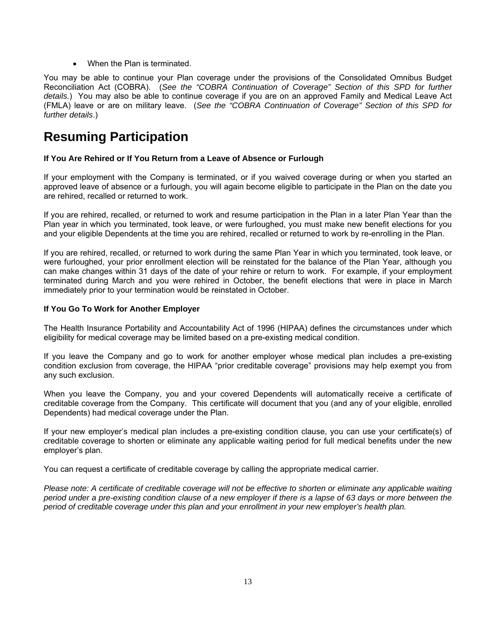When the Plan is terminated.

You may be able to continue your Plan coverage under the provisions of the Consolidated Omnibus Budget Reconciliation Act (COBRA). (*See the "COBRA Continuation of Coverage" Section of this SPD for further details.*) You may also be able to continue coverage if you are on an approved Family and Medical Leave Act (FMLA) leave or are on military leave. (*See the "COBRA Continuation of Coverage" Section of this SPD for further details*.)

### **Resuming Participation**

#### **If You Are Rehired or If You Return from a Leave of Absence or Furlough**

If your employment with the Company is terminated, or if you waived coverage during or when you started an approved leave of absence or a furlough, you will again become eligible to participate in the Plan on the date you are rehired, recalled or returned to work.

If you are rehired, recalled, or returned to work and resume participation in the Plan in a later Plan Year than the Plan year in which you terminated, took leave, or were furloughed, you must make new benefit elections for you and your eligible Dependents at the time you are rehired, recalled or returned to work by re-enrolling in the Plan.

If you are rehired, recalled, or returned to work during the same Plan Year in which you terminated, took leave, or were furloughed, your prior enrollment election will be reinstated for the balance of the Plan Year, although you can make changes within 31 days of the date of your rehire or return to work. For example, if your employment terminated during March and you were rehired in October, the benefit elections that were in place in March immediately prior to your termination would be reinstated in October.

#### **If You Go To Work for Another Employer**

The Health Insurance Portability and Accountability Act of 1996 (HIPAA) defines the circumstances under which eligibility for medical coverage may be limited based on a pre-existing medical condition.

If you leave the Company and go to work for another employer whose medical plan includes a pre-existing condition exclusion from coverage, the HIPAA "prior creditable coverage" provisions may help exempt you from any such exclusion.

When you leave the Company, you and your covered Dependents will automatically receive a certificate of creditable coverage from the Company. This certificate will document that you (and any of your eligible, enrolled Dependents) had medical coverage under the Plan.

If your new employer's medical plan includes a pre-existing condition clause, you can use your certificate(s) of creditable coverage to shorten or eliminate any applicable waiting period for full medical benefits under the new employer's plan.

You can request a certificate of creditable coverage by calling the appropriate medical carrier.

*Please note: A certificate of creditable coverage will not be effective to shorten or eliminate any applicable waiting period under a pre-existing condition clause of a new employer if there is a lapse of 63 days or more between the period of creditable coverage under this plan and your enrollment in your new employer's health plan.*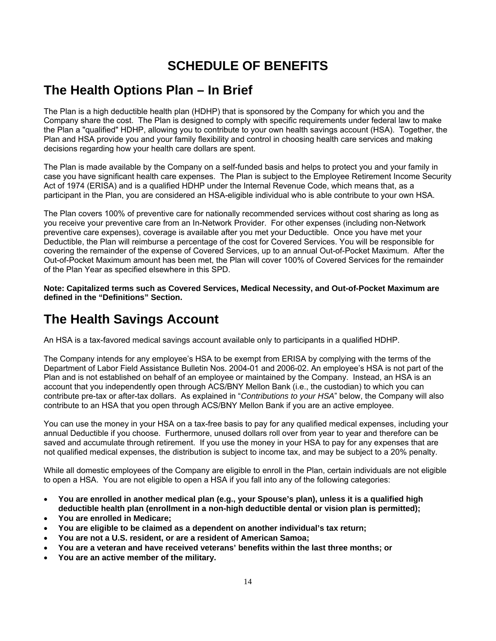# **SCHEDULE OF BENEFITS**

### **The Health Options Plan – In Brief**

The Plan is a high deductible health plan (HDHP) that is sponsored by the Company for which you and the Company share the cost. The Plan is designed to comply with specific requirements under federal law to make the Plan a "qualified" HDHP, allowing you to contribute to your own health savings account (HSA). Together, the Plan and HSA provide you and your family flexibility and control in choosing health care services and making decisions regarding how your health care dollars are spent.

The Plan is made available by the Company on a self-funded basis and helps to protect you and your family in case you have significant health care expenses. The Plan is subject to the Employee Retirement Income Security Act of 1974 (ERISA) and is a qualified HDHP under the Internal Revenue Code, which means that, as a participant in the Plan, you are considered an HSA-eligible individual who is able contribute to your own HSA.

The Plan covers 100% of preventive care for nationally recommended services without cost sharing as long as you receive your preventive care from an In-Network Provider. For other expenses (including non-Network preventive care expenses), coverage is available after you met your Deductible. Once you have met your Deductible, the Plan will reimburse a percentage of the cost for Covered Services. You will be responsible for covering the remainder of the expense of Covered Services, up to an annual Out-of-Pocket Maximum. After the Out-of-Pocket Maximum amount has been met, the Plan will cover 100% of Covered Services for the remainder of the Plan Year as specified elsewhere in this SPD.

**Note: Capitalized terms such as Covered Services, Medical Necessity, and Out-of-Pocket Maximum are defined in the "Definitions" Section.** 

# **The Health Savings Account**

An HSA is a tax-favored medical savings account available only to participants in a qualified HDHP.

The Company intends for any employee's HSA to be exempt from ERISA by complying with the terms of the Department of Labor Field Assistance Bulletin Nos. 2004-01 and 2006-02. An employee's HSA is not part of the Plan and is not established on behalf of an employee or maintained by the Company. Instead, an HSA is an account that you independently open through ACS/BNY Mellon Bank (i.e., the custodian) to which you can contribute pre-tax or after-tax dollars. As explained in "*Contributions to your HSA*" below, the Company will also contribute to an HSA that you open through ACS/BNY Mellon Bank if you are an active employee.

You can use the money in your HSA on a tax-free basis to pay for any qualified medical expenses, including your annual Deductible if you choose. Furthermore, unused dollars roll over from year to year and therefore can be saved and accumulate through retirement. If you use the money in your HSA to pay for any expenses that are not qualified medical expenses, the distribution is subject to income tax, and may be subject to a 20% penalty.

While all domestic employees of the Company are eligible to enroll in the Plan, certain individuals are not eligible to open a HSA. You are not eligible to open a HSA if you fall into any of the following categories:

- **You are enrolled in another medical plan (e.g., your Spouse's plan), unless it is a qualified high deductible health plan (enrollment in a non-high deductible dental or vision plan is permitted);**
- **You are enrolled in Medicare;**
- **You are eligible to be claimed as a dependent on another individual's tax return;**
- **You are not a U.S. resident, or are a resident of American Samoa;**
- **You are a veteran and have received veterans' benefits within the last three months; or**
- **You are an active member of the military.**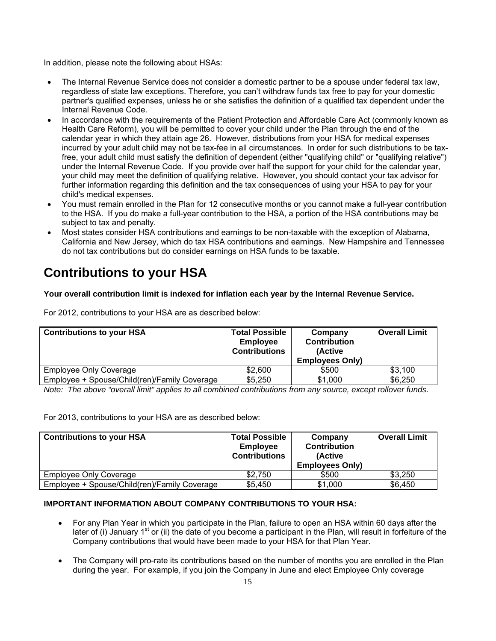In addition, please note the following about HSAs:

- The Internal Revenue Service does not consider a domestic partner to be a spouse under federal tax law, regardless of state law exceptions. Therefore, you can't withdraw funds tax free to pay for your domestic partner's qualified expenses, unless he or she satisfies the definition of a qualified tax dependent under the Internal Revenue Code.
- In accordance with the requirements of the Patient Protection and Affordable Care Act (commonly known as Health Care Reform), you will be permitted to cover your child under the Plan through the end of the calendar year in which they attain age 26. However, distributions from your HSA for medical expenses incurred by your adult child may not be tax-fee in all circumstances. In order for such distributions to be taxfree, your adult child must satisfy the definition of dependent (either "qualifying child" or "qualifying relative") under the Internal Revenue Code. If you provide over half the support for your child for the calendar year, your child may meet the definition of qualifying relative. However, you should contact your tax advisor for further information regarding this definition and the tax consequences of using your HSA to pay for your child's medical expenses.
- You must remain enrolled in the Plan for 12 consecutive months or you cannot make a full-year contribution to the HSA. If you do make a full-year contribution to the HSA, a portion of the HSA contributions may be subject to tax and penalty.
- Most states consider HSA contributions and earnings to be non-taxable with the exception of Alabama, California and New Jersey, which do tax HSA contributions and earnings. New Hampshire and Tennessee do not tax contributions but do consider earnings on HSA funds to be taxable.

# **Contributions to your HSA**

#### **Your overall contribution limit is indexed for inflation each year by the Internal Revenue Service.**

For 2012, contributions to your HSA are as described below:

| <b>Contributions to your HSA</b>             | <b>Total Possible</b><br><b>Employee</b><br><b>Contributions</b> | Company<br><b>Contribution</b><br>(Active<br><b>Employees Only)</b> | <b>Overall Limit</b> |
|----------------------------------------------|------------------------------------------------------------------|---------------------------------------------------------------------|----------------------|
| <b>Employee Only Coverage</b>                | \$2,600                                                          | \$500                                                               | \$3.100              |
| Employee + Spouse/Child(ren)/Family Coverage | \$5,250                                                          | \$1,000                                                             | \$6,250              |

*Note: The above "overall limit" applies to all combined contributions from any source, except rollover funds*.

For 2013, contributions to your HSA are as described below:

| <b>Contributions to your HSA</b>             | <b>Total Possible</b>                   | Company                | <b>Overall Limit</b> |
|----------------------------------------------|-----------------------------------------|------------------------|----------------------|
|                                              | <b>Employee</b><br><b>Contributions</b> | <b>Contribution</b>    |                      |
|                                              |                                         | (Active                |                      |
|                                              |                                         | <b>Employees Only)</b> |                      |
| <b>Employee Only Coverage</b>                | \$2.750                                 | \$500                  | \$3,250              |
| Employee + Spouse/Child(ren)/Family Coverage | \$5,450                                 | \$1,000                | \$6,450              |

#### **IMPORTANT INFORMATION ABOUT COMPANY CONTRIBUTIONS TO YOUR HSA:**

- For any Plan Year in which you participate in the Plan, failure to open an HSA within 60 days after the later of (i) January 1<sup>st</sup> or (ii) the date of you become a participant in the Plan, will result in forfeiture of the Company contributions that would have been made to your HSA for that Plan Year.
- The Company will pro-rate its contributions based on the number of months you are enrolled in the Plan during the year. For example, if you join the Company in June and elect Employee Only coverage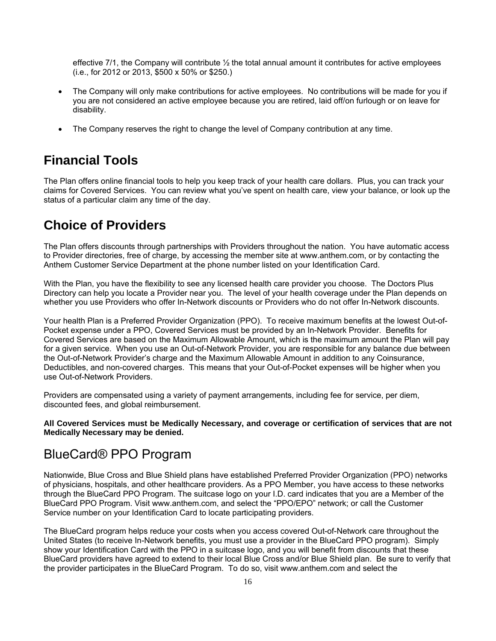effective  $7/1$ , the Company will contribute  $\frac{1}{2}$  the total annual amount it contributes for active employees (i.e., for 2012 or 2013, \$500 x 50% or \$250.)

- The Company will only make contributions for active employees. No contributions will be made for you if you are not considered an active employee because you are retired, laid off/on furlough or on leave for disability.
- The Company reserves the right to change the level of Company contribution at any time.

### **Financial Tools**

The Plan offers online financial tools to help you keep track of your health care dollars. Plus, you can track your claims for Covered Services. You can review what you've spent on health care, view your balance, or look up the status of a particular claim any time of the day.

### **Choice of Providers**

The Plan offers discounts through partnerships with Providers throughout the nation. You have automatic access to Provider directories, free of charge, by accessing the member site at www.anthem.com, or by contacting the Anthem Customer Service Department at the phone number listed on your Identification Card.

With the Plan, you have the flexibility to see any licensed health care provider you choose. The Doctors Plus Directory can help you locate a Provider near you. The level of your health coverage under the Plan depends on whether you use Providers who offer In-Network discounts or Providers who do not offer In-Network discounts.

Your health Plan is a Preferred Provider Organization (PPO). To receive maximum benefits at the lowest Out-of-Pocket expense under a PPO, Covered Services must be provided by an In-Network Provider. Benefits for Covered Services are based on the Maximum Allowable Amount, which is the maximum amount the Plan will pay for a given service. When you use an Out-of-Network Provider, you are responsible for any balance due between the Out-of-Network Provider's charge and the Maximum Allowable Amount in addition to any Coinsurance, Deductibles, and non-covered charges. This means that your Out-of-Pocket expenses will be higher when you use Out-of-Network Providers.

Providers are compensated using a variety of payment arrangements, including fee for service, per diem, discounted fees, and global reimbursement.

**All Covered Services must be Medically Necessary, and coverage or certification of services that are not Medically Necessary may be denied.** 

### BlueCard® PPO Program

Nationwide, Blue Cross and Blue Shield plans have established Preferred Provider Organization (PPO) networks of physicians, hospitals, and other healthcare providers. As a PPO Member, you have access to these networks through the BlueCard PPO Program. The suitcase logo on your I.D. card indicates that you are a Member of the BlueCard PPO Program. Visit www.anthem.com, and select the "PPO/EPO" network; or call the Customer Service number on your Identification Card to locate participating providers.

The BlueCard program helps reduce your costs when you access covered Out-of-Network care throughout the United States (to receive In-Network benefits, you must use a provider in the BlueCard PPO program). Simply show your Identification Card with the PPO in a suitcase logo, and you will benefit from discounts that these BlueCard providers have agreed to extend to their local Blue Cross and/or Blue Shield plan. Be sure to verify that the provider participates in the BlueCard Program. To do so, visit www.anthem.com and select the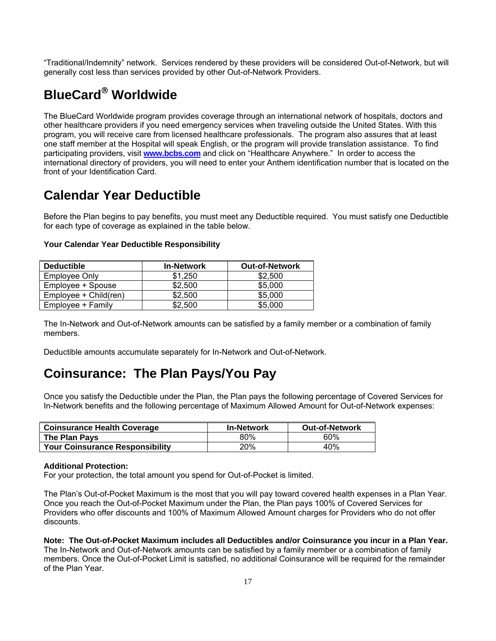"Traditional/Indemnity" network. Services rendered by these providers will be considered Out-of-Network, but will generally cost less than services provided by other Out-of-Network Providers.

# **BlueCard Worldwide**

The BlueCard Worldwide program provides coverage through an international network of hospitals, doctors and other healthcare providers if you need emergency services when traveling outside the United States. With this program, you will receive care from licensed healthcare professionals. The program also assures that at least one staff member at the Hospital will speak English, or the program will provide translation assistance. To find participating providers, visit **www.bcbs.com** and click on "Healthcare Anywhere." In order to access the international directory of providers, you will need to enter your Anthem identification number that is located on the front of your Identification Card.

### **Calendar Year Deductible**

Before the Plan begins to pay benefits, you must meet any Deductible required. You must satisfy one Deductible for each type of coverage as explained in the table below.

| <b>Deductible</b>     | <b>In-Network</b> | <b>Out-of-Network</b> |
|-----------------------|-------------------|-----------------------|
| Employee Only         | \$1.250           | \$2,500               |
| Employee + Spouse     | \$2.500           | \$5,000               |
| Employee + Child(ren) | \$2,500           | \$5,000               |
| Employee + Family     | \$2.500           | \$5,000               |

#### **Your Calendar Year Deductible Responsibility**

The In-Network and Out-of-Network amounts can be satisfied by a family member or a combination of family members.

Deductible amounts accumulate separately for In-Network and Out-of-Network.

### **Coinsurance: The Plan Pays/You Pay**

Once you satisfy the Deductible under the Plan, the Plan pays the following percentage of Covered Services for In-Network benefits and the following percentage of Maximum Allowed Amount for Out-of-Network expenses:

| <b>Coinsurance Health Coverage</b>     | <b>In-Network</b> | <b>Out-of-Network</b> |
|----------------------------------------|-------------------|-----------------------|
| The Plan Pays                          | 80%               | 60%                   |
| <b>Your Coinsurance Responsibility</b> | 20%               | 40%                   |

#### **Additional Protection:**

For your protection, the total amount you spend for Out-of-Pocket is limited.

The Plan's Out-of-Pocket Maximum is the most that you will pay toward covered health expenses in a Plan Year. Once you reach the Out-of-Pocket Maximum under the Plan, the Plan pays 100% of Covered Services for Providers who offer discounts and 100% of Maximum Allowed Amount charges for Providers who do not offer discounts.

**Note: The Out-of-Pocket Maximum includes all Deductibles and/or Coinsurance you incur in a Plan Year.**  The In-Network and Out-of-Network amounts can be satisfied by a family member or a combination of family members. Once the Out-of-Pocket Limit is satisfied, no additional Coinsurance will be required for the remainder of the Plan Year.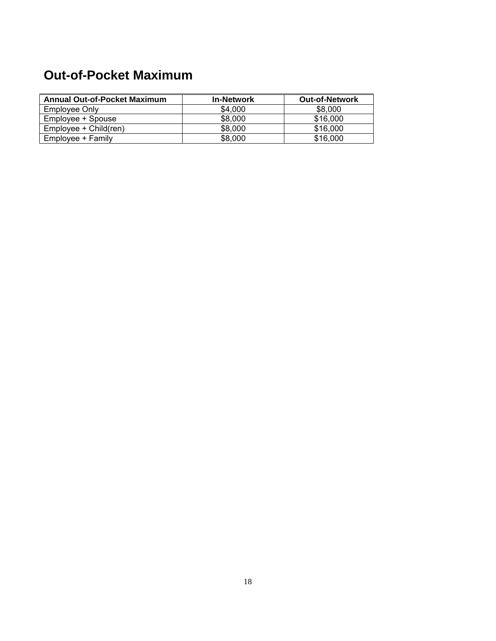# **Out-of-Pocket Maximum**

| <b>Annual Out-of-Pocket Maximum</b> | <b>In-Network</b> | <b>Out-of-Network</b> |
|-------------------------------------|-------------------|-----------------------|
| Employee Only                       | \$4,000           | \$8,000               |
| Employee + Spouse                   | \$8,000           | \$16,000              |
| Employee + Child(ren)               | \$8,000           | \$16,000              |
| Employee + Family                   | \$8,000           | \$16,000              |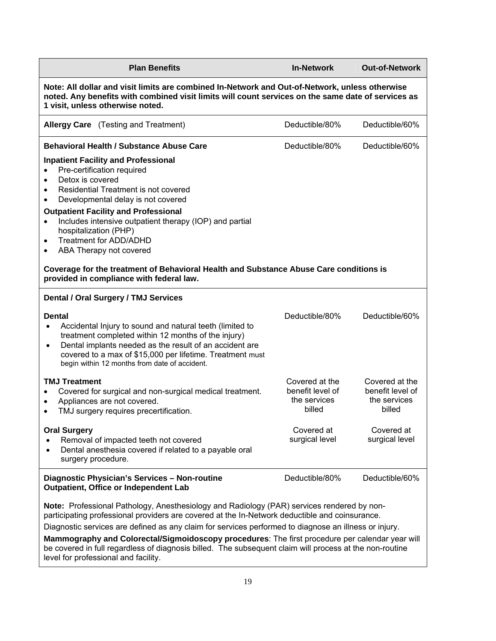| <b>Plan Benefits</b>                                                                                                                                                                                                                                                                                                                                                                                                                                                                                                                                        | <b>In-Network</b>                                            | <b>Out-of-Network</b>                                        |  |
|-------------------------------------------------------------------------------------------------------------------------------------------------------------------------------------------------------------------------------------------------------------------------------------------------------------------------------------------------------------------------------------------------------------------------------------------------------------------------------------------------------------------------------------------------------------|--------------------------------------------------------------|--------------------------------------------------------------|--|
| Note: All dollar and visit limits are combined In-Network and Out-of-Network, unless otherwise<br>noted. Any benefits with combined visit limits will count services on the same date of services as<br>1 visit, unless otherwise noted.                                                                                                                                                                                                                                                                                                                    |                                                              |                                                              |  |
| <b>Allergy Care</b> (Testing and Treatment)                                                                                                                                                                                                                                                                                                                                                                                                                                                                                                                 | Deductible/80%                                               | Deductible/60%                                               |  |
| <b>Behavioral Health / Substance Abuse Care</b>                                                                                                                                                                                                                                                                                                                                                                                                                                                                                                             | Deductible/80%                                               | Deductible/60%                                               |  |
| <b>Inpatient Facility and Professional</b><br>Pre-certification required<br>$\bullet$<br>Detox is covered<br>$\bullet$<br>Residential Treatment is not covered<br>$\bullet$<br>Developmental delay is not covered<br>$\bullet$<br><b>Outpatient Facility and Professional</b><br>Includes intensive outpatient therapy (IOP) and partial<br>$\bullet$<br>hospitalization (PHP)<br><b>Treatment for ADD/ADHD</b><br>$\bullet$<br>ABA Therapy not covered<br>$\bullet$                                                                                        |                                                              |                                                              |  |
| Coverage for the treatment of Behavioral Health and Substance Abuse Care conditions is<br>provided in compliance with federal law.                                                                                                                                                                                                                                                                                                                                                                                                                          |                                                              |                                                              |  |
| Dental / Oral Surgery / TMJ Services                                                                                                                                                                                                                                                                                                                                                                                                                                                                                                                        |                                                              |                                                              |  |
| <b>Dental</b><br>Accidental Injury to sound and natural teeth (limited to<br>$\bullet$<br>treatment completed within 12 months of the injury)<br>Dental implants needed as the result of an accident are<br>$\bullet$<br>covered to a max of \$15,000 per lifetime. Treatment must<br>begin within 12 months from date of accident.                                                                                                                                                                                                                         | Deductible/80%                                               | Deductible/60%                                               |  |
| <b>TMJ Treatment</b><br>Covered for surgical and non-surgical medical treatment.<br>$\bullet$<br>Appliances are not covered.<br>$\bullet$<br>TMJ surgery requires precertification.<br>$\bullet$                                                                                                                                                                                                                                                                                                                                                            | Covered at the<br>benefit level of<br>the services<br>billed | Covered at the<br>benefit level of<br>the services<br>billed |  |
| <b>Oral Surgery</b><br>Removal of impacted teeth not covered<br>$\bullet$<br>Dental anesthesia covered if related to a payable oral<br>$\bullet$<br>surgery procedure.                                                                                                                                                                                                                                                                                                                                                                                      | Covered at<br>surgical level                                 | Covered at<br>surgical level                                 |  |
| Diagnostic Physician's Services - Non-routine<br>Outpatient, Office or Independent Lab                                                                                                                                                                                                                                                                                                                                                                                                                                                                      | Deductible/80%                                               | Deductible/60%                                               |  |
| Note: Professional Pathology, Anesthesiology and Radiology (PAR) services rendered by non-<br>participating professional providers are covered at the In-Network deductible and coinsurance.<br>Diagnostic services are defined as any claim for services performed to diagnose an illness or injury.<br>Mammography and Colorectal/Sigmoidoscopy procedures: The first procedure per calendar year will<br>be covered in full regardless of diagnosis billed. The subsequent claim will process at the non-routine<br>level for professional and facility. |                                                              |                                                              |  |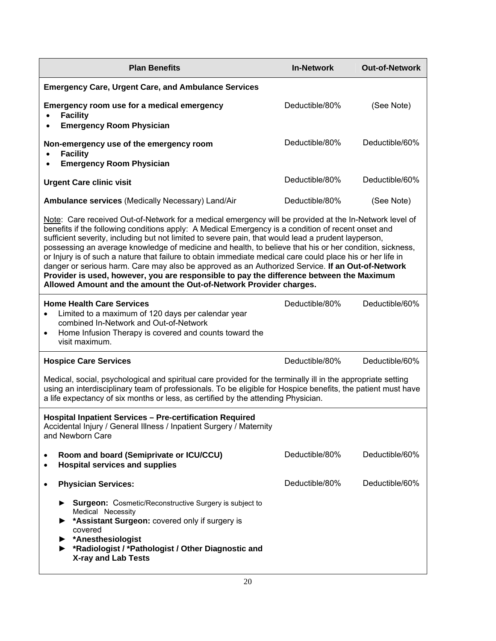| <b>Plan Benefits</b>                                                                                                                                                                                                                                                                                                                                                                                                                                                                                                                                                                                                                                                                                                                                                                                               | <b>In-Network</b> | <b>Out-of-Network</b> |  |
|--------------------------------------------------------------------------------------------------------------------------------------------------------------------------------------------------------------------------------------------------------------------------------------------------------------------------------------------------------------------------------------------------------------------------------------------------------------------------------------------------------------------------------------------------------------------------------------------------------------------------------------------------------------------------------------------------------------------------------------------------------------------------------------------------------------------|-------------------|-----------------------|--|
| <b>Emergency Care, Urgent Care, and Ambulance Services</b>                                                                                                                                                                                                                                                                                                                                                                                                                                                                                                                                                                                                                                                                                                                                                         |                   |                       |  |
| Emergency room use for a medical emergency<br><b>Facility</b><br><b>Emergency Room Physician</b><br>$\bullet$                                                                                                                                                                                                                                                                                                                                                                                                                                                                                                                                                                                                                                                                                                      | Deductible/80%    | (See Note)            |  |
| Non-emergency use of the emergency room<br><b>Facility</b><br>$\bullet$<br><b>Emergency Room Physician</b><br>$\bullet$                                                                                                                                                                                                                                                                                                                                                                                                                                                                                                                                                                                                                                                                                            | Deductible/80%    | Deductible/60%        |  |
| <b>Urgent Care clinic visit</b>                                                                                                                                                                                                                                                                                                                                                                                                                                                                                                                                                                                                                                                                                                                                                                                    | Deductible/80%    | Deductible/60%        |  |
| Ambulance services (Medically Necessary) Land/Air                                                                                                                                                                                                                                                                                                                                                                                                                                                                                                                                                                                                                                                                                                                                                                  | Deductible/80%    | (See Note)            |  |
| Note: Care received Out-of-Network for a medical emergency will be provided at the In-Network level of<br>benefits if the following conditions apply: A Medical Emergency is a condition of recent onset and<br>sufficient severity, including but not limited to severe pain, that would lead a prudent layperson,<br>possessing an average knowledge of medicine and health, to believe that his or her condition, sickness,<br>or Injury is of such a nature that failure to obtain immediate medical care could place his or her life in<br>danger or serious harm. Care may also be approved as an Authorized Service. If an Out-of-Network<br>Provider is used, however, you are responsible to pay the difference between the Maximum<br>Allowed Amount and the amount the Out-of-Network Provider charges. |                   |                       |  |
| <b>Home Health Care Services</b><br>Limited to a maximum of 120 days per calendar year<br>$\bullet$<br>combined In-Network and Out-of-Network<br>Home Infusion Therapy is covered and counts toward the<br>$\bullet$<br>visit maximum.                                                                                                                                                                                                                                                                                                                                                                                                                                                                                                                                                                             | Deductible/80%    | Deductible/60%        |  |
| <b>Hospice Care Services</b>                                                                                                                                                                                                                                                                                                                                                                                                                                                                                                                                                                                                                                                                                                                                                                                       | Deductible/80%    | Deductible/60%        |  |
| Medical, social, psychological and spiritual care provided for the terminally ill in the appropriate setting<br>using an interdisciplinary team of professionals. To be eligible for Hospice benefits, the patient must have<br>a life expectancy of six months or less, as certified by the attending Physician.                                                                                                                                                                                                                                                                                                                                                                                                                                                                                                  |                   |                       |  |
| <b>Hospital Inpatient Services - Pre-certification Required</b><br>Accidental Injury / General Illness / Inpatient Surgery / Maternity<br>and Newborn Care                                                                                                                                                                                                                                                                                                                                                                                                                                                                                                                                                                                                                                                         |                   |                       |  |
| Room and board (Semiprivate or ICU/CCU)<br>٠<br><b>Hospital services and supplies</b><br>٠                                                                                                                                                                                                                                                                                                                                                                                                                                                                                                                                                                                                                                                                                                                         | Deductible/80%    | Deductible/60%        |  |
| <b>Physician Services:</b><br>٠                                                                                                                                                                                                                                                                                                                                                                                                                                                                                                                                                                                                                                                                                                                                                                                    | Deductible/80%    | Deductible/60%        |  |
| <b>Surgeon:</b> Cosmetic/Reconstructive Surgery is subject to<br>Medical Necessity<br>*Assistant Surgeon: covered only if surgery is<br>covered<br>*Anesthesiologist<br>*Radiologist / *Pathologist / Other Diagnostic and<br><b>X-ray and Lab Tests</b>                                                                                                                                                                                                                                                                                                                                                                                                                                                                                                                                                           |                   |                       |  |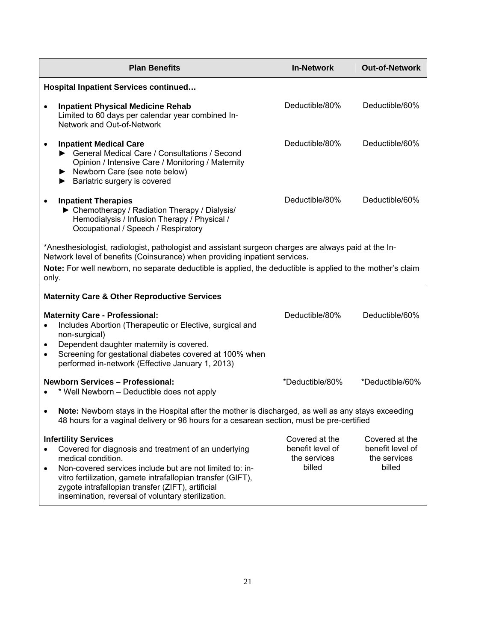| <b>Plan Benefits</b>                                                                                                                                                                                                                                                                                                                                         | <b>In-Network</b>                                            | <b>Out-of-Network</b>                                        |
|--------------------------------------------------------------------------------------------------------------------------------------------------------------------------------------------------------------------------------------------------------------------------------------------------------------------------------------------------------------|--------------------------------------------------------------|--------------------------------------------------------------|
| <b>Hospital Inpatient Services continued</b>                                                                                                                                                                                                                                                                                                                 |                                                              |                                                              |
| <b>Inpatient Physical Medicine Rehab</b><br>$\bullet$<br>Limited to 60 days per calendar year combined In-<br>Network and Out-of-Network                                                                                                                                                                                                                     | Deductible/80%                                               | Deductible/60%                                               |
| <b>Inpatient Medical Care</b><br>$\bullet$<br>General Medical Care / Consultations / Second<br>Opinion / Intensive Care / Monitoring / Maternity<br>Newborn Care (see note below)<br>Bariatric surgery is covered<br>▶                                                                                                                                       | Deductible/80%                                               | Deductible/60%                                               |
| <b>Inpatient Therapies</b><br>▶ Chemotherapy / Radiation Therapy / Dialysis/<br>Hemodialysis / Infusion Therapy / Physical /<br>Occupational / Speech / Respiratory                                                                                                                                                                                          | Deductible/80%                                               | Deductible/60%                                               |
| *Anesthesiologist, radiologist, pathologist and assistant surgeon charges are always paid at the In-<br>Network level of benefits (Coinsurance) when providing inpatient services.<br>Note: For well newborn, no separate deductible is applied, the deductible is applied to the mother's claim<br>only.                                                    |                                                              |                                                              |
| <b>Maternity Care &amp; Other Reproductive Services</b>                                                                                                                                                                                                                                                                                                      |                                                              |                                                              |
| <b>Maternity Care - Professional:</b><br>Includes Abortion (Therapeutic or Elective, surgical and<br>non-surgical)<br>Dependent daughter maternity is covered.<br>٠<br>Screening for gestational diabetes covered at 100% when<br>$\bullet$<br>performed in-network (Effective January 1, 2013)                                                              | Deductible/80%                                               | Deductible/60%                                               |
| <b>Newborn Services - Professional:</b><br>* Well Newborn - Deductible does not apply                                                                                                                                                                                                                                                                        | *Deductible/80%                                              | *Deductible/60%                                              |
| Note: Newborn stays in the Hospital after the mother is discharged, as well as any stays exceeding<br>$\bullet$<br>48 hours for a vaginal delivery or 96 hours for a cesarean section, must be pre-certified                                                                                                                                                 |                                                              |                                                              |
| <b>Infertility Services</b><br>Covered for diagnosis and treatment of an underlying<br>medical condition.<br>Non-covered services include but are not limited to: in-<br>$\bullet$<br>vitro fertilization, gamete intrafallopian transfer (GIFT),<br>zygote intrafallopian transfer (ZIFT), artificial<br>insemination, reversal of voluntary sterilization. | Covered at the<br>benefit level of<br>the services<br>billed | Covered at the<br>benefit level of<br>the services<br>billed |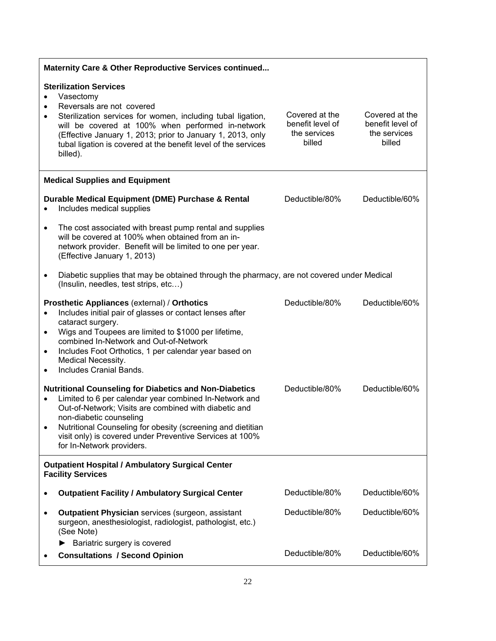| Maternity Care & Other Reproductive Services continued                              |                                                                                                                                                                                                                                                                                                                                                                     |                                                              |                                                              |
|-------------------------------------------------------------------------------------|---------------------------------------------------------------------------------------------------------------------------------------------------------------------------------------------------------------------------------------------------------------------------------------------------------------------------------------------------------------------|--------------------------------------------------------------|--------------------------------------------------------------|
| $\bullet$<br>٠<br>$\bullet$                                                         | <b>Sterilization Services</b><br>Vasectomy<br>Reversals are not covered<br>Sterilization services for women, including tubal ligation,<br>will be covered at 100% when performed in-network<br>(Effective January 1, 2013; prior to January 1, 2013, only<br>tubal ligation is covered at the benefit level of the services<br>billed).                             | Covered at the<br>benefit level of<br>the services<br>billed | Covered at the<br>benefit level of<br>the services<br>billed |
|                                                                                     | <b>Medical Supplies and Equipment</b>                                                                                                                                                                                                                                                                                                                               |                                                              |                                                              |
| $\bullet$                                                                           | Durable Medical Equipment (DME) Purchase & Rental<br>Includes medical supplies                                                                                                                                                                                                                                                                                      | Deductible/80%                                               | Deductible/60%                                               |
| $\bullet$                                                                           | The cost associated with breast pump rental and supplies<br>will be covered at 100% when obtained from an in-<br>network provider. Benefit will be limited to one per year.<br>(Effective January 1, 2013)                                                                                                                                                          |                                                              |                                                              |
| $\bullet$                                                                           | Diabetic supplies that may be obtained through the pharmacy, are not covered under Medical<br>(Insulin, needles, test strips, etc)                                                                                                                                                                                                                                  |                                                              |                                                              |
| $\bullet$<br>$\bullet$<br>$\bullet$<br>$\bullet$                                    | Prosthetic Appliances (external) / Orthotics<br>Includes initial pair of glasses or contact lenses after<br>cataract surgery.<br>Wigs and Toupees are limited to \$1000 per lifetime,<br>combined In-Network and Out-of-Network<br>Includes Foot Orthotics, 1 per calendar year based on<br>Medical Necessity.<br>Includes Cranial Bands.                           | Deductible/80%                                               | Deductible/60%                                               |
| $\bullet$<br>$\bullet$                                                              | <b>Nutritional Counseling for Diabetics and Non-Diabetics</b><br>Limited to 6 per calendar year combined In-Network and<br>Out-of-Network; Visits are combined with diabetic and<br>non-diabetic counseling<br>Nutritional Counseling for obesity (screening and dietitian<br>visit only) is covered under Preventive Services at 100%<br>for In-Network providers. | Deductible/80%                                               | Deductible/60%                                               |
| <b>Outpatient Hospital / Ambulatory Surgical Center</b><br><b>Facility Services</b> |                                                                                                                                                                                                                                                                                                                                                                     |                                                              |                                                              |
|                                                                                     | <b>Outpatient Facility / Ambulatory Surgical Center</b>                                                                                                                                                                                                                                                                                                             | Deductible/80%                                               | Deductible/60%                                               |
| $\bullet$                                                                           | <b>Outpatient Physician services (surgeon, assistant</b><br>surgeon, anesthesiologist, radiologist, pathologist, etc.)<br>(See Note)                                                                                                                                                                                                                                | Deductible/80%                                               | Deductible/60%                                               |
|                                                                                     | Bariatric surgery is covered<br>▶<br><b>Consultations / Second Opinion</b>                                                                                                                                                                                                                                                                                          | Deductible/80%                                               | Deductible/60%                                               |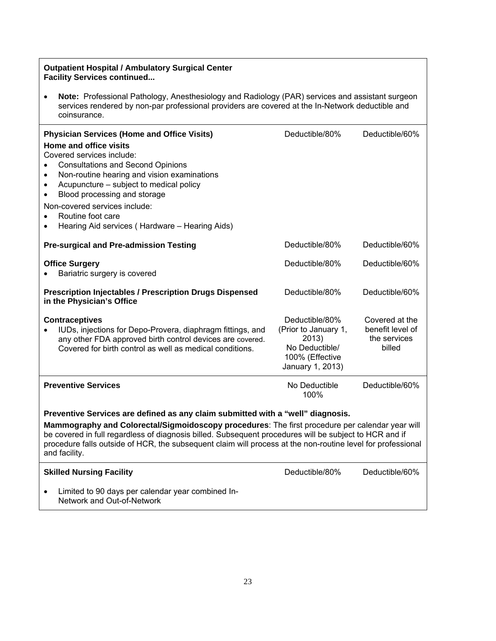#### **Outpatient Hospital / Ambulatory Surgical Center Facility Services continued...**

 **Note:** Professional Pathology, Anesthesiology and Radiology (PAR) services and assistant surgeon services rendered by non-par professional providers are covered at the In-Network deductible and coinsurance.

| <b>Physician Services (Home and Office Visits)</b><br>Home and office visits<br>Covered services include:<br><b>Consultations and Second Opinions</b><br>Non-routine hearing and vision examinations<br>$\bullet$<br>Acupuncture - subject to medical policy<br>$\bullet$<br>Blood processing and storage<br>$\bullet$<br>Non-covered services include:<br>Routine foot care<br>Hearing Aid services (Hardware - Hearing Aids) | Deductible/80%                                                                                           | Deductible/60%                                               |
|--------------------------------------------------------------------------------------------------------------------------------------------------------------------------------------------------------------------------------------------------------------------------------------------------------------------------------------------------------------------------------------------------------------------------------|----------------------------------------------------------------------------------------------------------|--------------------------------------------------------------|
| <b>Pre-surgical and Pre-admission Testing</b>                                                                                                                                                                                                                                                                                                                                                                                  | Deductible/80%                                                                                           | Deductible/60%                                               |
| <b>Office Surgery</b><br>Bariatric surgery is covered                                                                                                                                                                                                                                                                                                                                                                          | Deductible/80%                                                                                           | Deductible/60%                                               |
| <b>Prescription Injectables / Prescription Drugs Dispensed</b><br>Deductible/80%<br>in the Physician's Office                                                                                                                                                                                                                                                                                                                  |                                                                                                          | Deductible/60%                                               |
| <b>Contraceptives</b><br>IUDs, injections for Depo-Provera, diaphragm fittings, and<br>any other FDA approved birth control devices are covered.<br>Covered for birth control as well as medical conditions.                                                                                                                                                                                                                   | Deductible/80%<br>(Prior to January 1,<br>2013)<br>No Deductible/<br>100% (Effective<br>January 1, 2013) | Covered at the<br>benefit level of<br>the services<br>billed |
| <b>Preventive Services</b>                                                                                                                                                                                                                                                                                                                                                                                                     | No Deductible<br>100%                                                                                    | Deductible/60%                                               |
| Preventive Services are defined as any claim submitted with a "well" diagnosis.<br>Mammography and Colorectal/Sigmoidoscopy procedures: The first procedure per calendar year will<br>be covered in full regardless of diagnosis billed. Subsequent procedures will be subject to HCR and if<br>procedure falls outside of HCR, the subsequent claim will process at the non-routine level for professional<br>and facility.   |                                                                                                          |                                                              |
| <b>Skilled Nursing Facility</b>                                                                                                                                                                                                                                                                                                                                                                                                | Deductible/80%                                                                                           | Deductible/60%                                               |
| Limited to 90 days per calendar year combined In-<br>Network and Out-of-Network                                                                                                                                                                                                                                                                                                                                                |                                                                                                          |                                                              |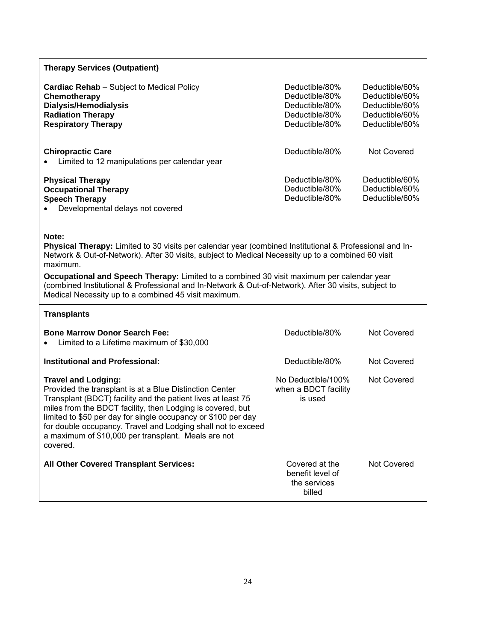| <b>Therapy Services (Outpatient)</b>                                                                                                                                                                                                                                                                                                                                                                                                                                                            |                                                                                        |                                                                                        |  |
|-------------------------------------------------------------------------------------------------------------------------------------------------------------------------------------------------------------------------------------------------------------------------------------------------------------------------------------------------------------------------------------------------------------------------------------------------------------------------------------------------|----------------------------------------------------------------------------------------|----------------------------------------------------------------------------------------|--|
| <b>Cardiac Rehab</b> – Subject to Medical Policy<br>Chemotherapy<br>Dialysis/Hemodialysis<br><b>Radiation Therapy</b><br><b>Respiratory Therapy</b>                                                                                                                                                                                                                                                                                                                                             | Deductible/80%<br>Deductible/80%<br>Deductible/80%<br>Deductible/80%<br>Deductible/80% | Deductible/60%<br>Deductible/60%<br>Deductible/60%<br>Deductible/60%<br>Deductible/60% |  |
| <b>Chiropractic Care</b><br>Limited to 12 manipulations per calendar year                                                                                                                                                                                                                                                                                                                                                                                                                       | Deductible/80%                                                                         | <b>Not Covered</b>                                                                     |  |
| <b>Physical Therapy</b><br><b>Occupational Therapy</b><br><b>Speech Therapy</b><br>Developmental delays not covered                                                                                                                                                                                                                                                                                                                                                                             | Deductible/80%<br>Deductible/80%<br>Deductible/80%                                     | Deductible/60%<br>Deductible/60%<br>Deductible/60%                                     |  |
| Note:<br>Physical Therapy: Limited to 30 visits per calendar year (combined Institutional & Professional and In-<br>Network & Out-of-Network). After 30 visits, subject to Medical Necessity up to a combined 60 visit<br>maximum.<br>Occupational and Speech Therapy: Limited to a combined 30 visit maximum per calendar year<br>(combined Institutional & Professional and In-Network & Out-of-Network). After 30 visits, subject to<br>Medical Necessity up to a combined 45 visit maximum. |                                                                                        |                                                                                        |  |
| <b>Transplants</b>                                                                                                                                                                                                                                                                                                                                                                                                                                                                              |                                                                                        |                                                                                        |  |
| <b>Bone Marrow Donor Search Fee:</b><br>Limited to a Lifetime maximum of \$30,000                                                                                                                                                                                                                                                                                                                                                                                                               | Deductible/80%                                                                         | <b>Not Covered</b>                                                                     |  |
| <b>Institutional and Professional:</b>                                                                                                                                                                                                                                                                                                                                                                                                                                                          | Deductible/80%                                                                         | <b>Not Covered</b>                                                                     |  |
| <b>Travel and Lodging:</b><br>Provided the transplant is at a Blue Distinction Center<br>Transplant (BDCT) facility and the patient lives at least 75<br>miles from the BDCT facility, then Lodging is covered, but<br>limited to \$50 per day for single occupancy or \$100 per day<br>for double occupancy. Travel and Lodging shall not to exceed<br>a maximum of \$10,000 per transplant. Meals are not<br>covered.                                                                         | No Deductible/100%<br>when a BDCT facility<br>is used                                  | <b>Not Covered</b>                                                                     |  |
| All Other Covered Transplant Services:                                                                                                                                                                                                                                                                                                                                                                                                                                                          | Covered at the<br>benefit level of<br>the services<br>billed                           | <b>Not Covered</b>                                                                     |  |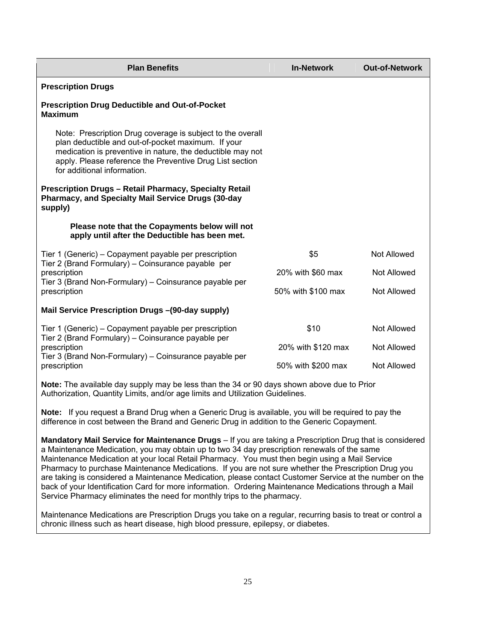| <b>Plan Benefits</b>                                                                                                                                                                                                                                                      | <b>In-Network</b>  | <b>Out-of-Network</b> |  |
|---------------------------------------------------------------------------------------------------------------------------------------------------------------------------------------------------------------------------------------------------------------------------|--------------------|-----------------------|--|
| <b>Prescription Drugs</b>                                                                                                                                                                                                                                                 |                    |                       |  |
| <b>Prescription Drug Deductible and Out-of-Pocket</b><br><b>Maximum</b>                                                                                                                                                                                                   |                    |                       |  |
| Note: Prescription Drug coverage is subject to the overall<br>plan deductible and out-of-pocket maximum. If your<br>medication is preventive in nature, the deductible may not<br>apply. Please reference the Preventive Drug List section<br>for additional information. |                    |                       |  |
| <b>Prescription Drugs - Retail Pharmacy, Specialty Retail</b><br><b>Pharmacy, and Specialty Mail Service Drugs (30-day</b><br>supply)                                                                                                                                     |                    |                       |  |
| Please note that the Copayments below will not<br>apply until after the Deductible has been met.                                                                                                                                                                          |                    |                       |  |
| Tier 1 (Generic) – Copayment payable per prescription<br>Tier 2 (Brand Formulary) – Coinsurance payable per                                                                                                                                                               | \$5                | Not Allowed           |  |
| prescription                                                                                                                                                                                                                                                              | 20% with \$60 max  | Not Allowed           |  |
| Tier 3 (Brand Non-Formulary) – Coinsurance payable per<br>prescription                                                                                                                                                                                                    | 50% with \$100 max | <b>Not Allowed</b>    |  |
| Mail Service Prescription Drugs -(90-day supply)                                                                                                                                                                                                                          |                    |                       |  |
| Tier 1 (Generic) – Copayment payable per prescription                                                                                                                                                                                                                     | \$10               | <b>Not Allowed</b>    |  |
| Tier 2 (Brand Formulary) – Coinsurance payable per<br>prescription                                                                                                                                                                                                        | 20% with \$120 max | <b>Not Allowed</b>    |  |
| Tier 3 (Brand Non-Formulary) – Coinsurance payable per<br>prescription                                                                                                                                                                                                    | 50% with \$200 max | Not Allowed           |  |
| Note: The available day supply may be less than the 34 or 90 days shown above due to Prior                                                                                                                                                                                |                    |                       |  |

Authorization, Quantity Limits, and/or age limits and Utilization Guidelines.

**Note:** If you request a Brand Drug when a Generic Drug is available, you will be required to pay the difference in cost between the Brand and Generic Drug in addition to the Generic Copayment.

**Mandatory Mail Service for Maintenance Drugs** – If you are taking a Prescription Drug that is considered a Maintenance Medication, you may obtain up to two 34 day prescription renewals of the same Maintenance Medication at your local Retail Pharmacy. You must then begin using a Mail Service Pharmacy to purchase Maintenance Medications. If you are not sure whether the Prescription Drug you are taking is considered a Maintenance Medication*,* please contact Customer Service at the number on the back of your Identification Card for more information. Ordering Maintenance Medications through a Mail Service Pharmacy eliminates the need for monthly trips to the pharmacy.

Maintenance Medications are Prescription Drugs you take on a regular, recurring basis to treat or control a chronic illness such as heart disease, high blood pressure, epilepsy, or diabetes.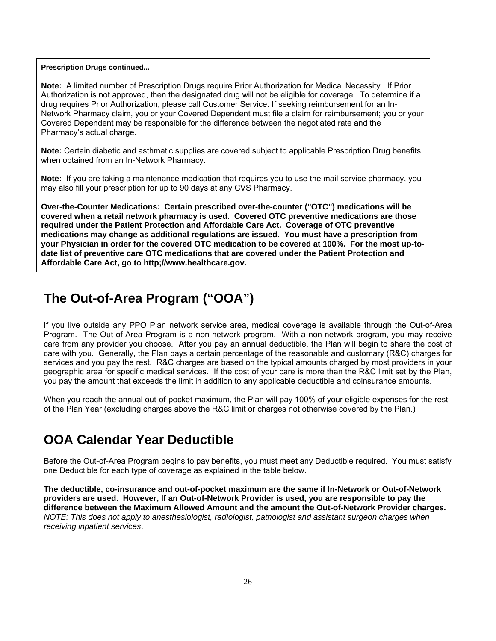#### **Prescription Drugs continued...**

**Note:** A limited number of Prescription Drugs require Prior Authorization for Medical Necessity. If Prior Authorization is not approved, then the designated drug will not be eligible for coverage. To determine if a drug requires Prior Authorization, please call Customer Service. If seeking reimbursement for an In-Network Pharmacy claim, you or your Covered Dependent must file a claim for reimbursement; you or your Covered Dependent may be responsible for the difference between the negotiated rate and the Pharmacy's actual charge.

**Note:** Certain diabetic and asthmatic supplies are covered subject to applicable Prescription Drug benefits when obtained from an In-Network Pharmacy.

**Note:** If you are taking a maintenance medication that requires you to use the mail service pharmacy, you may also fill your prescription for up to 90 days at any CVS Pharmacy.

**Over-the-Counter Medications: Certain prescribed over-the-counter ("OTC") medications will be covered when a retail network pharmacy is used. Covered OTC preventive medications are those required under the Patient Protection and Affordable Care Act. Coverage of OTC preventive medications may change as additional regulations are issued. You must have a prescription from your Physician in order for the covered OTC medication to be covered at 100%. For the most up-todate list of preventive care OTC medications that are covered under the Patient Protection and Affordable Care Act, go to http;//www.healthcare.gov.** 

### **The Out-of-Area Program ("OOA")**

If you live outside any PPO Plan network service area, medical coverage is available through the Out-of-Area Program. The Out-of-Area Program is a non-network program. With a non-network program, you may receive care from any provider you choose. After you pay an annual deductible, the Plan will begin to share the cost of care with you. Generally, the Plan pays a certain percentage of the reasonable and customary (R&C) charges for services and you pay the rest. R&C charges are based on the typical amounts charged by most providers in your geographic area for specific medical services. If the cost of your care is more than the R&C limit set by the Plan, you pay the amount that exceeds the limit in addition to any applicable deductible and coinsurance amounts.

When you reach the annual out-of-pocket maximum, the Plan will pay 100% of your eligible expenses for the rest of the Plan Year (excluding charges above the R&C limit or charges not otherwise covered by the Plan.)

### **OOA Calendar Year Deductible**

Before the Out-of-Area Program begins to pay benefits, you must meet any Deductible required. You must satisfy one Deductible for each type of coverage as explained in the table below.

**The deductible, co-insurance and out-of-pocket maximum are the same if In-Network or Out-of-Network providers are used. However, If an Out-of-Network Provider is used, you are responsible to pay the difference between the Maximum Allowed Amount and the amount the Out-of-Network Provider charges.**  *NOTE: This does not apply to anesthesiologist, radiologist, pathologist and assistant surgeon charges when receiving inpatient services*.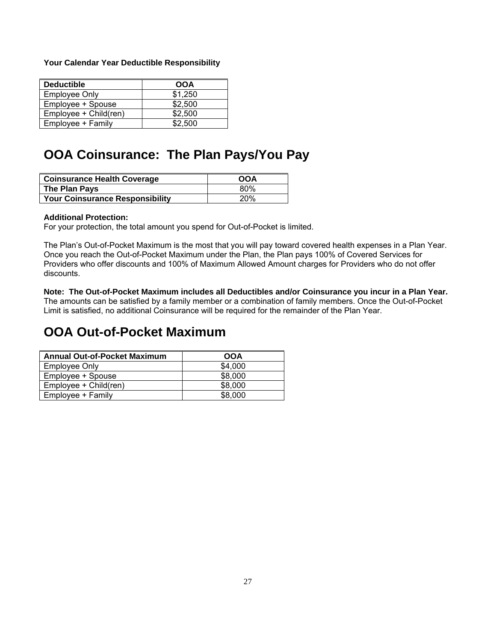#### **Your Calendar Year Deductible Responsibility**

| <b>Deductible</b>     | <b>OOA</b> |
|-----------------------|------------|
| <b>Employee Only</b>  | \$1,250    |
| Employee + Spouse     | \$2.500    |
| Employee + Child(ren) | \$2,500    |
| Employee + Family     | \$2,500    |

### **OOA Coinsurance: The Plan Pays/You Pay**

| <b>Coinsurance Health Coverage</b>     | <b>OOA</b> |
|----------------------------------------|------------|
| The Plan Pays                          | 80%        |
| <b>Your Coinsurance Responsibility</b> | <b>20%</b> |

#### **Additional Protection:**

For your protection, the total amount you spend for Out-of-Pocket is limited.

The Plan's Out-of-Pocket Maximum is the most that you will pay toward covered health expenses in a Plan Year. Once you reach the Out-of-Pocket Maximum under the Plan, the Plan pays 100% of Covered Services for Providers who offer discounts and 100% of Maximum Allowed Amount charges for Providers who do not offer discounts.

**Note: The Out-of-Pocket Maximum includes all Deductibles and/or Coinsurance you incur in a Plan Year.**  The amounts can be satisfied by a family member or a combination of family members. Once the Out-of-Pocket Limit is satisfied, no additional Coinsurance will be required for the remainder of the Plan Year.

### **OOA Out-of-Pocket Maximum**

| <b>Annual Out-of-Pocket Maximum</b> | OOA     |
|-------------------------------------|---------|
| Employee Only                       | \$4,000 |
| Employee + Spouse                   | \$8,000 |
| Employee + Child(ren)               | \$8,000 |
| Employee + Family                   | \$8,000 |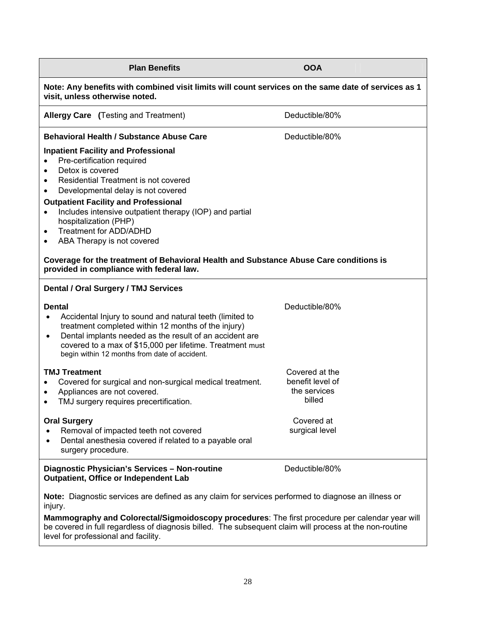| <b>Plan Benefits</b>                                                                                                                                                                                                                                                                                                                                                                 | <b>OOA</b>                                                                                   |  |
|--------------------------------------------------------------------------------------------------------------------------------------------------------------------------------------------------------------------------------------------------------------------------------------------------------------------------------------------------------------------------------------|----------------------------------------------------------------------------------------------|--|
| Note: Any benefits with combined visit limits will count services on the same date of services as 1<br>visit, unless otherwise noted.                                                                                                                                                                                                                                                |                                                                                              |  |
| Allergy Care (Testing and Treatment)                                                                                                                                                                                                                                                                                                                                                 | Deductible/80%                                                                               |  |
| <b>Behavioral Health / Substance Abuse Care</b>                                                                                                                                                                                                                                                                                                                                      | Deductible/80%                                                                               |  |
| <b>Inpatient Facility and Professional</b><br>Pre-certification required<br>Detox is covered<br>Residential Treatment is not covered<br>Developmental delay is not covered<br><b>Outpatient Facility and Professional</b><br>Includes intensive outpatient therapy (IOP) and partial<br>٠<br>hospitalization (PHP)<br>Treatment for ADD/ADHD<br>٠<br>ABA Therapy is not covered<br>٠ |                                                                                              |  |
| Coverage for the treatment of Behavioral Health and Substance Abuse Care conditions is<br>provided in compliance with federal law.                                                                                                                                                                                                                                                   |                                                                                              |  |
| Dental / Oral Surgery / TMJ Services                                                                                                                                                                                                                                                                                                                                                 |                                                                                              |  |
| <b>Dental</b><br>Accidental Injury to sound and natural teeth (limited to<br>$\bullet$<br>treatment completed within 12 months of the injury)<br>Dental implants needed as the result of an accident are<br>$\bullet$<br>covered to a max of \$15,000 per lifetime. Treatment must<br>begin within 12 months from date of accident.                                                  | Deductible/80%                                                                               |  |
| <b>TMJ Treatment</b><br>Covered for surgical and non-surgical medical treatment.<br>Appliances are not covered.<br>٠<br>TMJ surgery requires precertification.<br>٠<br><b>Oral Surgery</b><br>Removal of impacted teeth not covered<br>٠                                                                                                                                             | Covered at the<br>benefit level of<br>the services<br>billed<br>Covered at<br>surgical level |  |
| Dental anesthesia covered if related to a payable oral<br>$\bullet$<br>surgery procedure.                                                                                                                                                                                                                                                                                            |                                                                                              |  |
| Diagnostic Physician's Services - Non-routine<br>Outpatient, Office or Independent Lab                                                                                                                                                                                                                                                                                               | Deductible/80%                                                                               |  |
| Note: Diagnostic services are defined as any claim for services performed to diagnose an illness or<br>injury.                                                                                                                                                                                                                                                                       |                                                                                              |  |

**Mammography and Colorectal/Sigmoidoscopy procedures**: The first procedure per calendar year will be covered in full regardless of diagnosis billed. The subsequent claim will process at the non-routine level for professional and facility.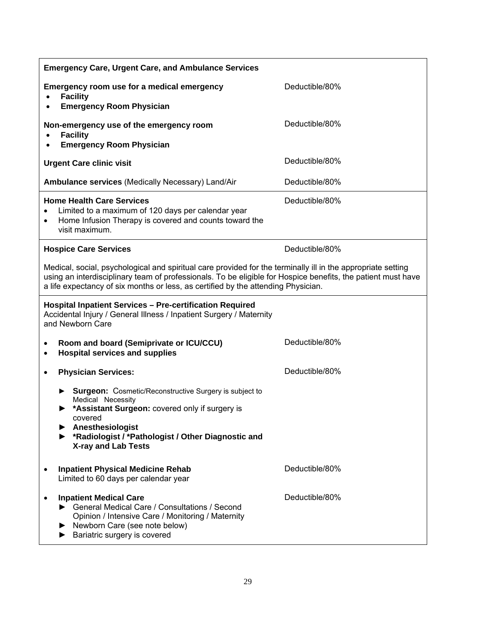| <b>Emergency Care, Urgent Care, and Ambulance Services</b>                                                                                                                                                                                                                                                        |                |  |  |
|-------------------------------------------------------------------------------------------------------------------------------------------------------------------------------------------------------------------------------------------------------------------------------------------------------------------|----------------|--|--|
| Emergency room use for a medical emergency<br><b>Facility</b><br><b>Emergency Room Physician</b>                                                                                                                                                                                                                  | Deductible/80% |  |  |
| Non-emergency use of the emergency room<br><b>Facility</b><br><b>Emergency Room Physician</b>                                                                                                                                                                                                                     | Deductible/80% |  |  |
| <b>Urgent Care clinic visit</b>                                                                                                                                                                                                                                                                                   | Deductible/80% |  |  |
| <b>Ambulance services (Medically Necessary) Land/Air</b>                                                                                                                                                                                                                                                          | Deductible/80% |  |  |
| <b>Home Health Care Services</b><br>Limited to a maximum of 120 days per calendar year<br>Home Infusion Therapy is covered and counts toward the<br>٠<br>visit maximum.                                                                                                                                           | Deductible/80% |  |  |
| <b>Hospice Care Services</b>                                                                                                                                                                                                                                                                                      | Deductible/80% |  |  |
| Medical, social, psychological and spiritual care provided for the terminally ill in the appropriate setting<br>using an interdisciplinary team of professionals. To be eligible for Hospice benefits, the patient must have<br>a life expectancy of six months or less, as certified by the attending Physician. |                |  |  |
| <b>Hospital Inpatient Services - Pre-certification Required</b><br>Accidental Injury / General Illness / Inpatient Surgery / Maternity<br>and Newborn Care                                                                                                                                                        |                |  |  |
| Room and board (Semiprivate or ICU/CCU)<br>$\bullet$<br><b>Hospital services and supplies</b><br>٠                                                                                                                                                                                                                | Deductible/80% |  |  |
| <b>Physician Services:</b><br>$\bullet$                                                                                                                                                                                                                                                                           | Deductible/80% |  |  |
| Surgeon: Cosmetic/Reconstructive Surgery is subject to<br>Medical Necessity<br>*Assistant Surgeon: covered only if surgery is<br>covered<br>Anesthesiologist<br>*Radiologist / *Pathologist / Other Diagnostic and<br><b>X-ray and Lab Tests</b>                                                                  |                |  |  |
| <b>Inpatient Physical Medicine Rehab</b><br>Limited to 60 days per calendar year                                                                                                                                                                                                                                  | Deductible/80% |  |  |
| <b>Inpatient Medical Care</b><br>General Medical Care / Consultations / Second<br>Opinion / Intensive Care / Monitoring / Maternity<br>Newborn Care (see note below)<br>Bariatric surgery is covered                                                                                                              | Deductible/80% |  |  |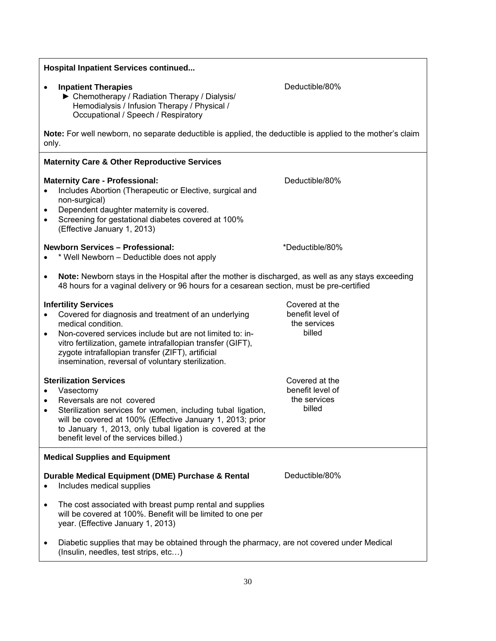| <b>Hospital Inpatient Services continued</b>                                                                                                                                                                                                                                                                                                                              |                                                                                                            |  |  |
|---------------------------------------------------------------------------------------------------------------------------------------------------------------------------------------------------------------------------------------------------------------------------------------------------------------------------------------------------------------------------|------------------------------------------------------------------------------------------------------------|--|--|
| <b>Inpatient Therapies</b><br>▶ Chemotherapy / Radiation Therapy / Dialysis/<br>Hemodialysis / Infusion Therapy / Physical /<br>Occupational / Speech / Respiratory                                                                                                                                                                                                       | Deductible/80%                                                                                             |  |  |
| only.                                                                                                                                                                                                                                                                                                                                                                     | Note: For well newborn, no separate deductible is applied, the deductible is applied to the mother's claim |  |  |
| <b>Maternity Care &amp; Other Reproductive Services</b>                                                                                                                                                                                                                                                                                                                   |                                                                                                            |  |  |
| <b>Maternity Care - Professional:</b><br>Includes Abortion (Therapeutic or Elective, surgical and<br>$\bullet$<br>non-surgical)<br>Dependent daughter maternity is covered.<br>$\bullet$<br>Screening for gestational diabetes covered at 100%<br>$\bullet$<br>(Effective January 1, 2013)                                                                                | Deductible/80%                                                                                             |  |  |
| <b>Newborn Services - Professional:</b><br>* Well Newborn – Deductible does not apply                                                                                                                                                                                                                                                                                     | *Deductible/80%                                                                                            |  |  |
| Note: Newborn stays in the Hospital after the mother is discharged, as well as any stays exceeding<br>$\bullet$<br>48 hours for a vaginal delivery or 96 hours for a cesarean section, must be pre-certified                                                                                                                                                              |                                                                                                            |  |  |
| <b>Infertility Services</b><br>Covered for diagnosis and treatment of an underlying<br>$\bullet$<br>medical condition.<br>Non-covered services include but are not limited to: in-<br>$\bullet$<br>vitro fertilization, gamete intrafallopian transfer (GIFT),<br>zygote intrafallopian transfer (ZIFT), artificial<br>insemination, reversal of voluntary sterilization. | Covered at the<br>benefit level of<br>the services<br>billed                                               |  |  |
| <b>Sterilization Services</b><br>Vasectomy<br>$\bullet$<br>Reversals are not covered<br>$\bullet$<br>Sterilization services for women, including tubal ligation,<br>$\bullet$<br>will be covered at 100% (Effective January 1, 2013; prior<br>to January 1, 2013, only tubal ligation is covered at the<br>benefit level of the services billed.)                         | Covered at the<br>benefit level of<br>the services<br>billed                                               |  |  |
| <b>Medical Supplies and Equipment</b>                                                                                                                                                                                                                                                                                                                                     |                                                                                                            |  |  |
| Durable Medical Equipment (DME) Purchase & Rental<br>Includes medical supplies<br>$\bullet$                                                                                                                                                                                                                                                                               | Deductible/80%                                                                                             |  |  |
| The cost associated with breast pump rental and supplies<br>٠<br>will be covered at 100%. Benefit will be limited to one per<br>year. (Effective January 1, 2013)                                                                                                                                                                                                         |                                                                                                            |  |  |
| Diabetic supplies that may be obtained through the pharmacy, are not covered under Medical<br>٠<br>(Insulin, needles, test strips, etc)                                                                                                                                                                                                                                   |                                                                                                            |  |  |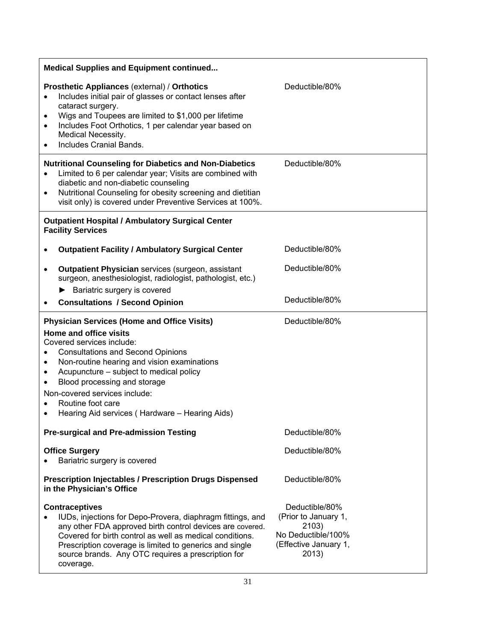| <b>Medical Supplies and Equipment continued</b> |                                                                                                                                                                                                                                                                                                 |                |  |
|-------------------------------------------------|-------------------------------------------------------------------------------------------------------------------------------------------------------------------------------------------------------------------------------------------------------------------------------------------------|----------------|--|
| $\bullet$<br>٠<br>$\bullet$<br>$\bullet$        | Prosthetic Appliances (external) / Orthotics<br>Includes initial pair of glasses or contact lenses after<br>cataract surgery.<br>Wigs and Toupees are limited to \$1,000 per lifetime<br>Includes Foot Orthotics, 1 per calendar year based on<br>Medical Necessity.<br>Includes Cranial Bands. | Deductible/80% |  |
| $\bullet$<br>$\bullet$                          | <b>Nutritional Counseling for Diabetics and Non-Diabetics</b><br>Limited to 6 per calendar year; Visits are combined with<br>diabetic and non-diabetic counseling<br>Nutritional Counseling for obesity screening and dietitian<br>visit only) is covered under Preventive Services at 100%.    | Deductible/80% |  |
|                                                 | <b>Outpatient Hospital / Ambulatory Surgical Center</b><br><b>Facility Services</b>                                                                                                                                                                                                             |                |  |
|                                                 | <b>Outpatient Facility / Ambulatory Surgical Center</b>                                                                                                                                                                                                                                         | Deductible/80% |  |
| $\bullet$                                       | <b>Outpatient Physician services (surgeon, assistant</b><br>surgeon, anesthesiologist, radiologist, pathologist, etc.)                                                                                                                                                                          | Deductible/80% |  |
|                                                 | Bariatric surgery is covered                                                                                                                                                                                                                                                                    |                |  |
|                                                 | <b>Consultations / Second Opinion</b>                                                                                                                                                                                                                                                           | Deductible/80% |  |
|                                                 |                                                                                                                                                                                                                                                                                                 |                |  |
| $\bullet$                                       | <b>Physician Services (Home and Office Visits)</b><br><b>Home and office visits</b><br>Covered services include:<br><b>Consultations and Second Opinions</b><br>Non-routine hearing and vision examinations                                                                                     | Deductible/80% |  |
| $\bullet$                                       | Acupuncture - subject to medical policy                                                                                                                                                                                                                                                         |                |  |
| $\bullet$                                       | Blood processing and storage<br>Non-covered services include:                                                                                                                                                                                                                                   |                |  |
| ٠<br>٠                                          | Routine foot care<br>Hearing Aid services (Hardware - Hearing Aids)                                                                                                                                                                                                                             |                |  |
|                                                 | <b>Pre-surgical and Pre-admission Testing</b>                                                                                                                                                                                                                                                   | Deductible/80% |  |
|                                                 | <b>Office Surgery</b>                                                                                                                                                                                                                                                                           | Deductible/80% |  |
|                                                 | Bariatric surgery is covered                                                                                                                                                                                                                                                                    |                |  |
|                                                 | <b>Prescription Injectables / Prescription Drugs Dispensed</b><br>in the Physician's Office                                                                                                                                                                                                     | Deductible/80% |  |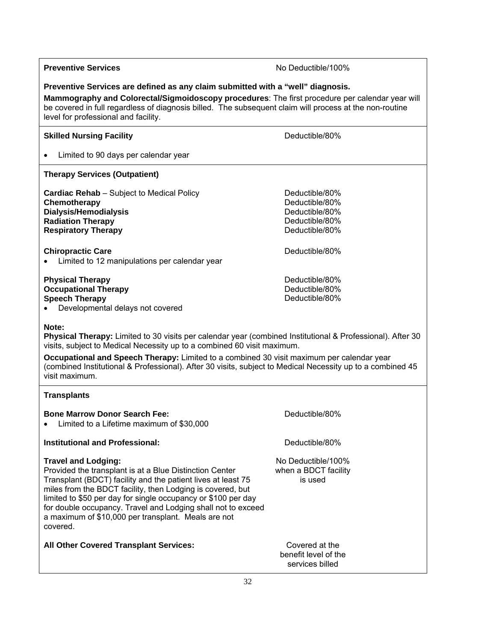| <b>Preventive Services</b>                                                                                                                                                                                                                                                                                                                                                                                                  | No Deductible/100%                                                                     |  |
|-----------------------------------------------------------------------------------------------------------------------------------------------------------------------------------------------------------------------------------------------------------------------------------------------------------------------------------------------------------------------------------------------------------------------------|----------------------------------------------------------------------------------------|--|
| Preventive Services are defined as any claim submitted with a "well" diagnosis.<br>Mammography and Colorectal/Sigmoidoscopy procedures: The first procedure per calendar year will<br>be covered in full regardless of diagnosis billed. The subsequent claim will process at the non-routine<br>level for professional and facility.                                                                                       |                                                                                        |  |
| <b>Skilled Nursing Facility</b>                                                                                                                                                                                                                                                                                                                                                                                             | Deductible/80%                                                                         |  |
| Limited to 90 days per calendar year                                                                                                                                                                                                                                                                                                                                                                                        |                                                                                        |  |
| <b>Therapy Services (Outpatient)</b>                                                                                                                                                                                                                                                                                                                                                                                        |                                                                                        |  |
| <b>Cardiac Rehab</b> - Subject to Medical Policy<br>Chemotherapy<br><b>Dialysis/Hemodialysis</b><br><b>Radiation Therapy</b><br><b>Respiratory Therapy</b>                                                                                                                                                                                                                                                                  | Deductible/80%<br>Deductible/80%<br>Deductible/80%<br>Deductible/80%<br>Deductible/80% |  |
| <b>Chiropractic Care</b><br>Limited to 12 manipulations per calendar year                                                                                                                                                                                                                                                                                                                                                   | Deductible/80%                                                                         |  |
| <b>Physical Therapy</b><br><b>Occupational Therapy</b><br><b>Speech Therapy</b><br>Developmental delays not covered                                                                                                                                                                                                                                                                                                         | Deductible/80%<br>Deductible/80%<br>Deductible/80%                                     |  |
| Note:<br>Physical Therapy: Limited to 30 visits per calendar year (combined Institutional & Professional). After 30<br>visits, subject to Medical Necessity up to a combined 60 visit maximum.<br>Occupational and Speech Therapy: Limited to a combined 30 visit maximum per calendar year<br>(combined Institutional & Professional). After 30 visits, subject to Medical Necessity up to a combined 45<br>visit maximum. |                                                                                        |  |
| <b>Transplants</b>                                                                                                                                                                                                                                                                                                                                                                                                          |                                                                                        |  |
| <b>Bone Marrow Donor Search Fee:</b><br>Limited to a Lifetime maximum of \$30,000                                                                                                                                                                                                                                                                                                                                           | Deductible/80%                                                                         |  |
| <b>Institutional and Professional:</b>                                                                                                                                                                                                                                                                                                                                                                                      | Deductible/80%                                                                         |  |
| <b>Travel and Lodging:</b><br>Provided the transplant is at a Blue Distinction Center<br>Transplant (BDCT) facility and the patient lives at least 75<br>miles from the BDCT facility, then Lodging is covered, but<br>limited to \$50 per day for single occupancy or \$100 per day<br>for double occupancy. Travel and Lodging shall not to exceed<br>a maximum of \$10,000 per transplant. Meals are not<br>covered.     | No Deductible/100%<br>when a BDCT facility<br>is used                                  |  |
| All Other Covered Transplant Services:                                                                                                                                                                                                                                                                                                                                                                                      | Covered at the<br>benefit level of the<br>services billed                              |  |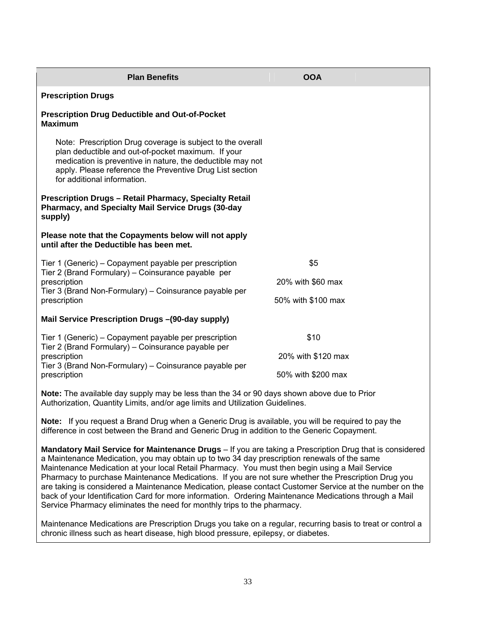| <b>Plan Benefits</b>                                                                                                                                                                                                                                                      | <b>OOA</b>         |  |
|---------------------------------------------------------------------------------------------------------------------------------------------------------------------------------------------------------------------------------------------------------------------------|--------------------|--|
| <b>Prescription Drugs</b>                                                                                                                                                                                                                                                 |                    |  |
| <b>Prescription Drug Deductible and Out-of-Pocket</b><br><b>Maximum</b>                                                                                                                                                                                                   |                    |  |
| Note: Prescription Drug coverage is subject to the overall<br>plan deductible and out-of-pocket maximum. If your<br>medication is preventive in nature, the deductible may not<br>apply. Please reference the Preventive Drug List section<br>for additional information. |                    |  |
| <b>Prescription Drugs - Retail Pharmacy, Specialty Retail</b><br>Pharmacy, and Specialty Mail Service Drugs (30-day<br>supply)                                                                                                                                            |                    |  |
| Please note that the Copayments below will not apply<br>until after the Deductible has been met.                                                                                                                                                                          |                    |  |
| Tier 1 (Generic) – Copayment payable per prescription<br>Tier 2 (Brand Formulary) – Coinsurance payable per<br>prescription<br>Tier 3 (Brand Non-Formulary) – Coinsurance payable per<br>prescription                                                                     | \$5                |  |
|                                                                                                                                                                                                                                                                           | 20% with \$60 max  |  |
|                                                                                                                                                                                                                                                                           | 50% with \$100 max |  |
| Mail Service Prescription Drugs - (90-day supply)                                                                                                                                                                                                                         |                    |  |
| Tier 1 (Generic) – Copayment payable per prescription<br>Tier 2 (Brand Formulary) – Coinsurance payable per<br>prescription<br>Tier 3 (Brand Non-Formulary) – Coinsurance payable per<br>prescription                                                                     | \$10               |  |
|                                                                                                                                                                                                                                                                           | 20% with \$120 max |  |
|                                                                                                                                                                                                                                                                           | 50% with \$200 max |  |
| Note: The available day supply may be less than the 34 or 90 days shown above due to Prior<br>Authorization, Quantity Limits, and/or age limits and Utilization Guidelines.                                                                                               |                    |  |

**Note:** If you request a Brand Drug when a Generic Drug is available, you will be required to pay the difference in cost between the Brand and Generic Drug in addition to the Generic Copayment.

**Mandatory Mail Service for Maintenance Drugs** – If you are taking a Prescription Drug that is considered a Maintenance Medication, you may obtain up to two 34 day prescription renewals of the same Maintenance Medication at your local Retail Pharmacy. You must then begin using a Mail Service Pharmacy to purchase Maintenance Medications. If you are not sure whether the Prescription Drug you are taking is considered a Maintenance Medication*,* please contact Customer Service at the number on the back of your Identification Card for more information. Ordering Maintenance Medications through a Mail Service Pharmacy eliminates the need for monthly trips to the pharmacy.

Maintenance Medications are Prescription Drugs you take on a regular, recurring basis to treat or control a chronic illness such as heart disease, high blood pressure, epilepsy, or diabetes.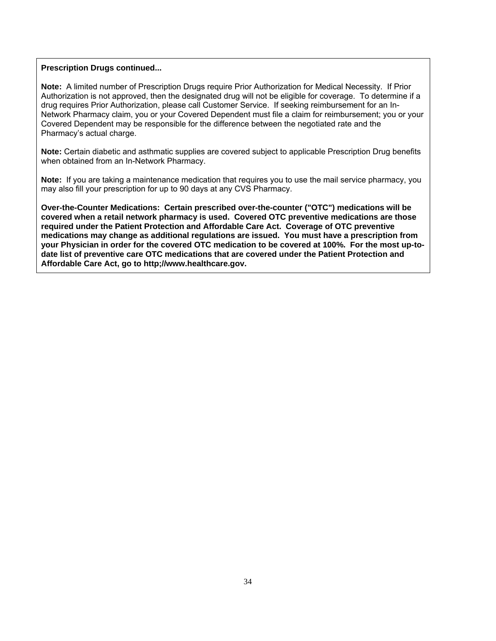#### **Prescription Drugs continued...**

**Note:** A limited number of Prescription Drugs require Prior Authorization for Medical Necessity. If Prior Authorization is not approved, then the designated drug will not be eligible for coverage. To determine if a drug requires Prior Authorization, please call Customer Service. If seeking reimbursement for an In-Network Pharmacy claim, you or your Covered Dependent must file a claim for reimbursement; you or your Covered Dependent may be responsible for the difference between the negotiated rate and the Pharmacy's actual charge.

**Note:** Certain diabetic and asthmatic supplies are covered subject to applicable Prescription Drug benefits when obtained from an In-Network Pharmacy.

**Note:** If you are taking a maintenance medication that requires you to use the mail service pharmacy, you may also fill your prescription for up to 90 days at any CVS Pharmacy.

**Over-the-Counter Medications: Certain prescribed over-the-counter ("OTC") medications will be covered when a retail network pharmacy is used. Covered OTC preventive medications are those required under the Patient Protection and Affordable Care Act. Coverage of OTC preventive medications may change as additional regulations are issued. You must have a prescription from your Physician in order for the covered OTC medication to be covered at 100%. For the most up-todate list of preventive care OTC medications that are covered under the Patient Protection and Affordable Care Act, go to http;//www.healthcare.gov.**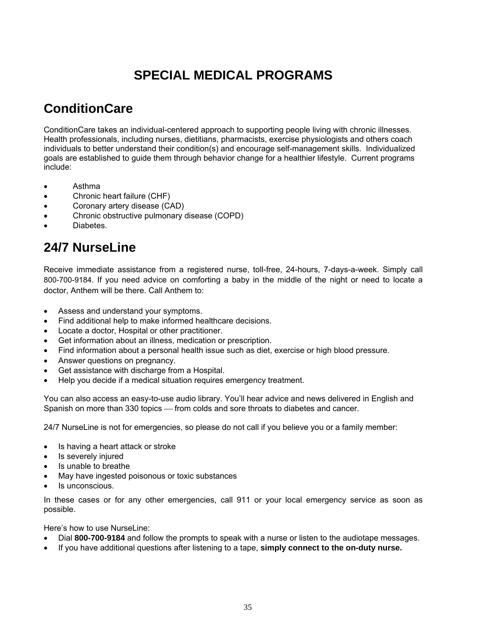# **SPECIAL MEDICAL PROGRAMS**

### **ConditionCare**

ConditionCare takes an individual-centered approach to supporting people living with chronic illnesses. Health professionals, including nurses, dietitians, pharmacists, exercise physiologists and others coach individuals to better understand their condition(s) and encourage self-management skills. Individualized goals are established to guide them through behavior change for a healthier lifestyle. Current programs include:

- Asthma
- Chronic heart failure (CHF)
- Coronary artery disease (CAD)
- Chronic obstructive pulmonary disease (COPD)
- **Diabetes**

# **24/7 NurseLine**

Receive immediate assistance from a registered nurse, toll-free, 24-hours, 7-days-a-week. Simply call 800-700-9184. If you need advice on comforting a baby in the middle of the night or need to locate a doctor, Anthem will be there. Call Anthem to:

- Assess and understand your symptoms.
- Find additional help to make informed healthcare decisions.
- Locate a doctor, Hospital or other practitioner.
- Get information about an illness, medication or prescription.
- Find information about a personal health issue such as diet, exercise or high blood pressure.
- Answer questions on pregnancy.
- Get assistance with discharge from a Hospital.
- Help you decide if a medical situation requires emergency treatment.

You can also access an easy-to-use audio library. You'll hear advice and news delivered in English and Spanish on more than 330 topics - from colds and sore throats to diabetes and cancer.

24/7 NurseLine is not for emergencies, so please do not call if you believe you or a family member:

- Is having a heart attack or stroke
- Is severely injured
- Is unable to breathe
- May have ingested poisonous or toxic substances
- Is unconscious.

In these cases or for any other emergencies, call 911 or your local emergency service as soon as possible.

Here's how to use NurseLine:

- Dial **800-700-9184** and follow the prompts to speak with a nurse or listen to the audiotape messages.
- If you have additional questions after listening to a tape, **simply connect to the on-duty nurse.**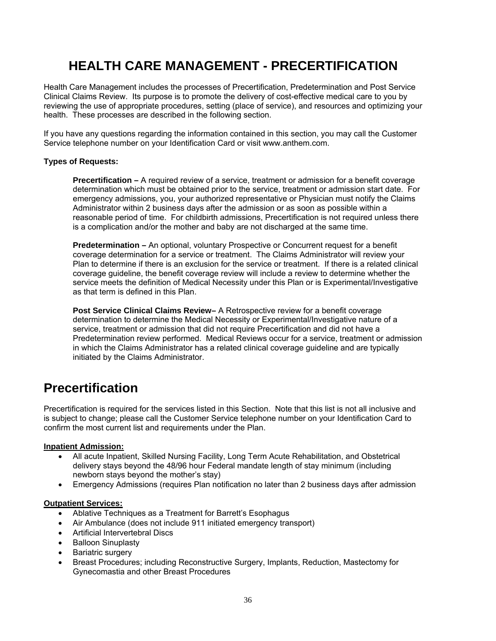# **HEALTH CARE MANAGEMENT - PRECERTIFICATION**

Health Care Management includes the processes of Precertification, Predetermination and Post Service Clinical Claims Review. Its purpose is to promote the delivery of cost-effective medical care to you by reviewing the use of appropriate procedures, setting (place of service), and resources and optimizing your health. These processes are described in the following section.

If you have any questions regarding the information contained in this section, you may call the Customer Service telephone number on your Identification Card or visit www.anthem.com.

#### **Types of Requests:**

**Precertification –** A required review of a service, treatment or admission for a benefit coverage determination which must be obtained prior to the service, treatment or admission start date. For emergency admissions, you, your authorized representative or Physician must notify the Claims Administrator within 2 business days after the admission or as soon as possible within a reasonable period of time. For childbirth admissions, Precertification is not required unless there is a complication and/or the mother and baby are not discharged at the same time.

**Predetermination –** An optional, voluntary Prospective or Concurrent request for a benefit coverage determination for a service or treatment. The Claims Administrator will review your Plan to determine if there is an exclusion for the service or treatment. If there is a related clinical coverage guideline, the benefit coverage review will include a review to determine whether the service meets the definition of Medical Necessity under this Plan or is Experimental/Investigative as that term is defined in this Plan.

**Post Service Clinical Claims Review–** A Retrospective review for a benefit coverage determination to determine the Medical Necessity or Experimental/Investigative nature of a service, treatment or admission that did not require Precertification and did not have a Predetermination review performed. Medical Reviews occur for a service, treatment or admission in which the Claims Administrator has a related clinical coverage guideline and are typically initiated by the Claims Administrator.

### **Precertification**

Precertification is required for the services listed in this Section. Note that this list is not all inclusive and is subject to change; please call the Customer Service telephone number on your Identification Card to confirm the most current list and requirements under the Plan.

#### **Inpatient Admission:**

- All acute Inpatient, Skilled Nursing Facility, Long Term Acute Rehabilitation, and Obstetrical delivery stays beyond the 48/96 hour Federal mandate length of stay minimum (including newborn stays beyond the mother's stay)
- Emergency Admissions (requires Plan notification no later than 2 business days after admission

#### **Outpatient Services:**

- Ablative Techniques as a Treatment for Barrett's Esophagus
- Air Ambulance (does not include 911 initiated emergency transport)
- Artificial Intervertebral Discs
- Balloon Sinuplasty
- Bariatric surgery
- Breast Procedures; including Reconstructive Surgery, Implants, Reduction, Mastectomy for Gynecomastia and other Breast Procedures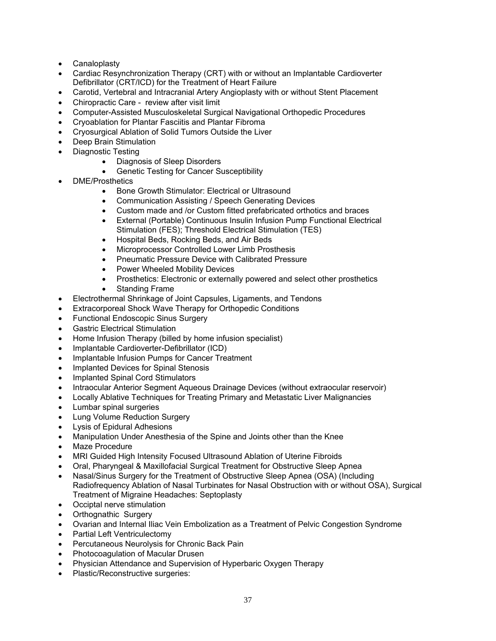- Canaloplasty
- Cardiac Resynchronization Therapy (CRT) with or without an Implantable Cardioverter Defibrillator (CRT/ICD) for the Treatment of Heart Failure
- Carotid, Vertebral and Intracranial Artery Angioplasty with or without Stent Placement
- Chiropractic Care review after visit limit
- Computer-Assisted Musculoskeletal Surgical Navigational Orthopedic Procedures
- Cryoablation for Plantar Fasciitis and Plantar Fibroma
- Cryosurgical Ablation of Solid Tumors Outside the Liver
- Deep Brain Stimulation
- Diagnostic Testing
	- Diagnosis of Sleep Disorders
	- Genetic Testing for Cancer Susceptibility
- DME/Prosthetics
	- Bone Growth Stimulator: Electrical or Ultrasound
	- Communication Assisting / Speech Generating Devices
	- Custom made and /or Custom fitted prefabricated orthotics and braces
	- External (Portable) Continuous Insulin Infusion Pump Functional Electrical Stimulation (FES); Threshold Electrical Stimulation (TES)
	- Hospital Beds, Rocking Beds, and Air Beds
	- Microprocessor Controlled Lower Limb Prosthesis
	- Pneumatic Pressure Device with Calibrated Pressure
	- Power Wheeled Mobility Devices
	- Prosthetics: Electronic or externally powered and select other prosthetics
	- Standing Frame
- Electrothermal Shrinkage of Joint Capsules, Ligaments, and Tendons
- Extracorporeal Shock Wave Therapy for Orthopedic Conditions
- Functional Endoscopic Sinus Surgery
- Gastric Electrical Stimulation
- Home Infusion Therapy (billed by home infusion specialist)
- Implantable Cardioverter-Defibrillator (ICD)
- Implantable Infusion Pumps for Cancer Treatment
- Implanted Devices for Spinal Stenosis
- Implanted Spinal Cord Stimulators
- Intraocular Anterior Segment Aqueous Drainage Devices (without extraocular reservoir)
- Locally Ablative Techniques for Treating Primary and Metastatic Liver Malignancies
- Lumbar spinal surgeries
- Lung Volume Reduction Surgery
- Lysis of Epidural Adhesions
- Manipulation Under Anesthesia of the Spine and Joints other than the Knee
- Maze Procedure
- MRI Guided High Intensity Focused Ultrasound Ablation of Uterine Fibroids
- Oral, Pharyngeal & Maxillofacial Surgical Treatment for Obstructive Sleep Apnea
- Nasal/Sinus Surgery for the Treatment of Obstructive Sleep Apnea (OSA) (Including Radiofrequency Ablation of Nasal Turbinates for Nasal Obstruction with or without OSA), Surgical Treatment of Migraine Headaches: Septoplasty
- Occiptal nerve stimulation
- Orthognathic Surgery
- Ovarian and Internal Iliac Vein Embolization as a Treatment of Pelvic Congestion Syndrome
- Partial Left Ventriculectomy
- Percutaneous Neurolysis for Chronic Back Pain
- Photocoagulation of Macular Drusen
- Physician Attendance and Supervision of Hyperbaric Oxygen Therapy
- Plastic/Reconstructive surgeries: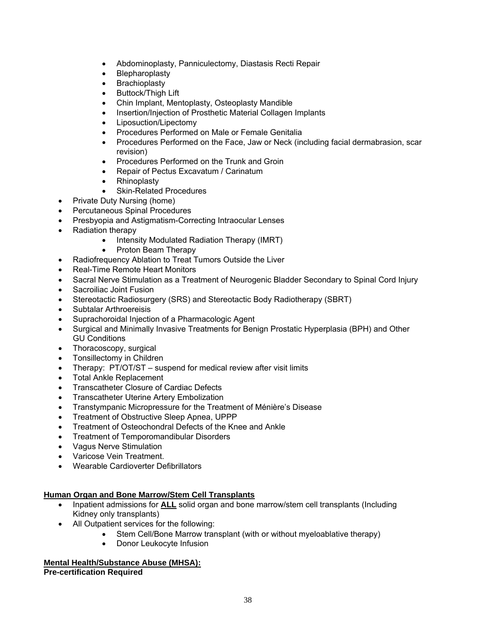- Abdominoplasty, Panniculectomy, Diastasis Recti Repair
- Blepharoplasty
- **Brachioplasty**
- Buttock/Thigh Lift
- Chin Implant, Mentoplasty, Osteoplasty Mandible
- Insertion/Injection of Prosthetic Material Collagen Implants
- Liposuction/Lipectomy
- Procedures Performed on Male or Female Genitalia
- Procedures Performed on the Face, Jaw or Neck (including facial dermabrasion, scar revision)
- Procedures Performed on the Trunk and Groin
- Repair of Pectus Excavatum / Carinatum
- Rhinoplasty
- Skin-Related Procedures
- Private Duty Nursing (home)
	- Percutaneous Spinal Procedures
- Presbyopia and Astigmatism-Correcting Intraocular Lenses
- Radiation therapy
	- Intensity Modulated Radiation Therapy (IMRT)
	- Proton Beam Therapy
- Radiofrequency Ablation to Treat Tumors Outside the Liver
- Real-Time Remote Heart Monitors
- Sacral Nerve Stimulation as a Treatment of Neurogenic Bladder Secondary to Spinal Cord Injury
- Sacroiliac Joint Fusion
- Stereotactic Radiosurgery (SRS) and Stereotactic Body Radiotherapy (SBRT)
- Subtalar Arthroereisis
- Suprachoroidal Injection of a Pharmacologic Agent
- Surgical and Minimally Invasive Treatments for Benign Prostatic Hyperplasia (BPH) and Other GU Conditions
- Thoracoscopy, surgical
- Tonsillectomy in Children
- Therapy: PT/OT/ST suspend for medical review after visit limits
- Total Ankle Replacement
- Transcatheter Closure of Cardiac Defects
- Transcatheter Uterine Artery Embolization
- Transtympanic Micropressure for the Treatment of Ménière's Disease
- Treatment of Obstructive Sleep Apnea, UPPP
- Treatment of Osteochondral Defects of the Knee and Ankle
- Treatment of Temporomandibular Disorders
- Vagus Nerve Stimulation
- Varicose Vein Treatment.
- Wearable Cardioverter Defibrillators

## **Human Organ and Bone Marrow/Stem Cell Transplants**

- Inpatient admissions for **ALL** solid organ and bone marrow/stem cell transplants (Including Kidney only transplants)
- All Outpatient services for the following:
	- Stem Cell/Bone Marrow transplant (with or without myeloablative therapy)
	- Donor Leukocyte Infusion

## **Mental Health/Substance Abuse (MHSA):**

**Pre-certification Required**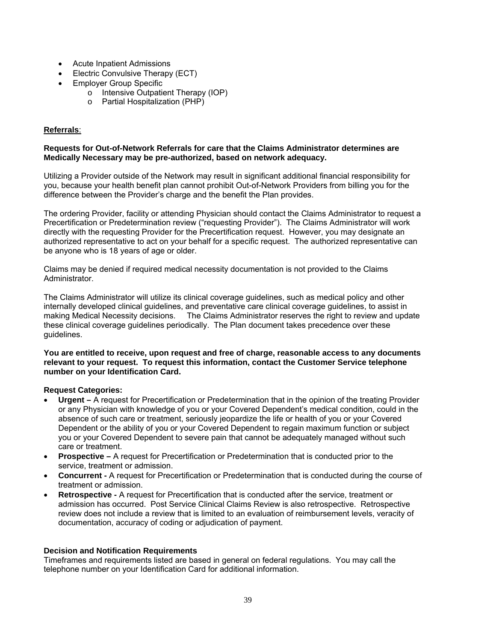- Acute Inpatient Admissions
- Electric Convulsive Therapy (ECT)
- Employer Group Specific
	- o Intensive Outpatient Therapy (IOP)
	- o Partial Hospitalization (PHP)

## **Referrals**:

#### **Requests for Out-of-Network Referrals for care that the Claims Administrator determines are Medically Necessary may be pre-authorized, based on network adequacy.**

Utilizing a Provider outside of the Network may result in significant additional financial responsibility for you, because your health benefit plan cannot prohibit Out-of-Network Providers from billing you for the difference between the Provider's charge and the benefit the Plan provides.

The ordering Provider, facility or attending Physician should contact the Claims Administrator to request a Precertification or Predetermination review ("requesting Provider"). The Claims Administrator will work directly with the requesting Provider for the Precertification request. However, you may designate an authorized representative to act on your behalf for a specific request. The authorized representative can be anyone who is 18 years of age or older.

Claims may be denied if required medical necessity documentation is not provided to the Claims Administrator.

The Claims Administrator will utilize its clinical coverage guidelines, such as medical policy and other internally developed clinical guidelines, and preventative care clinical coverage guidelines, to assist in making Medical Necessity decisions. The Claims Administrator reserves the right to review and update these clinical coverage guidelines periodically. The Plan document takes precedence over these guidelines.

**You are entitled to receive, upon request and free of charge, reasonable access to any documents relevant to your request. To request this information, contact the Customer Service telephone number on your Identification Card.** 

## **Request Categories:**

- **Urgent** A request for Precertification or Predetermination that in the opinion of the treating Provider or any Physician with knowledge of you or your Covered Dependent's medical condition, could in the absence of such care or treatment, seriously jeopardize the life or health of you or your Covered Dependent or the ability of you or your Covered Dependent to regain maximum function or subject you or your Covered Dependent to severe pain that cannot be adequately managed without such care or treatment.
- **Prospective** A request for Precertification or Predetermination that is conducted prior to the service, treatment or admission.
- **Concurrent** A request for Precertification or Predetermination that is conducted during the course of treatment or admission.
- **Retrospective** A request for Precertification that is conducted after the service, treatment or admission has occurred. Post Service Clinical Claims Review is also retrospective. Retrospective review does not include a review that is limited to an evaluation of reimbursement levels, veracity of documentation, accuracy of coding or adjudication of payment.

## **Decision and Notification Requirements**

Timeframes and requirements listed are based in general on federal regulations. You may call the telephone number on your Identification Card for additional information.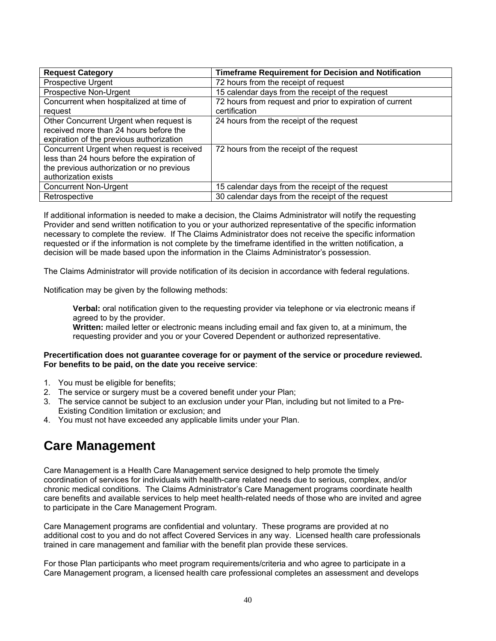| <b>Request Category</b>                     | <b>Timeframe Requirement for Decision and Notification</b> |
|---------------------------------------------|------------------------------------------------------------|
| Prospective Urgent                          | 72 hours from the receipt of request                       |
| Prospective Non-Urgent                      | 15 calendar days from the receipt of the request           |
| Concurrent when hospitalized at time of     | 72 hours from request and prior to expiration of current   |
| request                                     | certification                                              |
| Other Concurrent Urgent when request is     | 24 hours from the receipt of the request                   |
| received more than 24 hours before the      |                                                            |
| expiration of the previous authorization    |                                                            |
| Concurrent Urgent when request is received  | 72 hours from the receipt of the request                   |
| less than 24 hours before the expiration of |                                                            |
| the previous authorization or no previous   |                                                            |
| authorization exists                        |                                                            |
| <b>Concurrent Non-Urgent</b>                | 15 calendar days from the receipt of the request           |
| Retrospective                               | 30 calendar days from the receipt of the request           |

If additional information is needed to make a decision, the Claims Administrator will notify the requesting Provider and send written notification to you or your authorized representative of the specific information necessary to complete the review. If The Claims Administrator does not receive the specific information requested or if the information is not complete by the timeframe identified in the written notification, a decision will be made based upon the information in the Claims Administrator's possession.

The Claims Administrator will provide notification of its decision in accordance with federal regulations.

Notification may be given by the following methods:

**Verbal:** oral notification given to the requesting provider via telephone or via electronic means if agreed to by the provider.

**Written:** mailed letter or electronic means including email and fax given to, at a minimum, the requesting provider and you or your Covered Dependent or authorized representative.

#### **Precertification does not guarantee coverage for or payment of the service or procedure reviewed. For benefits to be paid, on the date you receive service**:

- 1. You must be eligible for benefits;
- 2. The service or surgery must be a covered benefit under your Plan;
- 3. The service cannot be subject to an exclusion under your Plan, including but not limited to a Pre-Existing Condition limitation or exclusion; and
- 4. You must not have exceeded any applicable limits under your Plan.

## **Care Management**

Care Management is a Health Care Management service designed to help promote the timely coordination of services for individuals with health-care related needs due to serious, complex, and/or chronic medical conditions. The Claims Administrator's Care Management programs coordinate health care benefits and available services to help meet health-related needs of those who are invited and agree to participate in the Care Management Program.

Care Management programs are confidential and voluntary. These programs are provided at no additional cost to you and do not affect Covered Services in any way. Licensed health care professionals trained in care management and familiar with the benefit plan provide these services.

For those Plan participants who meet program requirements/criteria and who agree to participate in a Care Management program, a licensed health care professional completes an assessment and develops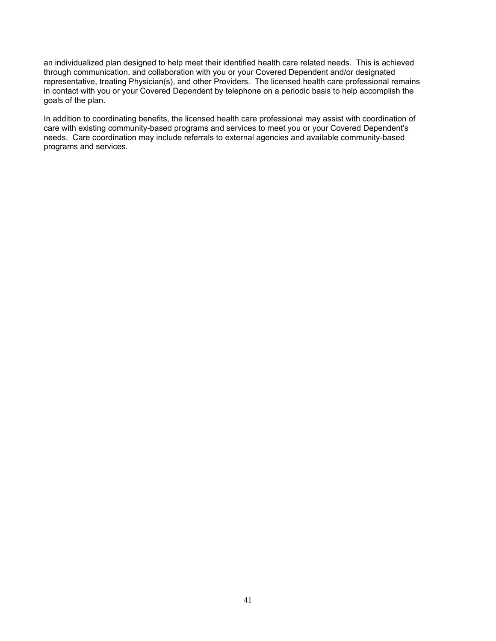an individualized plan designed to help meet their identified health care related needs. This is achieved through communication, and collaboration with you or your Covered Dependent and/or designated representative, treating Physician(s), and other Providers. The licensed health care professional remains in contact with you or your Covered Dependent by telephone on a periodic basis to help accomplish the goals of the plan.

In addition to coordinating benefits, the licensed health care professional may assist with coordination of care with existing community-based programs and services to meet you or your Covered Dependent's needs. Care coordination may include referrals to external agencies and available community-based programs and services.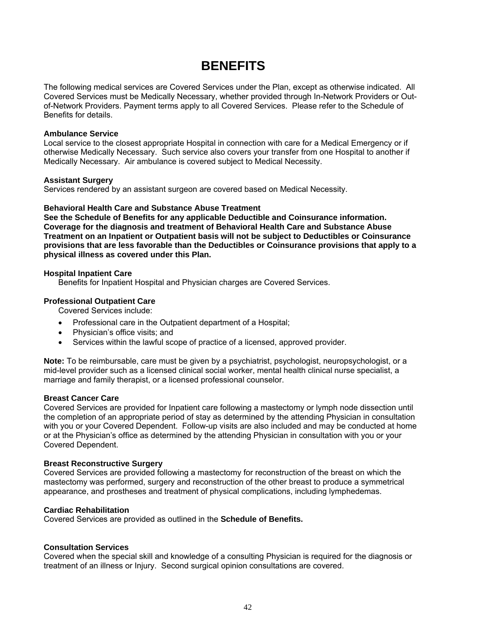## **BENEFITS**

The following medical services are Covered Services under the Plan, except as otherwise indicated. All Covered Services must be Medically Necessary, whether provided through In-Network Providers or Outof-Network Providers. Payment terms apply to all Covered Services. Please refer to the Schedule of Benefits for details.

#### **Ambulance Service**

Local service to the closest appropriate Hospital in connection with care for a Medical Emergency or if otherwise Medically Necessary. Such service also covers your transfer from one Hospital to another if Medically Necessary. Air ambulance is covered subject to Medical Necessity.

#### **Assistant Surgery**

Services rendered by an assistant surgeon are covered based on Medical Necessity.

#### **Behavioral Health Care and Substance Abuse Treatment**

**See the Schedule of Benefits for any applicable Deductible and Coinsurance information. Coverage for the diagnosis and treatment of Behavioral Health Care and Substance Abuse Treatment on an Inpatient or Outpatient basis will not be subject to Deductibles or Coinsurance provisions that are less favorable than the Deductibles or Coinsurance provisions that apply to a physical illness as covered under this Plan.**

#### **Hospital Inpatient Care**

Benefits for Inpatient Hospital and Physician charges are Covered Services.

#### **Professional Outpatient Care**

Covered Services include:

- Professional care in the Outpatient department of a Hospital;
- Physician's office visits; and
- Services within the lawful scope of practice of a licensed, approved provider.

**Note:** To be reimbursable, care must be given by a psychiatrist, psychologist, neuropsychologist, or a mid-level provider such as a licensed clinical social worker, mental health clinical nurse specialist, a marriage and family therapist, or a licensed professional counselor.

#### **Breast Cancer Care**

Covered Services are provided for Inpatient care following a mastectomy or lymph node dissection until the completion of an appropriate period of stay as determined by the attending Physician in consultation with you or your Covered Dependent. Follow-up visits are also included and may be conducted at home or at the Physician's office as determined by the attending Physician in consultation with you or your Covered Dependent.

#### **Breast Reconstructive Surgery**

Covered Services are provided following a mastectomy for reconstruction of the breast on which the mastectomy was performed, surgery and reconstruction of the other breast to produce a symmetrical appearance, and prostheses and treatment of physical complications, including lymphedemas.

#### **Cardiac Rehabilitation**

Covered Services are provided as outlined in the **Schedule of Benefits.**

#### **Consultation Services**

Covered when the special skill and knowledge of a consulting Physician is required for the diagnosis or treatment of an illness or Injury. Second surgical opinion consultations are covered.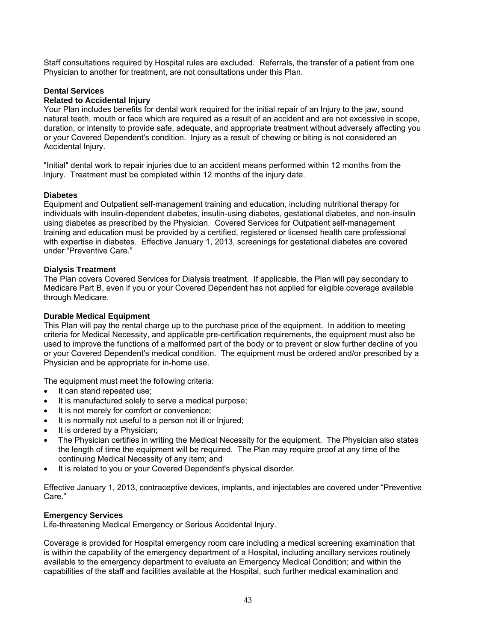Staff consultations required by Hospital rules are excluded. Referrals, the transfer of a patient from one Physician to another for treatment, are not consultations under this Plan.

## **Dental Services**

#### **Related to Accidental Injury**

Your Plan includes benefits for dental work required for the initial repair of an Injury to the jaw, sound natural teeth, mouth or face which are required as a result of an accident and are not excessive in scope, duration, or intensity to provide safe, adequate, and appropriate treatment without adversely affecting you or your Covered Dependent's condition. Injury as a result of chewing or biting is not considered an Accidental Injury.

"Initial" dental work to repair injuries due to an accident means performed within 12 months from the Injury. Treatment must be completed within 12 months of the injury date.

#### **Diabetes**

Equipment and Outpatient self-management training and education, including nutritional therapy for individuals with insulin-dependent diabetes, insulin-using diabetes, gestational diabetes, and non-insulin using diabetes as prescribed by the Physician. Covered Services for Outpatient self-management training and education must be provided by a certified, registered or licensed health care professional with expertise in diabetes. Effective January 1, 2013, screenings for gestational diabetes are covered under "Preventive Care."

#### **Dialysis Treatment**

The Plan covers Covered Services for Dialysis treatment. If applicable, the Plan will pay secondary to Medicare Part B, even if you or your Covered Dependent has not applied for eligible coverage available through Medicare.

#### **Durable Medical Equipment**

This Plan will pay the rental charge up to the purchase price of the equipment. In addition to meeting criteria for Medical Necessity, and applicable pre-certification requirements, the equipment must also be used to improve the functions of a malformed part of the body or to prevent or slow further decline of you or your Covered Dependent's medical condition. The equipment must be ordered and/or prescribed by a Physician and be appropriate for in-home use.

The equipment must meet the following criteria:

- It can stand repeated use:
- It is manufactured solely to serve a medical purpose;
- It is not merely for comfort or convenience;
- It is normally not useful to a person not ill or Injured;
- It is ordered by a Physician;
- The Physician certifies in writing the Medical Necessity for the equipment. The Physician also states the length of time the equipment will be required. The Plan may require proof at any time of the continuing Medical Necessity of any item; and
- It is related to you or your Covered Dependent's physical disorder.

Effective January 1, 2013, contraceptive devices, implants, and injectables are covered under "Preventive Care."

#### **Emergency Services**

Life-threatening Medical Emergency or Serious Accidental Injury.

Coverage is provided for Hospital emergency room care including a medical screening examination that is within the capability of the emergency department of a Hospital, including ancillary services routinely available to the emergency department to evaluate an Emergency Medical Condition; and within the capabilities of the staff and facilities available at the Hospital, such further medical examination and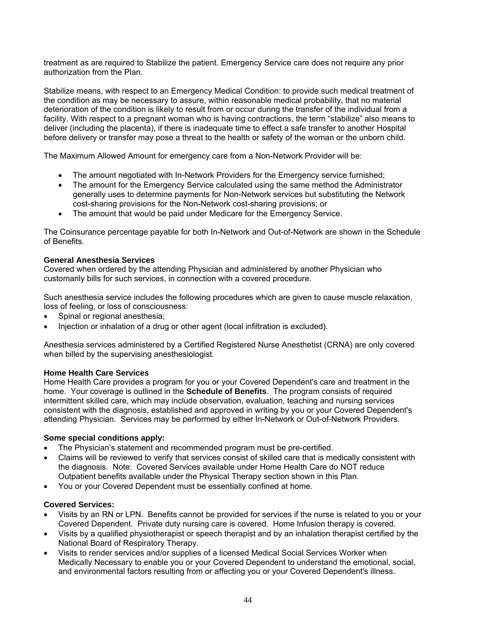treatment as are required to Stabilize the patient. Emergency Service care does not require any prior authorization from the Plan.

Stabilize means, with respect to an Emergency Medical Condition: to provide such medical treatment of the condition as may be necessary to assure, within reasonable medical probability, that no material deterioration of the condition is likely to result from or occur during the transfer of the individual from a facility. With respect to a pregnant woman who is having contractions, the term "stabilize" also means to deliver (including the placenta), if there is inadequate time to effect a safe transfer to another Hospital before delivery or transfer may pose a threat to the health or safety of the woman or the unborn child.

The Maximum Allowed Amount for emergency care from a Non-Network Provider will be:

- The amount negotiated with In-Network Providers for the Emergency service furnished;
- The amount for the Emergency Service calculated using the same method the Administrator generally uses to determine payments for Non-Network services but substituting the Network cost-sharing provisions for the Non-Network cost-sharing provisions; or
- The amount that would be paid under Medicare for the Emergency Service.

The Coinsurance percentage payable for both In-Network and Out-of-Network are shown in the Schedule of Benefits.

#### **General Anesthesia Services**

Covered when ordered by the attending Physician and administered by another Physician who customarily bills for such services, in connection with a covered procedure.

Such anesthesia service includes the following procedures which are given to cause muscle relaxation, loss of feeling, or loss of consciousness:

- Spinal or regional anesthesia;
- Injection or inhalation of a drug or other agent (local infiltration is excluded).

Anesthesia services administered by a Certified Registered Nurse Anesthetist (CRNA) are only covered when billed by the supervising anesthesiologist.

#### **Home Health Care Services**

Home Health Care provides a program for you or your Covered Dependent's care and treatment in the home. Your coverage is outlined in the **Schedule of Benefits**. The program consists of required intermittent skilled care, which may include observation, evaluation, teaching and nursing services consistent with the diagnosis, established and approved in writing by you or your Covered Dependent's attending Physician. Services may be performed by either In-Network or Out-of-Network Providers.

#### **Some special conditions apply:**

- The Physician's statement and recommended program must be pre-certified.
- Claims will be reviewed to verify that services consist of skilled care that is medically consistent with the diagnosis. Note: Covered Services available under Home Health Care do NOT reduce Outpatient benefits available under the Physical Therapy section shown in this Plan.
- You or your Covered Dependent must be essentially confined at home.

#### **Covered Services:**

- Visits by an RN or LPN. Benefits cannot be provided for services if the nurse is related to you or your Covered Dependent. Private duty nursing care is covered. Home Infusion therapy is covered.
- Visits by a qualified physiotherapist or speech therapist and by an inhalation therapist certified by the National Board of Respiratory Therapy.
- Visits to render services and/or supplies of a licensed Medical Social Services Worker when Medically Necessary to enable you or your Covered Dependent to understand the emotional, social, and environmental factors resulting from or affecting you or your Covered Dependent's illness.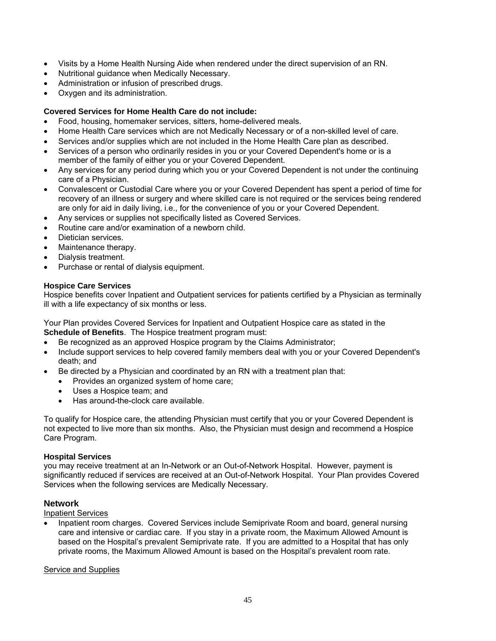- Visits by a Home Health Nursing Aide when rendered under the direct supervision of an RN.
- Nutritional guidance when Medically Necessary.
- Administration or infusion of prescribed drugs.
- Oxygen and its administration.

## **Covered Services for Home Health Care do not include:**

- Food, housing, homemaker services, sitters, home-delivered meals.
- Home Health Care services which are not Medically Necessary or of a non-skilled level of care.
- Services and/or supplies which are not included in the Home Health Care plan as described.
- Services of a person who ordinarily resides in you or your Covered Dependent's home or is a member of the family of either you or your Covered Dependent.
- Any services for any period during which you or your Covered Dependent is not under the continuing care of a Physician.
- Convalescent or Custodial Care where you or your Covered Dependent has spent a period of time for recovery of an illness or surgery and where skilled care is not required or the services being rendered are only for aid in daily living, i.e., for the convenience of you or your Covered Dependent.
- Any services or supplies not specifically listed as Covered Services.
- Routine care and/or examination of a newborn child.
- Dietician services.
- Maintenance therapy.
- Dialysis treatment.
- Purchase or rental of dialysis equipment.

## **Hospice Care Services**

Hospice benefits cover Inpatient and Outpatient services for patients certified by a Physician as terminally ill with a life expectancy of six months or less.

Your Plan provides Covered Services for Inpatient and Outpatient Hospice care as stated in the **Schedule of Benefits**. The Hospice treatment program must:

- Be recognized as an approved Hospice program by the Claims Administrator;
- Include support services to help covered family members deal with you or your Covered Dependent's death; and
- Be directed by a Physician and coordinated by an RN with a treatment plan that:
	- Provides an organized system of home care;
	- Uses a Hospice team; and
	- Has around-the-clock care available.

To qualify for Hospice care, the attending Physician must certify that you or your Covered Dependent is not expected to live more than six months. Also, the Physician must design and recommend a Hospice Care Program.

## **Hospital Services**

you may receive treatment at an In-Network or an Out-of-Network Hospital. However, payment is significantly reduced if services are received at an Out-of-Network Hospital. Your Plan provides Covered Services when the following services are Medically Necessary.

## **Network**

## Inpatient Services

 Inpatient room charges. Covered Services include Semiprivate Room and board, general nursing care and intensive or cardiac care. If you stay in a private room, the Maximum Allowed Amount is based on the Hospital's prevalent Semiprivate rate. If you are admitted to a Hospital that has only private rooms, the Maximum Allowed Amount is based on the Hospital's prevalent room rate.

## **Service and Supplies**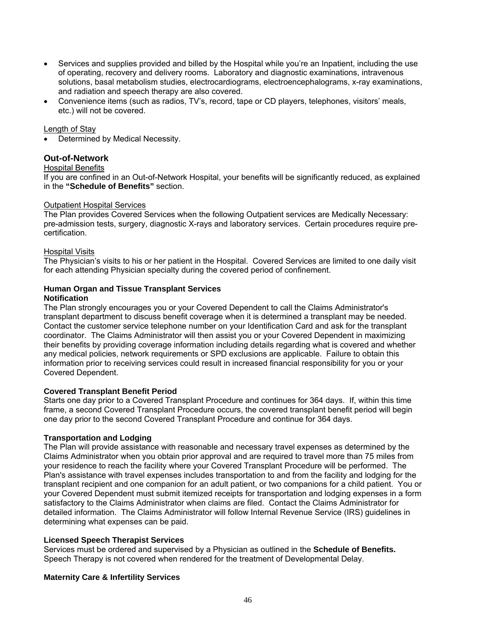- Services and supplies provided and billed by the Hospital while you're an Inpatient, including the use of operating, recovery and delivery rooms. Laboratory and diagnostic examinations, intravenous solutions, basal metabolism studies, electrocardiograms, electroencephalograms, x-ray examinations, and radiation and speech therapy are also covered.
- Convenience items (such as radios, TV's, record, tape or CD players, telephones, visitors' meals, etc.) will not be covered.

### Length of Stay

Determined by Medical Necessity.

## **Out-of-Network**

#### Hospital Benefits

If you are confined in an Out-of-Network Hospital, your benefits will be significantly reduced, as explained in the **"Schedule of Benefits"** section.

#### Outpatient Hospital Services

The Plan provides Covered Services when the following Outpatient services are Medically Necessary: pre-admission tests, surgery, diagnostic X-rays and laboratory services. Certain procedures require precertification.

#### Hospital Visits

The Physician's visits to his or her patient in the Hospital. Covered Services are limited to one daily visit for each attending Physician specialty during the covered period of confinement.

#### **Human Organ and Tissue Transplant Services Notification**

The Plan strongly encourages you or your Covered Dependent to call the Claims Administrator's transplant department to discuss benefit coverage when it is determined a transplant may be needed. Contact the customer service telephone number on your Identification Card and ask for the transplant coordinator. The Claims Administrator will then assist you or your Covered Dependent in maximizing their benefits by providing coverage information including details regarding what is covered and whether any medical policies, network requirements or SPD exclusions are applicable. Failure to obtain this information prior to receiving services could result in increased financial responsibility for you or your Covered Dependent.

#### **Covered Transplant Benefit Period**

Starts one day prior to a Covered Transplant Procedure and continues for 364 days. If, within this time frame, a second Covered Transplant Procedure occurs, the covered transplant benefit period will begin one day prior to the second Covered Transplant Procedure and continue for 364 days.

## **Transportation and Lodging**

The Plan will provide assistance with reasonable and necessary travel expenses as determined by the Claims Administrator when you obtain prior approval and are required to travel more than 75 miles from your residence to reach the facility where your Covered Transplant Procedure will be performed. The Plan's assistance with travel expenses includes transportation to and from the facility and lodging for the transplant recipient and one companion for an adult patient, or two companions for a child patient. You or your Covered Dependent must submit itemized receipts for transportation and lodging expenses in a form satisfactory to the Claims Administrator when claims are filed. Contact the Claims Administrator for detailed information. The Claims Administrator will follow Internal Revenue Service (IRS) guidelines in determining what expenses can be paid.

#### **Licensed Speech Therapist Services**

Services must be ordered and supervised by a Physician as outlined in the **Schedule of Benefits.** Speech Therapy is not covered when rendered for the treatment of Developmental Delay.

## **Maternity Care & Infertility Services**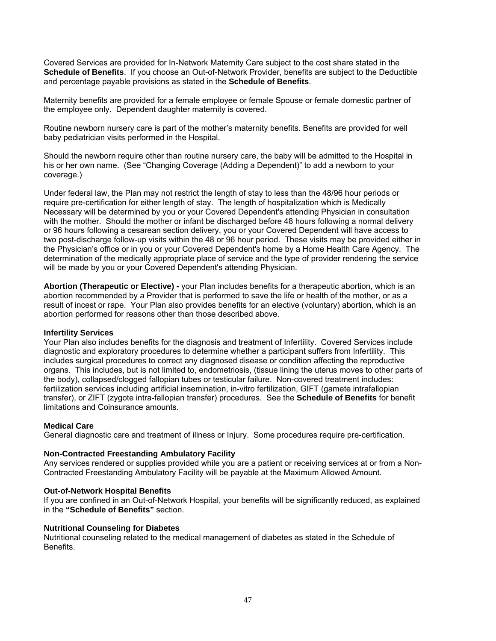Covered Services are provided for In-Network Maternity Care subject to the cost share stated in the **Schedule of Benefits**. If you choose an Out-of-Network Provider, benefits are subject to the Deductible and percentage payable provisions as stated in the **Schedule of Benefits**.

Maternity benefits are provided for a female employee or female Spouse or female domestic partner of the employee only.Dependent daughter maternity is covered.

Routine newborn nursery care is part of the mother's maternity benefits. Benefits are provided for well baby pediatrician visits performed in the Hospital.

Should the newborn require other than routine nursery care, the baby will be admitted to the Hospital in his or her own name. (See "Changing Coverage (Adding a Dependent)" to add a newborn to your coverage.)

Under federal law, the Plan may not restrict the length of stay to less than the 48/96 hour periods or require pre-certification for either length of stay. The length of hospitalization which is Medically Necessary will be determined by you or your Covered Dependent's attending Physician in consultation with the mother. Should the mother or infant be discharged before 48 hours following a normal delivery or 96 hours following a cesarean section delivery, you or your Covered Dependent will have access to two post-discharge follow-up visits within the 48 or 96 hour period. These visits may be provided either in the Physician's office or in you or your Covered Dependent's home by a Home Health Care Agency. The determination of the medically appropriate place of service and the type of provider rendering the service will be made by you or your Covered Dependent's attending Physician.

**Abortion (Therapeutic or Elective) -** your Plan includes benefits for a therapeutic abortion, which is an abortion recommended by a Provider that is performed to save the life or health of the mother, or as a result of incest or rape. Your Plan also provides benefits for an elective (voluntary) abortion, which is an abortion performed for reasons other than those described above.

#### **Infertility Services**

Your Plan also includes benefits for the diagnosis and treatment of Infertility. Covered Services include diagnostic and exploratory procedures to determine whether a participant suffers from Infertility. This includes surgical procedures to correct any diagnosed disease or condition affecting the reproductive organs. This includes, but is not limited to, endometriosis, (tissue lining the uterus moves to other parts of the body), collapsed/clogged fallopian tubes or testicular failure. Non-covered treatment includes: fertilization services including artificial insemination, in-vitro fertilization, GIFT (gamete intrafallopian transfer), or ZIFT (zygote intra-fallopian transfer) procedures. See the **Schedule of Benefits** for benefit limitations and Coinsurance amounts.

## **Medical Care**

General diagnostic care and treatment of illness or Injury. Some procedures require pre-certification.

#### **Non-Contracted Freestanding Ambulatory Facility**

Any services rendered or supplies provided while you are a patient or receiving services at or from a Non-Contracted Freestanding Ambulatory Facility will be payable at the Maximum Allowed Amount.

#### **Out-of-Network Hospital Benefits**

If you are confined in an Out-of-Network Hospital, your benefits will be significantly reduced, as explained in the **"Schedule of Benefits"** section.

## **Nutritional Counseling for Diabetes**

Nutritional counseling related to the medical management of diabetes as stated in the Schedule of Benefits.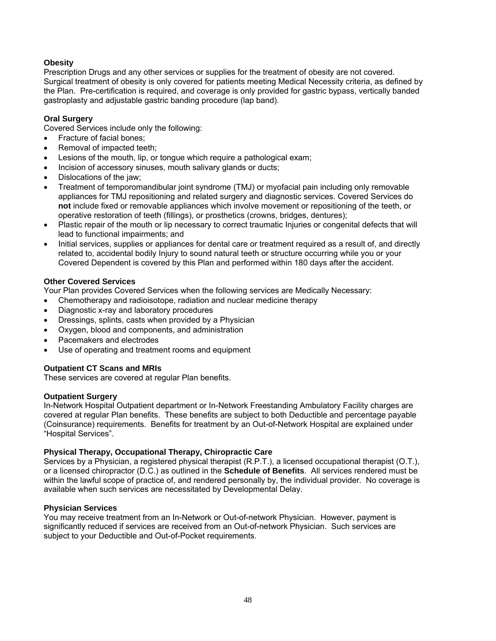## **Obesity**

Prescription Drugs and any other services or supplies for the treatment of obesity are not covered. Surgical treatment of obesity is only covered for patients meeting Medical Necessity criteria, as defined by the Plan. Pre-certification is required, and coverage is only provided for gastric bypass, vertically banded gastroplasty and adjustable gastric banding procedure (lap band).

## **Oral Surgery**

Covered Services include only the following:

- Fracture of facial bones;
- Removal of impacted teeth;
- Lesions of the mouth, lip, or tongue which require a pathological exam;
- Incision of accessory sinuses, mouth salivary glands or ducts;
- Dislocations of the jaw;
- Treatment of temporomandibular joint syndrome (TMJ) or myofacial pain including only removable appliances for TMJ repositioning and related surgery and diagnostic services. Covered Services do **not** include fixed or removable appliances which involve movement or repositioning of the teeth, or operative restoration of teeth (fillings), or prosthetics (crowns, bridges, dentures);
- Plastic repair of the mouth or lip necessary to correct traumatic Injuries or congenital defects that will lead to functional impairments; and
- Initial services, supplies or appliances for dental care or treatment required as a result of, and directly related to, accidental bodily Injury to sound natural teeth or structure occurring while you or your Covered Dependent is covered by this Plan and performed within 180 days after the accident.

#### **Other Covered Services**

Your Plan provides Covered Services when the following services are Medically Necessary:

- Chemotherapy and radioisotope, radiation and nuclear medicine therapy
- Diagnostic x-ray and laboratory procedures
- Dressings, splints, casts when provided by a Physician
- Oxygen, blood and components, and administration
- Pacemakers and electrodes
- Use of operating and treatment rooms and equipment

## **Outpatient CT Scans and MRIs**

These services are covered at regular Plan benefits.

#### **Outpatient Surgery**

In-Network Hospital Outpatient department or In-Network Freestanding Ambulatory Facility charges are covered at regular Plan benefits. These benefits are subject to both Deductible and percentage payable (Coinsurance) requirements. Benefits for treatment by an Out-of-Network Hospital are explained under "Hospital Services".

#### **Physical Therapy, Occupational Therapy, Chiropractic Care**

Services by a Physician, a registered physical therapist (R.P.T.), a licensed occupational therapist (O.T.), or a licensed chiropractor (D.C.) as outlined in the **Schedule of Benefits**. All services rendered must be within the lawful scope of practice of, and rendered personally by, the individual provider. No coverage is available when such services are necessitated by Developmental Delay.

#### **Physician Services**

You may receive treatment from an In-Network or Out-of-network Physician. However, payment is significantly reduced if services are received from an Out-of-network Physician. Such services are subject to your Deductible and Out-of-Pocket requirements.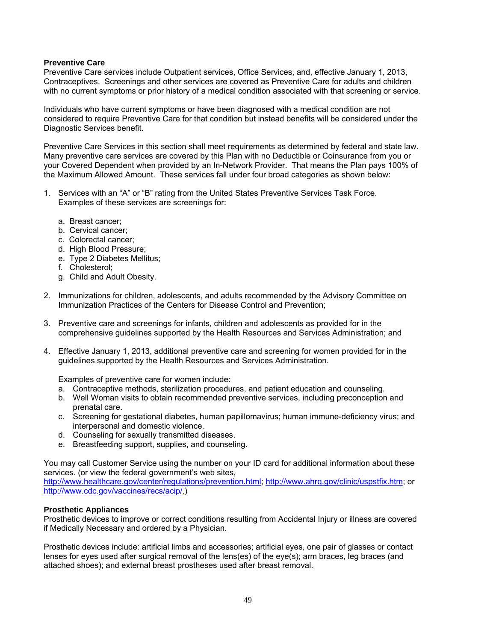## **Preventive Care**

Preventive Care services include Outpatient services, Office Services, and, effective January 1, 2013, Contraceptives. Screenings and other services are covered as Preventive Care for adults and children with no current symptoms or prior history of a medical condition associated with that screening or service.

Individuals who have current symptoms or have been diagnosed with a medical condition are not considered to require Preventive Care for that condition but instead benefits will be considered under the Diagnostic Services benefit.

Preventive Care Services in this section shall meet requirements as determined by federal and state law. Many preventive care services are covered by this Plan with no Deductible or Coinsurance from you or your Covered Dependent when provided by an In-Network Provider. That means the Plan pays 100% of the Maximum Allowed Amount. These services fall under four broad categories as shown below:

- 1. Services with an "A" or "B" rating from the United States Preventive Services Task Force. Examples of these services are screenings for:
	- a. Breast cancer;
	- b. Cervical cancer;
	- c. Colorectal cancer;
	- d. High Blood Pressure;
	- e. Type 2 Diabetes Mellitus;
	- f. Cholesterol;
	- g. Child and Adult Obesity.
- 2. Immunizations for children, adolescents, and adults recommended by the Advisory Committee on Immunization Practices of the Centers for Disease Control and Prevention;
- 3. Preventive care and screenings for infants, children and adolescents as provided for in the comprehensive guidelines supported by the Health Resources and Services Administration; and
- 4. Effective January 1, 2013, additional preventive care and screening for women provided for in the guidelines supported by the Health Resources and Services Administration.

Examples of preventive care for women include:

- a. Contraceptive methods, sterilization procedures, and patient education and counseling.
- b. Well Woman visits to obtain recommended preventive services, including preconception and prenatal care.
- c. Screening for gestational diabetes, human papillomavirus; human immune-deficiency virus; and interpersonal and domestic violence.
- d. Counseling for sexually transmitted diseases.
- e. Breastfeeding support, supplies, and counseling.

You may call Customer Service using the number on your ID card for additional information about these services. (or view the federal government's web sites,

http://www.healthcare.gov/center/regulations/prevention.html; http://www.ahrq.gov/clinic/uspstfix.htm; or http://www.cdc.gov/vaccines/recs/acip/.)

## **Prosthetic Appliances**

Prosthetic devices to improve or correct conditions resulting from Accidental Injury or illness are covered if Medically Necessary and ordered by a Physician.

Prosthetic devices include: artificial limbs and accessories; artificial eyes, one pair of glasses or contact lenses for eyes used after surgical removal of the lens(es) of the eye(s); arm braces, leg braces (and attached shoes); and external breast prostheses used after breast removal.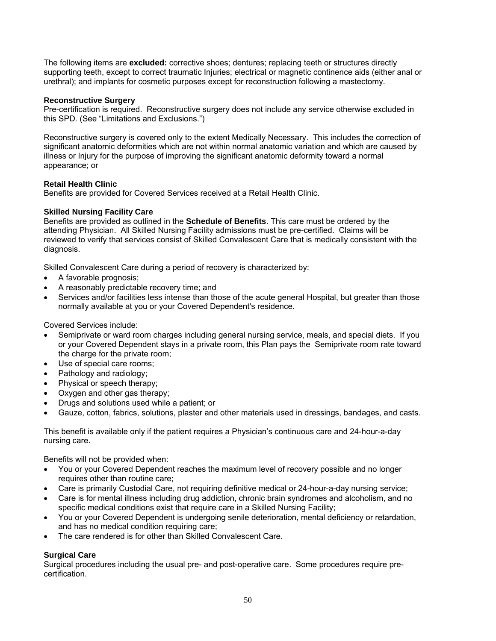The following items are **excluded:** corrective shoes; dentures; replacing teeth or structures directly supporting teeth, except to correct traumatic Injuries; electrical or magnetic continence aids (either anal or urethral); and implants for cosmetic purposes except for reconstruction following a mastectomy.

## **Reconstructive Surgery**

Pre-certification is required. Reconstructive surgery does not include any service otherwise excluded in this SPD. (See "Limitations and Exclusions.")

Reconstructive surgery is covered only to the extent Medically Necessary. This includes the correction of significant anatomic deformities which are not within normal anatomic variation and which are caused by illness or Injury for the purpose of improving the significant anatomic deformity toward a normal appearance; or

#### **Retail Health Clinic**

Benefits are provided for Covered Services received at a Retail Health Clinic.

#### **Skilled Nursing Facility Care**

Benefits are provided as outlined in the **Schedule of Benefits**. This care must be ordered by the attending Physician. All Skilled Nursing Facility admissions must be pre-certified. Claims will be reviewed to verify that services consist of Skilled Convalescent Care that is medically consistent with the diagnosis.

Skilled Convalescent Care during a period of recovery is characterized by:

- A favorable prognosis;
- A reasonably predictable recovery time; and
- Services and/or facilities less intense than those of the acute general Hospital, but greater than those normally available at you or your Covered Dependent's residence.

Covered Services include:

- Semiprivate or ward room charges including general nursing service, meals, and special diets. If you or your Covered Dependent stays in a private room, this Plan pays the Semiprivate room rate toward the charge for the private room;
- Use of special care rooms;
- Pathology and radiology;
- Physical or speech therapy;
- Oxygen and other gas therapy:
- Drugs and solutions used while a patient; or
- Gauze, cotton, fabrics, solutions, plaster and other materials used in dressings, bandages, and casts.

This benefit is available only if the patient requires a Physician's continuous care and 24-hour-a-day nursing care.

Benefits will not be provided when:

- You or your Covered Dependent reaches the maximum level of recovery possible and no longer requires other than routine care;
- Care is primarily Custodial Care, not requiring definitive medical or 24-hour-a-day nursing service;
- Care is for mental illness including drug addiction, chronic brain syndromes and alcoholism, and no specific medical conditions exist that require care in a Skilled Nursing Facility;
- You or your Covered Dependent is undergoing senile deterioration, mental deficiency or retardation, and has no medical condition requiring care;
- The care rendered is for other than Skilled Convalescent Care.

## **Surgical Care**

Surgical procedures including the usual pre- and post-operative care. Some procedures require precertification.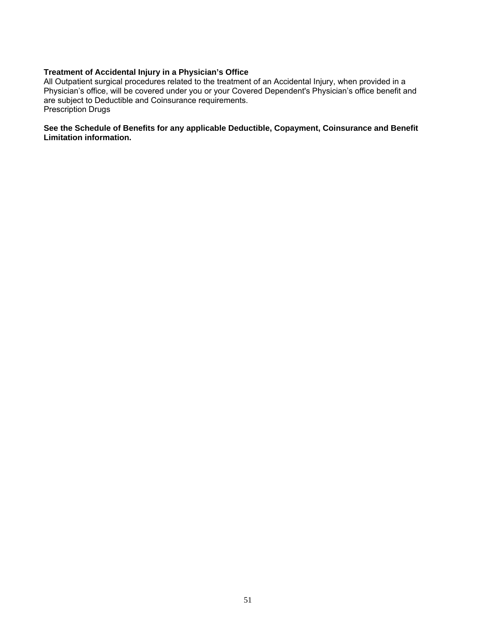## **Treatment of Accidental Injury in a Physician's Office**

All Outpatient surgical procedures related to the treatment of an Accidental Injury, when provided in a Physician's office, will be covered under you or your Covered Dependent's Physician's office benefit and are subject to Deductible and Coinsurance requirements. Prescription Drugs

#### **See the Schedule of Benefits for any applicable Deductible, Copayment, Coinsurance and Benefit Limitation information.**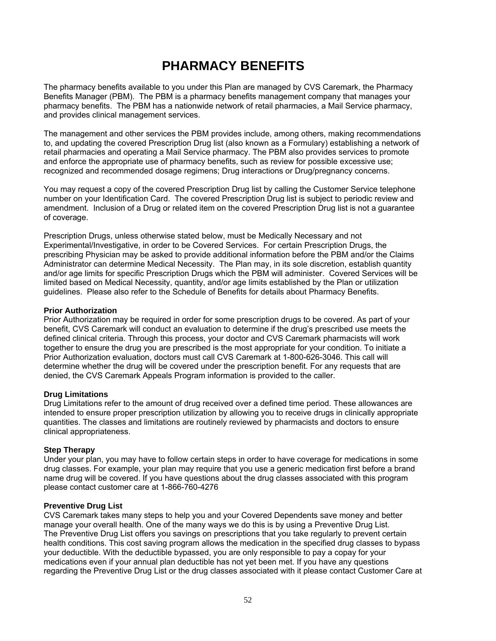## **PHARMACY BENEFITS**

The pharmacy benefits available to you under this Plan are managed by CVS Caremark, the Pharmacy Benefits Manager (PBM). The PBM is a pharmacy benefits management company that manages your pharmacy benefits. The PBM has a nationwide network of retail pharmacies, a Mail Service pharmacy, and provides clinical management services.

The management and other services the PBM provides include, among others, making recommendations to, and updating the covered Prescription Drug list (also known as a Formulary) establishing a network of retail pharmacies and operating a Mail Service pharmacy. The PBM also provides services to promote and enforce the appropriate use of pharmacy benefits, such as review for possible excessive use; recognized and recommended dosage regimens; Drug interactions or Drug/pregnancy concerns.

You may request a copy of the covered Prescription Drug list by calling the Customer Service telephone number on your Identification Card. The covered Prescription Drug list is subject to periodic review and amendment. Inclusion of a Drug or related item on the covered Prescription Drug list is not a guarantee of coverage.

Prescription Drugs, unless otherwise stated below, must be Medically Necessary and not Experimental/Investigative, in order to be Covered Services. For certain Prescription Drugs, the prescribing Physician may be asked to provide additional information before the PBM and/or the Claims Administrator can determine Medical Necessity. The Plan may, in its sole discretion, establish quantity and/or age limits for specific Prescription Drugs which the PBM will administer. Covered Services will be limited based on Medical Necessity, quantity, and/or age limits established by the Plan or utilization guidelines. Please also refer to the Schedule of Benefits for details about Pharmacy Benefits.

#### **Prior Authorization**

Prior Authorization may be required in order for some prescription drugs to be covered. As part of your benefit, CVS Caremark will conduct an evaluation to determine if the drug's prescribed use meets the defined clinical criteria. Through this process, your doctor and CVS Caremark pharmacists will work together to ensure the drug you are prescribed is the most appropriate for your condition. To initiate a Prior Authorization evaluation, doctors must call CVS Caremark at 1-800-626-3046. This call will determine whether the drug will be covered under the prescription benefit. For any requests that are denied, the CVS Caremark Appeals Program information is provided to the caller.

## **Drug Limitations**

Drug Limitations refer to the amount of drug received over a defined time period. These allowances are intended to ensure proper prescription utilization by allowing you to receive drugs in clinically appropriate quantities. The classes and limitations are routinely reviewed by pharmacists and doctors to ensure clinical appropriateness.

#### **Step Therapy**

Under your plan, you may have to follow certain steps in order to have coverage for medications in some drug classes. For example, your plan may require that you use a generic medication first before a brand name drug will be covered. If you have questions about the drug classes associated with this program please contact customer care at 1-866-760-4276

#### **Preventive Drug List**

CVS Caremark takes many steps to help you and your Covered Dependents save money and better manage your overall health. One of the many ways we do this is by using a Preventive Drug List. The Preventive Drug List offers you savings on prescriptions that you take regularly to prevent certain health conditions. This cost saving program allows the medication in the specified drug classes to bypass your deductible. With the deductible bypassed, you are only responsible to pay a copay for your medications even if your annual plan deductible has not yet been met. If you have any questions regarding the Preventive Drug List or the drug classes associated with it please contact Customer Care at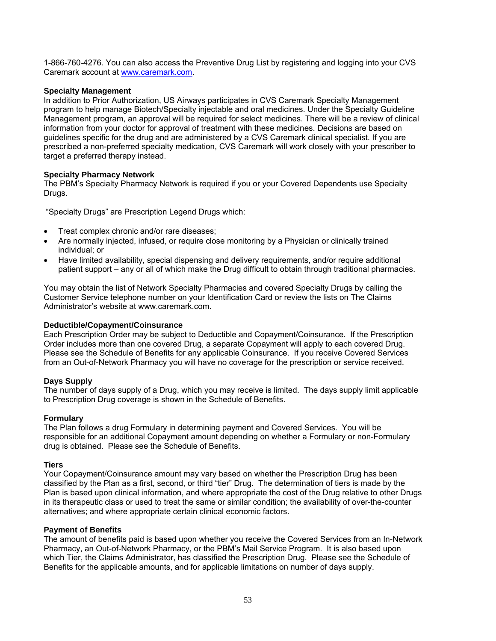1-866-760-4276. You can also access the Preventive Drug List by registering and logging into your CVS Caremark account at www.caremark.com.

## **Specialty Management**

In addition to Prior Authorization, US Airways participates in CVS Caremark Specialty Management program to help manage Biotech/Specialty injectable and oral medicines. Under the Specialty Guideline Management program, an approval will be required for select medicines. There will be a review of clinical information from your doctor for approval of treatment with these medicines. Decisions are based on guidelines specific for the drug and are administered by a CVS Caremark clinical specialist. If you are prescribed a non-preferred specialty medication, CVS Caremark will work closely with your prescriber to target a preferred therapy instead.

## **Specialty Pharmacy Network**

The PBM's Specialty Pharmacy Network is required if you or your Covered Dependents use Specialty Drugs.

"Specialty Drugs" are Prescription Legend Drugs which:

- Treat complex chronic and/or rare diseases;
- Are normally injected, infused, or require close monitoring by a Physician or clinically trained individual; or
- Have limited availability, special dispensing and delivery requirements, and/or require additional patient support – any or all of which make the Drug difficult to obtain through traditional pharmacies.

You may obtain the list of Network Specialty Pharmacies and covered Specialty Drugs by calling the Customer Service telephone number on your Identification Card or review the lists on The Claims Administrator's website at www.caremark.com.

## **Deductible/Copayment/Coinsurance**

Each Prescription Order may be subject to Deductible and Copayment/Coinsurance. If the Prescription Order includes more than one covered Drug, a separate Copayment will apply to each covered Drug. Please see the Schedule of Benefits for any applicable Coinsurance. If you receive Covered Services from an Out-of-Network Pharmacy you will have no coverage for the prescription or service received.

## **Days Supply**

The number of days supply of a Drug, which you may receive is limited. The days supply limit applicable to Prescription Drug coverage is shown in the Schedule of Benefits.

## **Formulary**

The Plan follows a drug Formulary in determining payment and Covered Services. You will be responsible for an additional Copayment amount depending on whether a Formulary or non-Formulary drug is obtained. Please see the Schedule of Benefits.

## **Tiers**

Your Copayment/Coinsurance amount may vary based on whether the Prescription Drug has been classified by the Plan as a first, second, or third "tier" Drug. The determination of tiers is made by the Plan is based upon clinical information, and where appropriate the cost of the Drug relative to other Drugs in its therapeutic class or used to treat the same or similar condition; the availability of over-the-counter alternatives; and where appropriate certain clinical economic factors.

## **Payment of Benefits**

The amount of benefits paid is based upon whether you receive the Covered Services from an In-Network Pharmacy, an Out-of-Network Pharmacy, or the PBM's Mail Service Program. It is also based upon which Tier, the Claims Administrator, has classified the Prescription Drug. Please see the Schedule of Benefits for the applicable amounts, and for applicable limitations on number of days supply.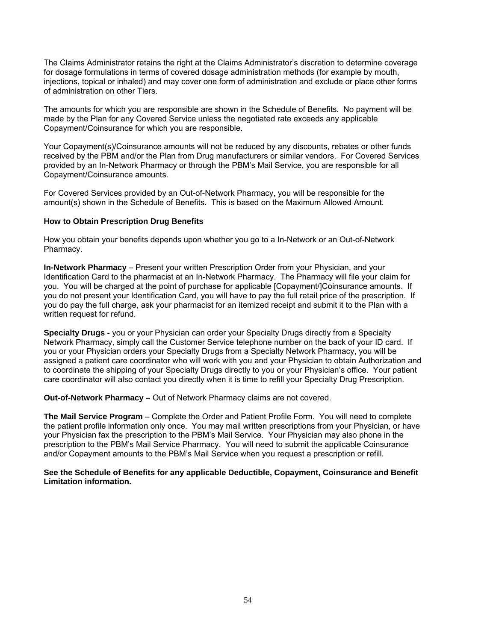The Claims Administrator retains the right at the Claims Administrator's discretion to determine coverage for dosage formulations in terms of covered dosage administration methods (for example by mouth, injections, topical or inhaled) and may cover one form of administration and exclude or place other forms of administration on other Tiers.

The amounts for which you are responsible are shown in the Schedule of Benefits. No payment will be made by the Plan for any Covered Service unless the negotiated rate exceeds any applicable Copayment/Coinsurance for which you are responsible.

Your Copayment(s)/Coinsurance amounts will not be reduced by any discounts, rebates or other funds received by the PBM and/or the Plan from Drug manufacturers or similar vendors. For Covered Services provided by an In-Network Pharmacy or through the PBM's Mail Service, you are responsible for all Copayment/Coinsurance amounts.

For Covered Services provided by an Out-of-Network Pharmacy, you will be responsible for the amount(s) shown in the Schedule of Benefits. This is based on the Maximum Allowed Amount.

#### **How to Obtain Prescription Drug Benefits**

How you obtain your benefits depends upon whether you go to a In-Network or an Out-of-Network Pharmacy.

**In-Network Pharmacy** – Present your written Prescription Order from your Physician, and your Identification Card to the pharmacist at an In-Network Pharmacy. The Pharmacy will file your claim for you. You will be charged at the point of purchase for applicable [Copayment/]Coinsurance amounts. If you do not present your Identification Card, you will have to pay the full retail price of the prescription. If you do pay the full charge, ask your pharmacist for an itemized receipt and submit it to the Plan with a written request for refund.

**Specialty Drugs -** you or your Physician can order your Specialty Drugs directly from a Specialty Network Pharmacy, simply call the Customer Service telephone number on the back of your ID card. If you or your Physician orders your Specialty Drugs from a Specialty Network Pharmacy, you will be assigned a patient care coordinator who will work with you and your Physician to obtain Authorization and to coordinate the shipping of your Specialty Drugs directly to you or your Physician's office. Your patient care coordinator will also contact you directly when it is time to refill your Specialty Drug Prescription.

**Out-of-Network Pharmacy –** Out of Network Pharmacy claims are not covered.

**The Mail Service Program** – Complete the Order and Patient Profile Form. You will need to complete the patient profile information only once. You may mail written prescriptions from your Physician, or have your Physician fax the prescription to the PBM's Mail Service. Your Physician may also phone in the prescription to the PBM's Mail Service Pharmacy. You will need to submit the applicable Coinsurance and/or Copayment amounts to the PBM's Mail Service when you request a prescription or refill.

**See the Schedule of Benefits for any applicable Deductible, Copayment, Coinsurance and Benefit Limitation information.**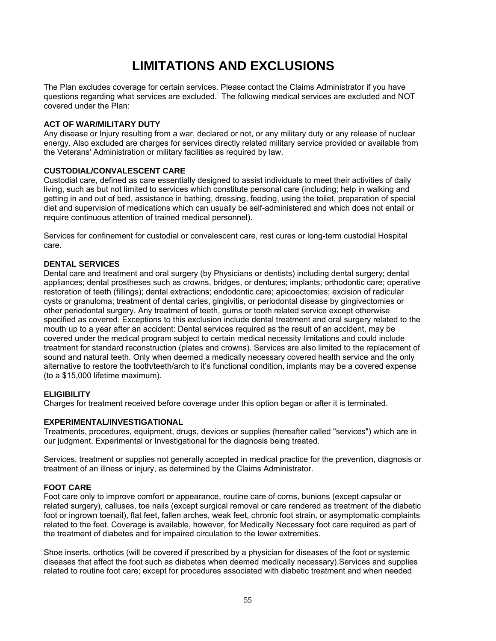# **LIMITATIONS AND EXCLUSIONS**

The Plan excludes coverage for certain services. Please contact the Claims Administrator if you have questions regarding what services are excluded. The following medical services are excluded and NOT covered under the Plan:

#### **ACT OF WAR/MILITARY DUTY**

Any disease or Injury resulting from a war, declared or not, or any military duty or any release of nuclear energy. Also excluded are charges for services directly related military service provided or available from the Veterans' Administration or military facilities as required by law.

#### **CUSTODIAL/CONVALESCENT CARE**

Custodial care, defined as care essentially designed to assist individuals to meet their activities of daily living, such as but not limited to services which constitute personal care (including; help in walking and getting in and out of bed, assistance in bathing, dressing, feeding, using the toilet, preparation of special diet and supervision of medications which can usually be self-administered and which does not entail or require continuous attention of trained medical personnel).

Services for confinement for custodial or convalescent care, rest cures or long-term custodial Hospital care.

#### **DENTAL SERVICES**

Dental care and treatment and oral surgery (by Physicians or dentists) including dental surgery; dental appliances; dental prostheses such as crowns, bridges, or dentures; implants; orthodontic care; operative restoration of teeth (fillings); dental extractions; endodontic care; apicoectomies; excision of radicular cysts or granuloma; treatment of dental caries, gingivitis, or periodontal disease by gingivectomies or other periodontal surgery. Any treatment of teeth, gums or tooth related service except otherwise specified as covered. Exceptions to this exclusion include dental treatment and oral surgery related to the mouth up to a year after an accident: Dental services required as the result of an accident, may be covered under the medical program subject to certain medical necessity limitations and could include treatment for standard reconstruction (plates and crowns). Services are also limited to the replacement of sound and natural teeth. Only when deemed a medically necessary covered health service and the only alternative to restore the tooth/teeth/arch to it's functional condition, implants may be a covered expense (to a \$15,000 lifetime maximum).

## **ELIGIBILITY**

Charges for treatment received before coverage under this option began or after it is terminated.

#### **EXPERIMENTAL/INVESTIGATIONAL**

Treatments, procedures, equipment, drugs, devices or supplies (hereafter called "services") which are in our judgment, Experimental or Investigational for the diagnosis being treated.

Services, treatment or supplies not generally accepted in medical practice for the prevention, diagnosis or treatment of an illness or injury, as determined by the Claims Administrator.

#### **FOOT CARE**

Foot care only to improve comfort or appearance, routine care of corns, bunions (except capsular or related surgery), calluses, toe nails (except surgical removal or care rendered as treatment of the diabetic foot or ingrown toenail), flat feet, fallen arches, weak feet, chronic foot strain, or asymptomatic complaints related to the feet. Coverage is available, however, for Medically Necessary foot care required as part of the treatment of diabetes and for impaired circulation to the lower extremities.

Shoe inserts, orthotics (will be covered if prescribed by a physician for diseases of the foot or systemic diseases that affect the foot such as diabetes when deemed medically necessary).Services and supplies related to routine foot care; except for procedures associated with diabetic treatment and when needed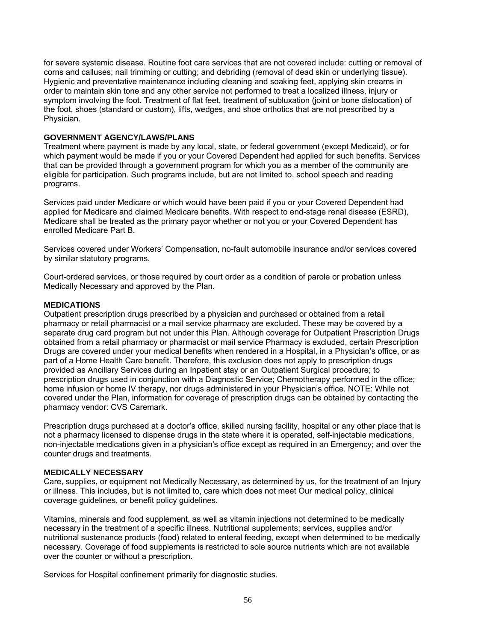for severe systemic disease. Routine foot care services that are not covered include: cutting or removal of corns and calluses; nail trimming or cutting; and debriding (removal of dead skin or underlying tissue). Hygienic and preventative maintenance including cleaning and soaking feet, applying skin creams in order to maintain skin tone and any other service not performed to treat a localized illness, injury or symptom involving the foot. Treatment of flat feet, treatment of subluxation (joint or bone dislocation) of the foot, shoes (standard or custom), lifts, wedges, and shoe orthotics that are not prescribed by a Physician.

#### **GOVERNMENT AGENCY/LAWS/PLANS**

Treatment where payment is made by any local, state, or federal government (except Medicaid), or for which payment would be made if you or your Covered Dependent had applied for such benefits. Services that can be provided through a government program for which you as a member of the community are eligible for participation. Such programs include, but are not limited to, school speech and reading programs.

Services paid under Medicare or which would have been paid if you or your Covered Dependent had applied for Medicare and claimed Medicare benefits. With respect to end-stage renal disease (ESRD), Medicare shall be treated as the primary payor whether or not you or your Covered Dependent has enrolled Medicare Part B.

Services covered under Workers' Compensation, no-fault automobile insurance and/or services covered by similar statutory programs.

Court-ordered services, or those required by court order as a condition of parole or probation unless Medically Necessary and approved by the Plan.

#### **MEDICATIONS**

Outpatient prescription drugs prescribed by a physician and purchased or obtained from a retail pharmacy or retail pharmacist or a mail service pharmacy are excluded. These may be covered by a separate drug card program but not under this Plan. Although coverage for Outpatient Prescription Drugs obtained from a retail pharmacy or pharmacist or mail service Pharmacy is excluded, certain Prescription Drugs are covered under your medical benefits when rendered in a Hospital, in a Physician's office, or as part of a Home Health Care benefit. Therefore, this exclusion does not apply to prescription drugs provided as Ancillary Services during an Inpatient stay or an Outpatient Surgical procedure; to prescription drugs used in conjunction with a Diagnostic Service; Chemotherapy performed in the office; home infusion or home IV therapy, nor drugs administered in your Physician's office. NOTE: While not covered under the Plan, information for coverage of prescription drugs can be obtained by contacting the pharmacy vendor: CVS Caremark.

Prescription drugs purchased at a doctor's office, skilled nursing facility, hospital or any other place that is not a pharmacy licensed to dispense drugs in the state where it is operated, self-injectable medications, non-injectable medications given in a physician's office except as required in an Emergency; and over the counter drugs and treatments.

#### **MEDICALLY NECESSARY**

Care, supplies, or equipment not Medically Necessary, as determined by us, for the treatment of an Injury or illness. This includes, but is not limited to, care which does not meet Our medical policy, clinical coverage guidelines, or benefit policy guidelines.

Vitamins, minerals and food supplement, as well as vitamin injections not determined to be medically necessary in the treatment of a specific illness. Nutritional supplements; services, supplies and/or nutritional sustenance products (food) related to enteral feeding, except when determined to be medically necessary. Coverage of food supplements is restricted to sole source nutrients which are not available over the counter or without a prescription.

Services for Hospital confinement primarily for diagnostic studies.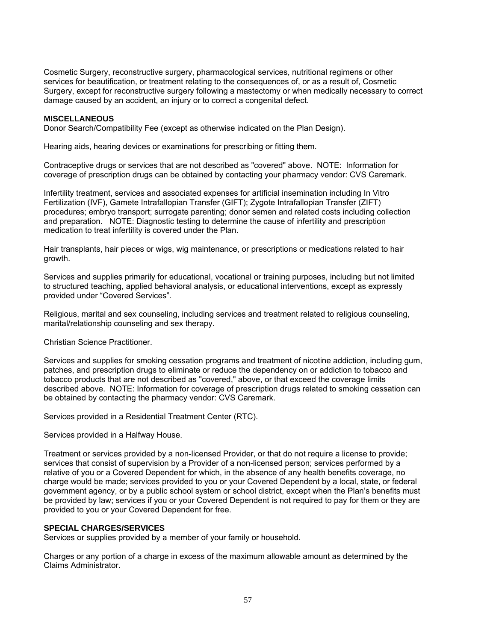Cosmetic Surgery, reconstructive surgery, pharmacological services, nutritional regimens or other services for beautification, or treatment relating to the consequences of, or as a result of, Cosmetic Surgery, except for reconstructive surgery following a mastectomy or when medically necessary to correct damage caused by an accident, an injury or to correct a congenital defect.

#### **MISCELLANEOUS**

Donor Search/Compatibility Fee (except as otherwise indicated on the Plan Design).

Hearing aids, hearing devices or examinations for prescribing or fitting them.

Contraceptive drugs or services that are not described as "covered" above. NOTE: Information for coverage of prescription drugs can be obtained by contacting your pharmacy vendor: CVS Caremark.

Infertility treatment, services and associated expenses for artificial insemination including In Vitro Fertilization (IVF), Gamete Intrafallopian Transfer (GIFT); Zygote Intrafallopian Transfer (ZIFT) procedures; embryo transport; surrogate parenting; donor semen and related costs including collection and preparation. NOTE: Diagnostic testing to determine the cause of infertility and prescription medication to treat infertility is covered under the Plan.

Hair transplants, hair pieces or wigs, wig maintenance, or prescriptions or medications related to hair growth.

Services and supplies primarily for educational, vocational or training purposes, including but not limited to structured teaching, applied behavioral analysis, or educational interventions, except as expressly provided under "Covered Services".

Religious, marital and sex counseling, including services and treatment related to religious counseling, marital/relationship counseling and sex therapy.

Christian Science Practitioner.

Services and supplies for smoking cessation programs and treatment of nicotine addiction, including gum, patches, and prescription drugs to eliminate or reduce the dependency on or addiction to tobacco and tobacco products that are not described as "covered," above, or that exceed the coverage limits described above. NOTE: Information for coverage of prescription drugs related to smoking cessation can be obtained by contacting the pharmacy vendor: CVS Caremark.

Services provided in a Residential Treatment Center (RTC).

Services provided in a Halfway House.

Treatment or services provided by a non-licensed Provider, or that do not require a license to provide; services that consist of supervision by a Provider of a non-licensed person; services performed by a relative of you or a Covered Dependent for which, in the absence of any health benefits coverage, no charge would be made; services provided to you or your Covered Dependent by a local, state, or federal government agency, or by a public school system or school district, except when the Plan's benefits must be provided by law; services if you or your Covered Dependent is not required to pay for them or they are provided to you or your Covered Dependent for free.

#### **SPECIAL CHARGES/SERVICES**

Services or supplies provided by a member of your family or household.

Charges or any portion of a charge in excess of the maximum allowable amount as determined by the Claims Administrator.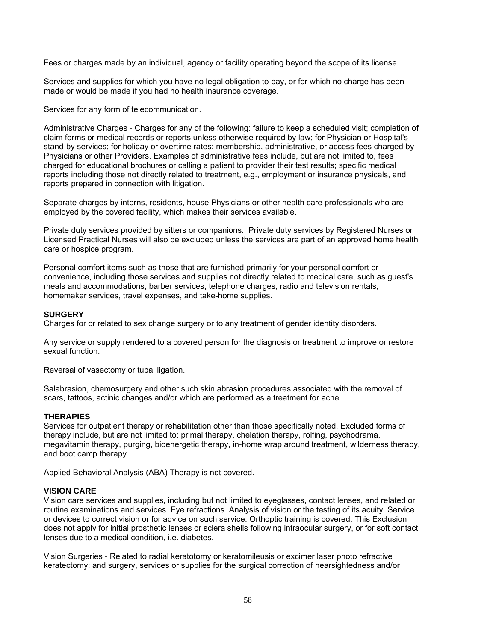Fees or charges made by an individual, agency or facility operating beyond the scope of its license.

Services and supplies for which you have no legal obligation to pay, or for which no charge has been made or would be made if you had no health insurance coverage.

Services for any form of telecommunication.

Administrative Charges - Charges for any of the following: failure to keep a scheduled visit; completion of claim forms or medical records or reports unless otherwise required by law; for Physician or Hospital's stand-by services; for holiday or overtime rates; membership, administrative, or access fees charged by Physicians or other Providers. Examples of administrative fees include, but are not limited to, fees charged for educational brochures or calling a patient to provider their test results; specific medical reports including those not directly related to treatment, e.g., employment or insurance physicals, and reports prepared in connection with litigation.

Separate charges by interns, residents, house Physicians or other health care professionals who are employed by the covered facility, which makes their services available.

Private duty services provided by sitters or companions. Private duty services by Registered Nurses or Licensed Practical Nurses will also be excluded unless the services are part of an approved home health care or hospice program.

Personal comfort items such as those that are furnished primarily for your personal comfort or convenience, including those services and supplies not directly related to medical care, such as guest's meals and accommodations, barber services, telephone charges, radio and television rentals, homemaker services, travel expenses, and take-home supplies.

#### **SURGERY**

Charges for or related to sex change surgery or to any treatment of gender identity disorders.

Any service or supply rendered to a covered person for the diagnosis or treatment to improve or restore sexual function.

Reversal of vasectomy or tubal ligation.

Salabrasion, chemosurgery and other such skin abrasion procedures associated with the removal of scars, tattoos, actinic changes and/or which are performed as a treatment for acne.

## **THERAPIES**

Services for outpatient therapy or rehabilitation other than those specifically noted. Excluded forms of therapy include, but are not limited to: primal therapy, chelation therapy, rolfing, psychodrama, megavitamin therapy, purging, bioenergetic therapy, in-home wrap around treatment, wilderness therapy, and boot camp therapy.

Applied Behavioral Analysis (ABA) Therapy is not covered.

## **VISION CARE**

Vision care services and supplies, including but not limited to eyeglasses, contact lenses, and related or routine examinations and services. Eye refractions. Analysis of vision or the testing of its acuity. Service or devices to correct vision or for advice on such service. Orthoptic training is covered. This Exclusion does not apply for initial prosthetic lenses or sclera shells following intraocular surgery, or for soft contact lenses due to a medical condition, i.e. diabetes.

Vision Surgeries - Related to radial keratotomy or keratomileusis or excimer laser photo refractive keratectomy; and surgery, services or supplies for the surgical correction of nearsightedness and/or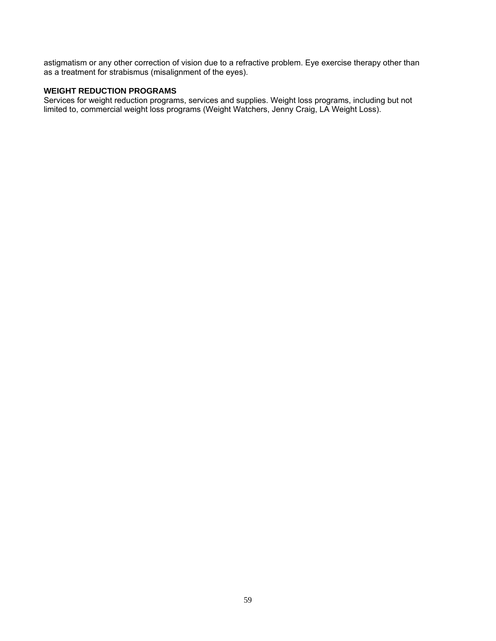astigmatism or any other correction of vision due to a refractive problem. Eye exercise therapy other than as a treatment for strabismus (misalignment of the eyes).

## **WEIGHT REDUCTION PROGRAMS**

Services for weight reduction programs, services and supplies. Weight loss programs, including but not limited to, commercial weight loss programs (Weight Watchers, Jenny Craig, LA Weight Loss).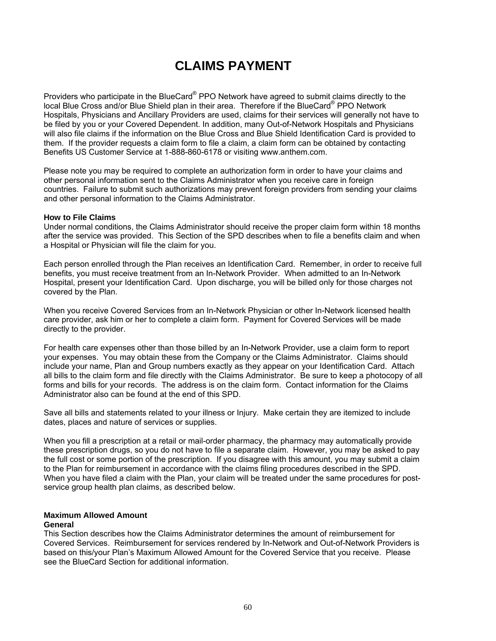## **CLAIMS PAYMENT**

Providers who participate in the BlueCard® PPO Network have agreed to submit claims directly to the local Blue Cross and/or Blue Shield plan in their area. Therefore if the BlueCard® PPO Network Hospitals, Physicians and Ancillary Providers are used, claims for their services will generally not have to be filed by you or your Covered Dependent. In addition, many Out-of-Network Hospitals and Physicians will also file claims if the information on the Blue Cross and Blue Shield Identification Card is provided to them. If the provider requests a claim form to file a claim, a claim form can be obtained by contacting Benefits US Customer Service at 1-888-860-6178 or visiting www.anthem.com.

Please note you may be required to complete an authorization form in order to have your claims and other personal information sent to the Claims Administrator when you receive care in foreign countries. Failure to submit such authorizations may prevent foreign providers from sending your claims and other personal information to the Claims Administrator.

#### **How to File Claims**

Under normal conditions, the Claims Administrator should receive the proper claim form within 18 months after the service was provided. This Section of the SPD describes when to file a benefits claim and when a Hospital or Physician will file the claim for you.

Each person enrolled through the Plan receives an Identification Card. Remember, in order to receive full benefits, you must receive treatment from an In-Network Provider. When admitted to an In-Network Hospital, present your Identification Card. Upon discharge, you will be billed only for those charges not covered by the Plan.

When you receive Covered Services from an In-Network Physician or other In-Network licensed health care provider, ask him or her to complete a claim form. Payment for Covered Services will be made directly to the provider.

For health care expenses other than those billed by an In-Network Provider, use a claim form to report your expenses. You may obtain these from the Company or the Claims Administrator. Claims should include your name, Plan and Group numbers exactly as they appear on your Identification Card. Attach all bills to the claim form and file directly with the Claims Administrator. Be sure to keep a photocopy of all forms and bills for your records. The address is on the claim form. Contact information for the Claims Administrator also can be found at the end of this SPD.

Save all bills and statements related to your illness or Injury. Make certain they are itemized to include dates, places and nature of services or supplies.

When you fill a prescription at a retail or mail-order pharmacy, the pharmacy may automatically provide these prescription drugs, so you do not have to file a separate claim. However, you may be asked to pay the full cost or some portion of the prescription. If you disagree with this amount, you may submit a claim to the Plan for reimbursement in accordance with the claims filing procedures described in the SPD. When you have filed a claim with the Plan, your claim will be treated under the same procedures for postservice group health plan claims, as described below.

## **Maximum Allowed Amount**

#### **General**

This Section describes how the Claims Administrator determines the amount of reimbursement for Covered Services. Reimbursement for services rendered by In-Network and Out-of-Network Providers is based on this/your Plan's Maximum Allowed Amount for the Covered Service that you receive. Please see the BlueCard Section for additional information.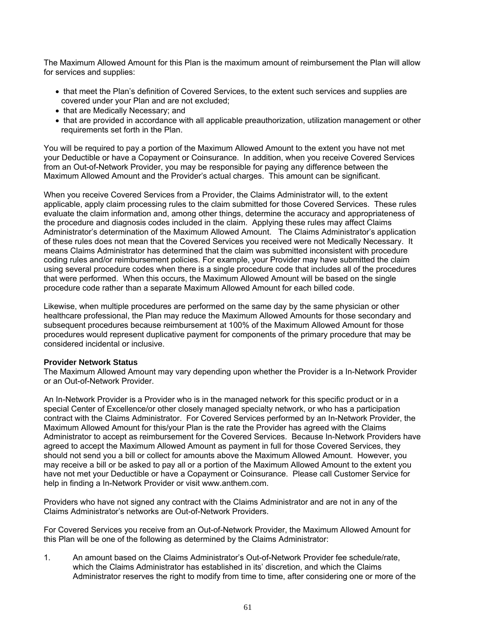The Maximum Allowed Amount for this Plan is the maximum amount of reimbursement the Plan will allow for services and supplies:

- that meet the Plan's definition of Covered Services, to the extent such services and supplies are covered under your Plan and are not excluded;
- that are Medically Necessary; and
- that are provided in accordance with all applicable preauthorization, utilization management or other requirements set forth in the Plan.

You will be required to pay a portion of the Maximum Allowed Amount to the extent you have not met your Deductible or have a Copayment or Coinsurance. In addition, when you receive Covered Services from an Out-of-Network Provider, you may be responsible for paying any difference between the Maximum Allowed Amount and the Provider's actual charges. This amount can be significant.

When you receive Covered Services from a Provider, the Claims Administrator will, to the extent applicable, apply claim processing rules to the claim submitted for those Covered Services. These rules evaluate the claim information and, among other things, determine the accuracy and appropriateness of the procedure and diagnosis codes included in the claim. Applying these rules may affect Claims Administrator's determination of the Maximum Allowed Amount. The Claims Administrator's application of these rules does not mean that the Covered Services you received were not Medically Necessary. It means Claims Administrator has determined that the claim was submitted inconsistent with procedure coding rules and/or reimbursement policies. For example, your Provider may have submitted the claim using several procedure codes when there is a single procedure code that includes all of the procedures that were performed. When this occurs, the Maximum Allowed Amount will be based on the single procedure code rather than a separate Maximum Allowed Amount for each billed code.

Likewise, when multiple procedures are performed on the same day by the same physician or other healthcare professional, the Plan may reduce the Maximum Allowed Amounts for those secondary and subsequent procedures because reimbursement at 100% of the Maximum Allowed Amount for those procedures would represent duplicative payment for components of the primary procedure that may be considered incidental or inclusive.

## **Provider Network Status**

The Maximum Allowed Amount may vary depending upon whether the Provider is a In-Network Provider or an Out-of-Network Provider.

An In-Network Provider is a Provider who is in the managed network for this specific product or in a special Center of Excellence/or other closely managed specialty network, or who has a participation contract with the Claims Administrator. For Covered Services performed by an In-Network Provider, the Maximum Allowed Amount for this/your Plan is the rate the Provider has agreed with the Claims Administrator to accept as reimbursement for the Covered Services. Because In-Network Providers have agreed to accept the Maximum Allowed Amount as payment in full for those Covered Services, they should not send you a bill or collect for amounts above the Maximum Allowed Amount. However, you may receive a bill or be asked to pay all or a portion of the Maximum Allowed Amount to the extent you have not met your Deductible or have a Copayment or Coinsurance. Please call Customer Service for help in finding a In-Network Provider or visit www.anthem.com.

Providers who have not signed any contract with the Claims Administrator and are not in any of the Claims Administrator's networks are Out-of-Network Providers.

For Covered Services you receive from an Out-of-Network Provider, the Maximum Allowed Amount for this Plan will be one of the following as determined by the Claims Administrator:

1. An amount based on the Claims Administrator's Out-of-Network Provider fee schedule/rate, which the Claims Administrator has established in its' discretion, and which the Claims Administrator reserves the right to modify from time to time, after considering one or more of the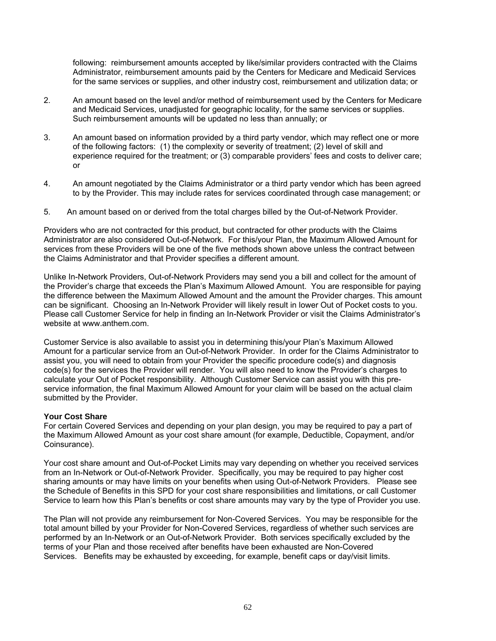following: reimbursement amounts accepted by like/similar providers contracted with the Claims Administrator, reimbursement amounts paid by the Centers for Medicare and Medicaid Services for the same services or supplies, and other industry cost, reimbursement and utilization data; or

- 2. An amount based on the level and/or method of reimbursement used by the Centers for Medicare and Medicaid Services, unadjusted for geographic locality, for the same services or supplies. Such reimbursement amounts will be updated no less than annually; or
- 3. An amount based on information provided by a third party vendor, which may reflect one or more of the following factors: (1) the complexity or severity of treatment; (2) level of skill and experience required for the treatment; or (3) comparable providers' fees and costs to deliver care; or
- 4. An amount negotiated by the Claims Administrator or a third party vendor which has been agreed to by the Provider. This may include rates for services coordinated through case management; or
- 5. An amount based on or derived from the total charges billed by the Out-of-Network Provider.

Providers who are not contracted for this product, but contracted for other products with the Claims Administrator are also considered Out-of-Network. For this/your Plan, the Maximum Allowed Amount for services from these Providers will be one of the five methods shown above unless the contract between the Claims Administrator and that Provider specifies a different amount.

Unlike In-Network Providers, Out-of-Network Providers may send you a bill and collect for the amount of the Provider's charge that exceeds the Plan's Maximum Allowed Amount. You are responsible for paying the difference between the Maximum Allowed Amount and the amount the Provider charges. This amount can be significant. Choosing an In-Network Provider will likely result in lower Out of Pocket costs to you. Please call Customer Service for help in finding an In-Network Provider or visit the Claims Administrator's website at www.anthem.com.

Customer Service is also available to assist you in determining this/your Plan's Maximum Allowed Amount for a particular service from an Out-of-Network Provider. In order for the Claims Administrator to assist you, you will need to obtain from your Provider the specific procedure code(s) and diagnosis code(s) for the services the Provider will render. You will also need to know the Provider's charges to calculate your Out of Pocket responsibility. Although Customer Service can assist you with this preservice information, the final Maximum Allowed Amount for your claim will be based on the actual claim submitted by the Provider.

#### **Your Cost Share**

For certain Covered Services and depending on your plan design, you may be required to pay a part of the Maximum Allowed Amount as your cost share amount (for example, Deductible, Copayment, and/or Coinsurance).

Your cost share amount and Out-of-Pocket Limits may vary depending on whether you received services from an In-Network or Out-of-Network Provider. Specifically, you may be required to pay higher cost sharing amounts or may have limits on your benefits when using Out-of-Network Providers. Please see the Schedule of Benefits in this SPD for your cost share responsibilities and limitations, or call Customer Service to learn how this Plan's benefits or cost share amounts may vary by the type of Provider you use.

The Plan will not provide any reimbursement for Non-Covered Services. You may be responsible for the total amount billed by your Provider for Non-Covered Services, regardless of whether such services are performed by an In-Network or an Out-of-Network Provider. Both services specifically excluded by the terms of your Plan and those received after benefits have been exhausted are Non-Covered Services. Benefits may be exhausted by exceeding, for example, benefit caps or day/visit limits.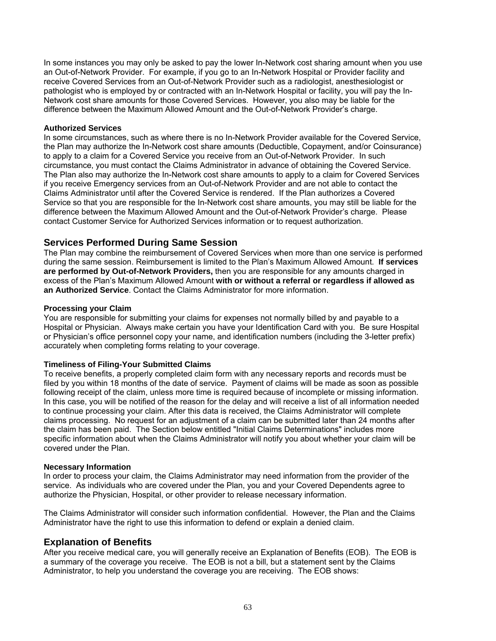In some instances you may only be asked to pay the lower In-Network cost sharing amount when you use an Out-of-Network Provider. For example, if you go to an In-Network Hospital or Provider facility and receive Covered Services from an Out-of-Network Provider such as a radiologist, anesthesiologist or pathologist who is employed by or contracted with an In-Network Hospital or facility, you will pay the In-Network cost share amounts for those Covered Services. However, you also may be liable for the difference between the Maximum Allowed Amount and the Out-of-Network Provider's charge.

#### **Authorized Services**

In some circumstances, such as where there is no In-Network Provider available for the Covered Service, the Plan may authorize the In-Network cost share amounts (Deductible, Copayment, and/or Coinsurance) to apply to a claim for a Covered Service you receive from an Out-of-Network Provider. In such circumstance, you must contact the Claims Administrator in advance of obtaining the Covered Service. The Plan also may authorize the In-Network cost share amounts to apply to a claim for Covered Services if you receive Emergency services from an Out-of-Network Provider and are not able to contact the Claims Administrator until after the Covered Service is rendered. If the Plan authorizes a Covered Service so that you are responsible for the In-Network cost share amounts, you may still be liable for the difference between the Maximum Allowed Amount and the Out-of-Network Provider's charge. Please contact Customer Service for Authorized Services information or to request authorization.

## **Services Performed During Same Session**

The Plan may combine the reimbursement of Covered Services when more than one service is performed during the same session. Reimbursement is limited to the Plan's Maximum Allowed Amount. **If services are performed by Out-of-Network Providers,** then you are responsible for any amounts charged in excess of the Plan's Maximum Allowed Amount **with or without a referral or regardless if allowed as an Authorized Service**. Contact the Claims Administrator for more information.

#### **Processing your Claim**

You are responsible for submitting your claims for expenses not normally billed by and payable to a Hospital or Physician. Always make certain you have your Identification Card with you. Be sure Hospital or Physician's office personnel copy your name, and identification numbers (including the 3-letter prefix) accurately when completing forms relating to your coverage.

## **Timeliness of Filing-Your Submitted Claims**

To receive benefits, a properly completed claim form with any necessary reports and records must be filed by you within 18 months of the date of service. Payment of claims will be made as soon as possible following receipt of the claim, unless more time is required because of incomplete or missing information. In this case, you will be notified of the reason for the delay and will receive a list of all information needed to continue processing your claim. After this data is received, the Claims Administrator will complete claims processing. No request for an adjustment of a claim can be submitted later than 24 months after the claim has been paid. The Section below entitled "Initial Claims Determinations" includes more specific information about when the Claims Administrator will notify you about whether your claim will be covered under the Plan.

#### **Necessary Information**

In order to process your claim, the Claims Administrator may need information from the provider of the service. As individuals who are covered under the Plan, you and your Covered Dependents agree to authorize the Physician, Hospital, or other provider to release necessary information.

The Claims Administrator will consider such information confidential. However, the Plan and the Claims Administrator have the right to use this information to defend or explain a denied claim.

## **Explanation of Benefits**

After you receive medical care, you will generally receive an Explanation of Benefits (EOB). The EOB is a summary of the coverage you receive. The EOB is not a bill, but a statement sent by the Claims Administrator, to help you understand the coverage you are receiving. The EOB shows: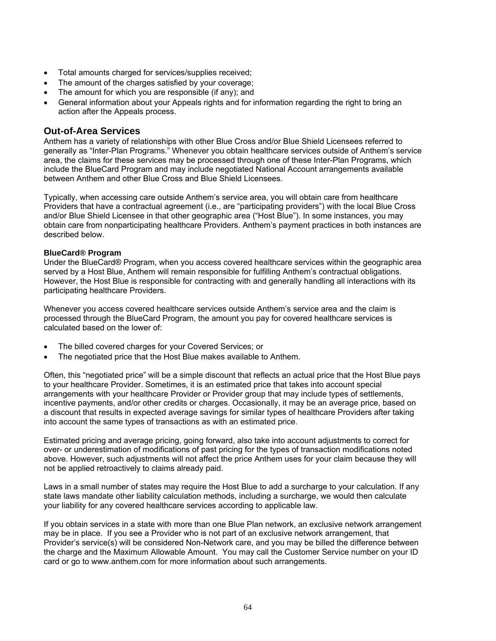- Total amounts charged for services/supplies received;
- The amount of the charges satisfied by your coverage;
- The amount for which you are responsible (if any); and
- General information about your Appeals rights and for information regarding the right to bring an action after the Appeals process.

## **Out-of-Area Services**

Anthem has a variety of relationships with other Blue Cross and/or Blue Shield Licensees referred to generally as "Inter-Plan Programs." Whenever you obtain healthcare services outside of Anthem's service area, the claims for these services may be processed through one of these Inter-Plan Programs, which include the BlueCard Program and may include negotiated National Account arrangements available between Anthem and other Blue Cross and Blue Shield Licensees.

Typically, when accessing care outside Anthem's service area, you will obtain care from healthcare Providers that have a contractual agreement (i.e., are "participating providers") with the local Blue Cross and/or Blue Shield Licensee in that other geographic area ("Host Blue"). In some instances, you may obtain care from nonparticipating healthcare Providers. Anthem's payment practices in both instances are described below.

## **BlueCard® Program**

Under the BlueCard® Program, when you access covered healthcare services within the geographic area served by a Host Blue, Anthem will remain responsible for fulfilling Anthem's contractual obligations. However, the Host Blue is responsible for contracting with and generally handling all interactions with its participating healthcare Providers.

Whenever you access covered healthcare services outside Anthem's service area and the claim is processed through the BlueCard Program, the amount you pay for covered healthcare services is calculated based on the lower of:

- The billed covered charges for your Covered Services; or
- The negotiated price that the Host Blue makes available to Anthem.

Often, this "negotiated price" will be a simple discount that reflects an actual price that the Host Blue pays to your healthcare Provider. Sometimes, it is an estimated price that takes into account special arrangements with your healthcare Provider or Provider group that may include types of settlements, incentive payments, and/or other credits or charges. Occasionally, it may be an average price, based on a discount that results in expected average savings for similar types of healthcare Providers after taking into account the same types of transactions as with an estimated price.

Estimated pricing and average pricing, going forward, also take into account adjustments to correct for over- or underestimation of modifications of past pricing for the types of transaction modifications noted above. However, such adjustments will not affect the price Anthem uses for your claim because they will not be applied retroactively to claims already paid.

Laws in a small number of states may require the Host Blue to add a surcharge to your calculation. If any state laws mandate other liability calculation methods, including a surcharge, we would then calculate your liability for any covered healthcare services according to applicable law.

If you obtain services in a state with more than one Blue Plan network, an exclusive network arrangement may be in place. If you see a Provider who is not part of an exclusive network arrangement, that Provider's service(s) will be considered Non-Network care, and you may be billed the difference between the charge and the Maximum Allowable Amount. You may call the Customer Service number on your ID card or go to www.anthem.com for more information about such arrangements.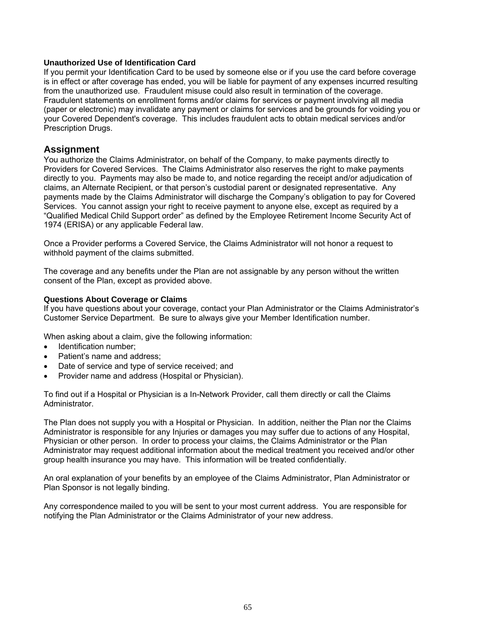## **Unauthorized Use of Identification Card**

If you permit your Identification Card to be used by someone else or if you use the card before coverage is in effect or after coverage has ended, you will be liable for payment of any expenses incurred resulting from the unauthorized use. Fraudulent misuse could also result in termination of the coverage. Fraudulent statements on enrollment forms and/or claims for services or payment involving all media (paper or electronic) may invalidate any payment or claims for services and be grounds for voiding you or your Covered Dependent's coverage. This includes fraudulent acts to obtain medical services and/or Prescription Drugs.

## **Assignment**

You authorize the Claims Administrator, on behalf of the Company, to make payments directly to Providers for Covered Services. The Claims Administrator also reserves the right to make payments directly to you. Payments may also be made to, and notice regarding the receipt and/or adjudication of claims, an Alternate Recipient, or that person's custodial parent or designated representative. Any payments made by the Claims Administrator will discharge the Company's obligation to pay for Covered Services. You cannot assign your right to receive payment to anyone else, except as required by a "Qualified Medical Child Support order" as defined by the Employee Retirement Income Security Act of 1974 (ERISA) or any applicable Federal law.

Once a Provider performs a Covered Service, the Claims Administrator will not honor a request to withhold payment of the claims submitted.

The coverage and any benefits under the Plan are not assignable by any person without the written consent of the Plan, except as provided above.

#### **Questions About Coverage or Claims**

If you have questions about your coverage, contact your Plan Administrator or the Claims Administrator's Customer Service Department. Be sure to always give your Member Identification number.

When asking about a claim, give the following information:

- Identification number:
- Patient's name and address;
- Date of service and type of service received; and
- Provider name and address (Hospital or Physician).

To find out if a Hospital or Physician is a In-Network Provider, call them directly or call the Claims Administrator.

The Plan does not supply you with a Hospital or Physician. In addition, neither the Plan nor the Claims Administrator is responsible for any Injuries or damages you may suffer due to actions of any Hospital, Physician or other person. In order to process your claims, the Claims Administrator or the Plan Administrator may request additional information about the medical treatment you received and/or other group health insurance you may have. This information will be treated confidentially.

An oral explanation of your benefits by an employee of the Claims Administrator, Plan Administrator or Plan Sponsor is not legally binding.

Any correspondence mailed to you will be sent to your most current address. You are responsible for notifying the Plan Administrator or the Claims Administrator of your new address.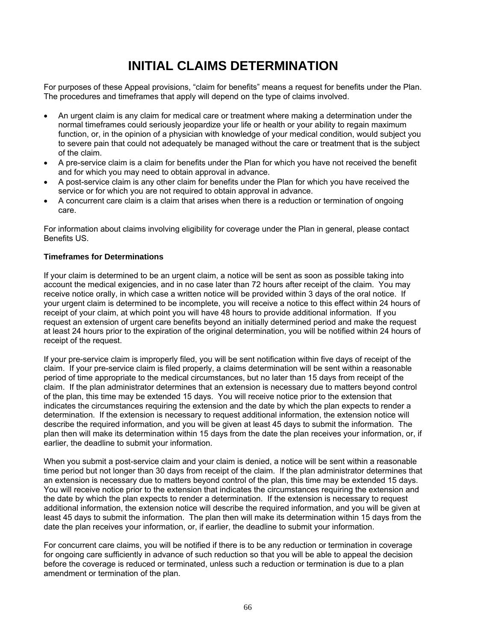# **INITIAL CLAIMS DETERMINATION**

For purposes of these Appeal provisions, "claim for benefits" means a request for benefits under the Plan. The procedures and timeframes that apply will depend on the type of claims involved.

- An urgent claim is any claim for medical care or treatment where making a determination under the normal timeframes could seriously jeopardize your life or health or your ability to regain maximum function, or, in the opinion of a physician with knowledge of your medical condition, would subject you to severe pain that could not adequately be managed without the care or treatment that is the subject of the claim.
- A pre-service claim is a claim for benefits under the Plan for which you have not received the benefit and for which you may need to obtain approval in advance.
- A post-service claim is any other claim for benefits under the Plan for which you have received the service or for which you are not required to obtain approval in advance.
- A concurrent care claim is a claim that arises when there is a reduction or termination of ongoing care.

For information about claims involving eligibility for coverage under the Plan in general, please contact Benefits US.

#### **Timeframes for Determinations**

If your claim is determined to be an urgent claim, a notice will be sent as soon as possible taking into account the medical exigencies, and in no case later than 72 hours after receipt of the claim. You may receive notice orally, in which case a written notice will be provided within 3 days of the oral notice. If your urgent claim is determined to be incomplete, you will receive a notice to this effect within 24 hours of receipt of your claim, at which point you will have 48 hours to provide additional information. If you request an extension of urgent care benefits beyond an initially determined period and make the request at least 24 hours prior to the expiration of the original determination, you will be notified within 24 hours of receipt of the request.

If your pre-service claim is improperly filed, you will be sent notification within five days of receipt of the claim. If your pre-service claim is filed properly, a claims determination will be sent within a reasonable period of time appropriate to the medical circumstances, but no later than 15 days from receipt of the claim. If the plan administrator determines that an extension is necessary due to matters beyond control of the plan, this time may be extended 15 days. You will receive notice prior to the extension that indicates the circumstances requiring the extension and the date by which the plan expects to render a determination. If the extension is necessary to request additional information, the extension notice will describe the required information, and you will be given at least 45 days to submit the information. The plan then will make its determination within 15 days from the date the plan receives your information, or, if earlier, the deadline to submit your information.

When you submit a post-service claim and your claim is denied, a notice will be sent within a reasonable time period but not longer than 30 days from receipt of the claim. If the plan administrator determines that an extension is necessary due to matters beyond control of the plan, this time may be extended 15 days. You will receive notice prior to the extension that indicates the circumstances requiring the extension and the date by which the plan expects to render a determination. If the extension is necessary to request additional information, the extension notice will describe the required information, and you will be given at least 45 days to submit the information. The plan then will make its determination within 15 days from the date the plan receives your information, or, if earlier, the deadline to submit your information.

For concurrent care claims, you will be notified if there is to be any reduction or termination in coverage for ongoing care sufficiently in advance of such reduction so that you will be able to appeal the decision before the coverage is reduced or terminated, unless such a reduction or termination is due to a plan amendment or termination of the plan.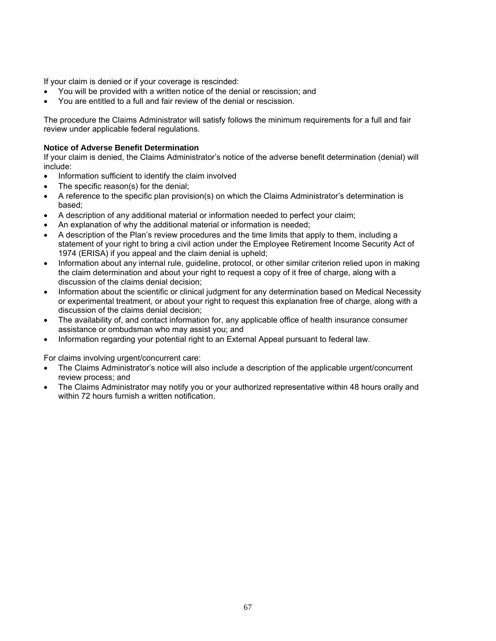If your claim is denied or if your coverage is rescinded:

- You will be provided with a written notice of the denial or rescission; and
- You are entitled to a full and fair review of the denial or rescission.

The procedure the Claims Administrator will satisfy follows the minimum requirements for a full and fair review under applicable federal regulations.

#### **Notice of Adverse Benefit Determination**

If your claim is denied, the Claims Administrator's notice of the adverse benefit determination (denial) will include:

- Information sufficient to identify the claim involved
- The specific reason(s) for the denial;
- A reference to the specific plan provision(s) on which the Claims Administrator's determination is based;
- A description of any additional material or information needed to perfect your claim;
- An explanation of why the additional material or information is needed;
- A description of the Plan's review procedures and the time limits that apply to them, including a statement of your right to bring a civil action under the Employee Retirement Income Security Act of 1974 (ERISA) if you appeal and the claim denial is upheld;
- Information about any internal rule, guideline, protocol, or other similar criterion relied upon in making the claim determination and about your right to request a copy of it free of charge, along with a discussion of the claims denial decision;
- Information about the scientific or clinical judgment for any determination based on Medical Necessity or experimental treatment, or about your right to request this explanation free of charge, along with a discussion of the claims denial decision;
- The availability of, and contact information for, any applicable office of health insurance consumer assistance or ombudsman who may assist you; and
- Information regarding your potential right to an External Appeal pursuant to federal law.

For claims involving urgent/concurrent care:

- The Claims Administrator's notice will also include a description of the applicable urgent/concurrent review process; and
- The Claims Administrator may notify you or your authorized representative within 48 hours orally and within 72 hours furnish a written notification.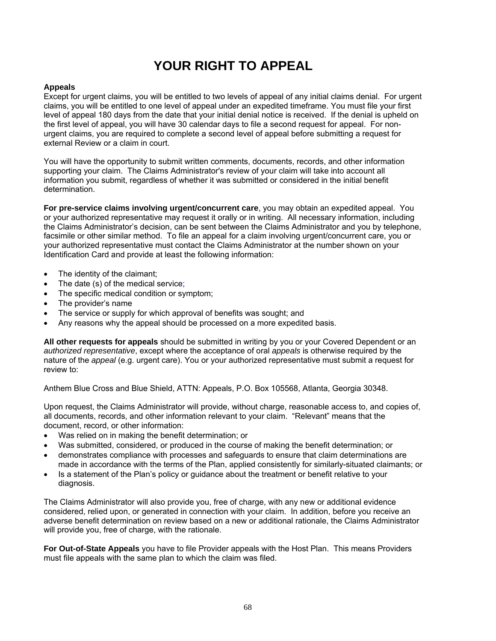# **YOUR RIGHT TO APPEAL**

## **Appeals**

Except for urgent claims, you will be entitled to two levels of appeal of any initial claims denial. For urgent claims, you will be entitled to one level of appeal under an expedited timeframe. You must file your first level of appeal 180 days from the date that your initial denial notice is received. If the denial is upheld on the first level of appeal, you will have 30 calendar days to file a second request for appeal. For nonurgent claims, you are required to complete a second level of appeal before submitting a request for external Review or a claim in court.

You will have the opportunity to submit written comments, documents, records, and other information supporting your claim. The Claims Administrator's review of your claim will take into account all information you submit, regardless of whether it was submitted or considered in the initial benefit determination.

**For pre-service claims involving urgent/concurrent care**, you may obtain an expedited appeal. You or your authorized representative may request it orally or in writing. All necessary information, including the Claims Administrator's decision, can be sent between the Claims Administrator and you by telephone, facsimile or other similar method. To file an appeal for a claim involving urgent/concurrent care, you or your authorized representative must contact the Claims Administrator at the number shown on your Identification Card and provide at least the following information:

- The identity of the claimant;
- The date (s) of the medical service;
- The specific medical condition or symptom;
- The provider's name
- The service or supply for which approval of benefits was sought; and
- Any reasons why the appeal should be processed on a more expedited basis.

**All other requests for appeals** should be submitted in writing by you or your Covered Dependent or an *authorized representative*, except where the acceptance of oral *appeals* is otherwise required by the nature of the *appeal* (e.g. urgent care). You or your authorized representative must submit a request for review to:

Anthem Blue Cross and Blue Shield, ATTN: Appeals, P.O. Box 105568, Atlanta, Georgia 30348.

Upon request, the Claims Administrator will provide, without charge, reasonable access to, and copies of, all documents, records, and other information relevant to your claim. "Relevant" means that the document, record, or other information:

- Was relied on in making the benefit determination; or
- Was submitted, considered, or produced in the course of making the benefit determination; or
- demonstrates compliance with processes and safeguards to ensure that claim determinations are made in accordance with the terms of the Plan, applied consistently for similarly-situated claimants; or
- Is a statement of the Plan's policy or guidance about the treatment or benefit relative to your diagnosis.

The Claims Administrator will also provide you, free of charge, with any new or additional evidence considered, relied upon, or generated in connection with your claim. In addition, before you receive an adverse benefit determination on review based on a new or additional rationale, the Claims Administrator will provide you, free of charge, with the rationale.

**For Out-of-State Appeals** you have to file Provider appeals with the Host Plan. This means Providers must file appeals with the same plan to which the claim was filed.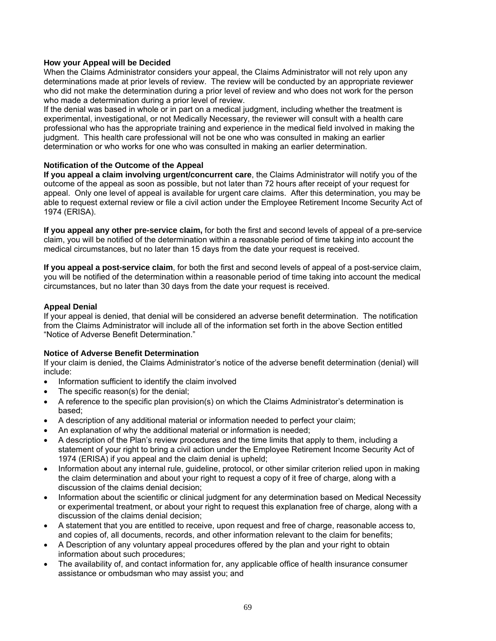## **How your Appeal will be Decided**

When the Claims Administrator considers your appeal, the Claims Administrator will not rely upon any determinations made at prior levels of review. The review will be conducted by an appropriate reviewer who did not make the determination during a prior level of review and who does not work for the person who made a determination during a prior level of review.

If the denial was based in whole or in part on a medical judgment, including whether the treatment is experimental, investigational, or not Medically Necessary, the reviewer will consult with a health care professional who has the appropriate training and experience in the medical field involved in making the judgment. This health care professional will not be one who was consulted in making an earlier determination or who works for one who was consulted in making an earlier determination.

#### **Notification of the Outcome of the Appeal**

**If you appeal a claim involving urgent/concurrent care**, the Claims Administrator will notify you of the outcome of the appeal as soon as possible, but not later than 72 hours after receipt of your request for appeal. Only one level of appeal is available for urgent care claims. After this determination, you may be able to request external review or file a civil action under the Employee Retirement Income Security Act of 1974 (ERISA).

**If you appeal any other pre-service claim,** for both the first and second levels of appeal of a pre-service claim, you will be notified of the determination within a reasonable period of time taking into account the medical circumstances, but no later than 15 days from the date your request is received.

**If you appeal a post-service claim**, for both the first and second levels of appeal of a post-service claim, you will be notified of the determination within a reasonable period of time taking into account the medical circumstances, but no later than 30 days from the date your request is received.

#### **Appeal Denial**

If your appeal is denied, that denial will be considered an adverse benefit determination. The notification from the Claims Administrator will include all of the information set forth in the above Section entitled "Notice of Adverse Benefit Determination."

#### **Notice of Adverse Benefit Determination**

If your claim is denied, the Claims Administrator's notice of the adverse benefit determination (denial) will include:

- Information sufficient to identify the claim involved
- The specific reason(s) for the denial;
- A reference to the specific plan provision(s) on which the Claims Administrator's determination is based;
- A description of any additional material or information needed to perfect your claim;
- An explanation of why the additional material or information is needed;
- A description of the Plan's review procedures and the time limits that apply to them, including a statement of your right to bring a civil action under the Employee Retirement Income Security Act of 1974 (ERISA) if you appeal and the claim denial is upheld;
- Information about any internal rule, guideline, protocol, or other similar criterion relied upon in making the claim determination and about your right to request a copy of it free of charge, along with a discussion of the claims denial decision;
- Information about the scientific or clinical judgment for any determination based on Medical Necessity or experimental treatment, or about your right to request this explanation free of charge, along with a discussion of the claims denial decision;
- A statement that you are entitled to receive, upon request and free of charge, reasonable access to, and copies of, all documents, records, and other information relevant to the claim for benefits;
- A Description of any voluntary appeal procedures offered by the plan and your right to obtain information about such procedures;
- The availability of, and contact information for, any applicable office of health insurance consumer assistance or ombudsman who may assist you; and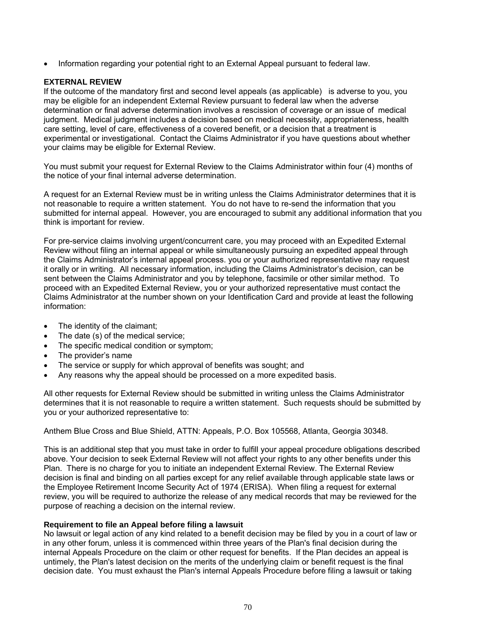Information regarding your potential right to an External Appeal pursuant to federal law.

## **EXTERNAL REVIEW**

If the outcome of the mandatory first and second level appeals (as applicable) is adverse to you, you may be eligible for an independent External Review pursuant to federal law when the adverse determination or final adverse determination involves a rescission of coverage or an issue of medical judgment. Medical judgment includes a decision based on medical necessity, appropriateness, health care setting, level of care, effectiveness of a covered benefit, or a decision that a treatment is experimental or investigational. Contact the Claims Administrator if you have questions about whether your claims may be eligible for External Review.

You must submit your request for External Review to the Claims Administrator within four (4) months of the notice of your final internal adverse determination.

A request for an External Review must be in writing unless the Claims Administrator determines that it is not reasonable to require a written statement. You do not have to re-send the information that you submitted for internal appeal. However, you are encouraged to submit any additional information that you think is important for review.

For pre-service claims involving urgent/concurrent care, you may proceed with an Expedited External Review without filing an internal appeal or while simultaneously pursuing an expedited appeal through the Claims Administrator's internal appeal process. you or your authorized representative may request it orally or in writing. All necessary information, including the Claims Administrator's decision, can be sent between the Claims Administrator and you by telephone, facsimile or other similar method. To proceed with an Expedited External Review, you or your authorized representative must contact the Claims Administrator at the number shown on your Identification Card and provide at least the following information:

- The identity of the claimant;
- The date (s) of the medical service;
- The specific medical condition or symptom;
- The provider's name
- The service or supply for which approval of benefits was sought; and
- Any reasons why the appeal should be processed on a more expedited basis.

All other requests for External Review should be submitted in writing unless the Claims Administrator determines that it is not reasonable to require a written statement. Such requests should be submitted by you or your authorized representative to:

Anthem Blue Cross and Blue Shield, ATTN: Appeals, P.O. Box 105568, Atlanta, Georgia 30348.

This is an additional step that you must take in order to fulfill your appeal procedure obligations described above. Your decision to seek External Review will not affect your rights to any other benefits under this Plan. There is no charge for you to initiate an independent External Review. The External Review decision is final and binding on all parties except for any relief available through applicable state laws or the Employee Retirement Income Security Act of 1974 (ERISA). When filing a request for external review, you will be required to authorize the release of any medical records that may be reviewed for the purpose of reaching a decision on the internal review.

## **Requirement to file an Appeal before filing a lawsuit**

No lawsuit or legal action of any kind related to a benefit decision may be filed by you in a court of law or in any other forum, unless it is commenced within three years of the Plan's final decision during the internal Appeals Procedure on the claim or other request for benefits. If the Plan decides an appeal is untimely, the Plan's latest decision on the merits of the underlying claim or benefit request is the final decision date. You must exhaust the Plan's internal Appeals Procedure before filing a lawsuit or taking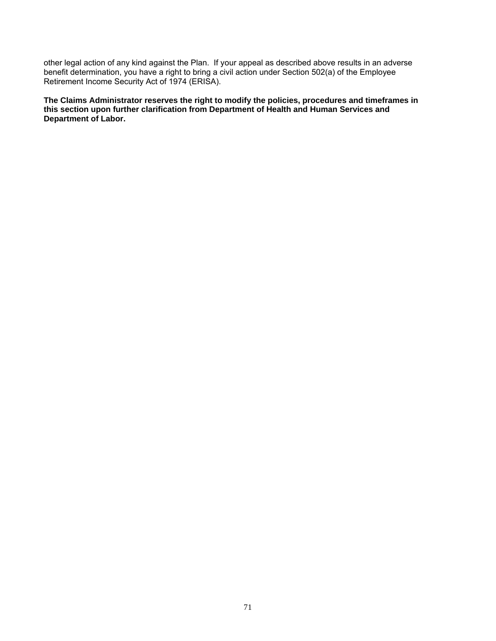other legal action of any kind against the Plan. If your appeal as described above results in an adverse benefit determination, you have a right to bring a civil action under Section 502(a) of the Employee Retirement Income Security Act of 1974 (ERISA).

**The Claims Administrator reserves the right to modify the policies, procedures and timeframes in this section upon further clarification from Department of Health and Human Services and Department of Labor.**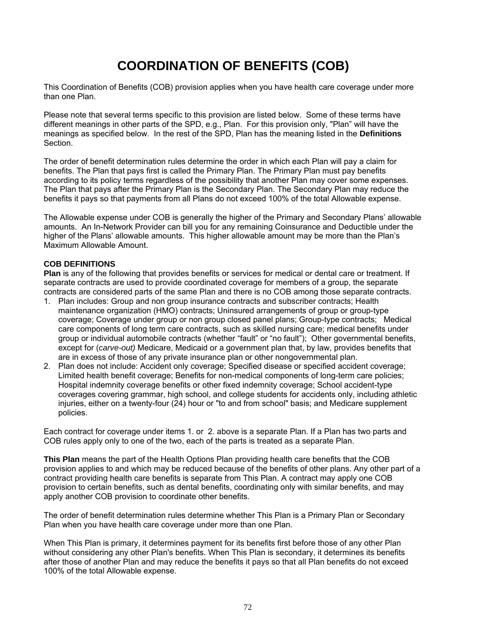# **COORDINATION OF BENEFITS (COB)**

This Coordination of Benefits (COB) provision applies when you have health care coverage under more than one Plan.

Please note that several terms specific to this provision are listed below. Some of these terms have different meanings in other parts of the SPD, e.g., Plan. For this provision only, "Plan" will have the meanings as specified below. In the rest of the SPD, Plan has the meaning listed in the **Definitions** Section.

The order of benefit determination rules determine the order in which each Plan will pay a claim for benefits. The Plan that pays first is called the Primary Plan. The Primary Plan must pay benefits according to its policy terms regardless of the possibility that another Plan may cover some expenses. The Plan that pays after the Primary Plan is the Secondary Plan. The Secondary Plan may reduce the benefits it pays so that payments from all Plans do not exceed 100% of the total Allowable expense.

The Allowable expense under COB is generally the higher of the Primary and Secondary Plans' allowable amounts. An In-Network Provider can bill you for any remaining Coinsurance and Deductible under the higher of the Plans' allowable amounts. This higher allowable amount may be more than the Plan's Maximum Allowable Amount.

#### **COB DEFINITIONS**

**Plan** is any of the following that provides benefits or services for medical or dental care or treatment. If separate contracts are used to provide coordinated coverage for members of a group, the separate contracts are considered parts of the same Plan and there is no COB among those separate contracts.

- 1. Plan includes: Group and non group insurance contracts and subscriber contracts; Health maintenance organization (HMO) contracts; Uninsured arrangements of group or group-type coverage; Coverage under group or non group closed panel plans; Group-type contracts; Medical care components of long term care contracts, such as skilled nursing care; medical benefits under group or individual automobile contracts (whether "fault" or "no fault"); Other governmental benefits, except for (*carve-out)* Medicare, Medicaid or a government plan that, by law, provides benefits that are in excess of those of any private insurance plan or other nongovernmental plan.
- 2. Plan does not include: Accident only coverage; Specified disease or specified accident coverage; Limited health benefit coverage; Benefits for non-medical components of long-term care policies; Hospital indemnity coverage benefits or other fixed indemnity coverage; School accident-type coverages covering grammar, high school, and college students for accidents only, including athletic injuries, either on a twenty-four (24) hour or "to and from school" basis; and Medicare supplement policies.

Each contract for coverage under items 1. or 2. above is a separate Plan. If a Plan has two parts and COB rules apply only to one of the two, each of the parts is treated as a separate Plan.

**This Plan** means the part of the Health Options Plan providing health care benefits that the COB provision applies to and which may be reduced because of the benefits of other plans. Any other part of a contract providing health care benefits is separate from This Plan. A contract may apply one COB provision to certain benefits, such as dental benefits, coordinating only with similar benefits, and may apply another COB provision to coordinate other benefits.

The order of benefit determination rules determine whether This Plan is a Primary Plan or Secondary Plan when you have health care coverage under more than one Plan.

When This Plan is primary, it determines payment for its benefits first before those of any other Plan without considering any other Plan's benefits. When This Plan is secondary, it determines its benefits after those of another Plan and may reduce the benefits it pays so that all Plan benefits do not exceed 100% of the total Allowable expense.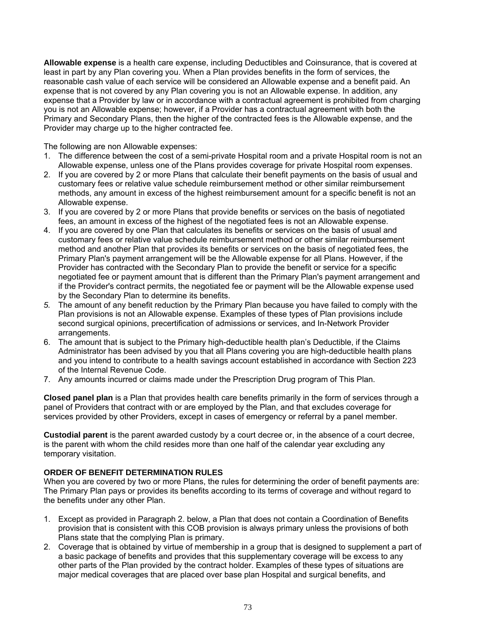**Allowable expense** is a health care expense, including Deductibles and Coinsurance, that is covered at least in part by any Plan covering you. When a Plan provides benefits in the form of services, the reasonable cash value of each service will be considered an Allowable expense and a benefit paid. An expense that is not covered by any Plan covering you is not an Allowable expense. In addition, any expense that a Provider by law or in accordance with a contractual agreement is prohibited from charging you is not an Allowable expense; however, if a Provider has a contractual agreement with both the Primary and Secondary Plans, then the higher of the contracted fees is the Allowable expense, and the Provider may charge up to the higher contracted fee.

The following are non Allowable expenses:

- 1. The difference between the cost of a semi-private Hospital room and a private Hospital room is not an Allowable expense, unless one of the Plans provides coverage for private Hospital room expenses.
- 2. If you are covered by 2 or more Plans that calculate their benefit payments on the basis of usual and customary fees or relative value schedule reimbursement method or other similar reimbursement methods, any amount in excess of the highest reimbursement amount for a specific benefit is not an Allowable expense.
- 3. If you are covered by 2 or more Plans that provide benefits or services on the basis of negotiated fees, an amount in excess of the highest of the negotiated fees is not an Allowable expense.
- 4. If you are covered by one Plan that calculates its benefits or services on the basis of usual and customary fees or relative value schedule reimbursement method or other similar reimbursement method and another Plan that provides its benefits or services on the basis of negotiated fees, the Primary Plan's payment arrangement will be the Allowable expense for all Plans. However, if the Provider has contracted with the Secondary Plan to provide the benefit or service for a specific negotiated fee or payment amount that is different than the Primary Plan's payment arrangement and if the Provider's contract permits, the negotiated fee or payment will be the Allowable expense used by the Secondary Plan to determine its benefits.
- *5.* The amount of any benefit reduction by the Primary Plan because you have failed to comply with the Plan provisions is not an Allowable expense. Examples of these types of Plan provisions include second surgical opinions, precertification of admissions or services, and In-Network Provider arrangements.
- 6. The amount that is subject to the Primary high-deductible health plan's Deductible, if the Claims Administrator has been advised by you that all Plans covering you are high-deductible health plans and you intend to contribute to a health savings account established in accordance with Section 223 of the Internal Revenue Code.
- 7. Any amounts incurred or claims made under the Prescription Drug program of This Plan.

**Closed panel plan** is a Plan that provides health care benefits primarily in the form of services through a panel of Providers that contract with or are employed by the Plan, and that excludes coverage for services provided by other Providers, except in cases of emergency or referral by a panel member.

**Custodial parent** is the parent awarded custody by a court decree or, in the absence of a court decree, is the parent with whom the child resides more than one half of the calendar year excluding any temporary visitation.

#### **ORDER OF BENEFIT DETERMINATION RULES**

When you are covered by two or more Plans, the rules for determining the order of benefit payments are: The Primary Plan pays or provides its benefits according to its terms of coverage and without regard to the benefits under any other Plan.

- 1. Except as provided in Paragraph 2. below, a Plan that does not contain a Coordination of Benefits provision that is consistent with this COB provision is always primary unless the provisions of both Plans state that the complying Plan is primary.
- 2. Coverage that is obtained by virtue of membership in a group that is designed to supplement a part of a basic package of benefits and provides that this supplementary coverage will be excess to any other parts of the Plan provided by the contract holder. Examples of these types of situations are major medical coverages that are placed over base plan Hospital and surgical benefits, and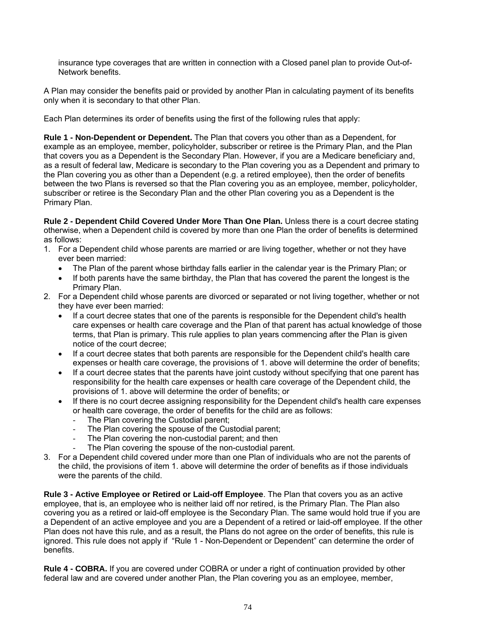insurance type coverages that are written in connection with a Closed panel plan to provide Out-of-Network benefits.

A Plan may consider the benefits paid or provided by another Plan in calculating payment of its benefits only when it is secondary to that other Plan.

Each Plan determines its order of benefits using the first of the following rules that apply:

**Rule 1 - Non-Dependent or Dependent.** The Plan that covers you other than as a Dependent, for example as an employee, member, policyholder, subscriber or retiree is the Primary Plan, and the Plan that covers you as a Dependent is the Secondary Plan. However, if you are a Medicare beneficiary and, as a result of federal law, Medicare is secondary to the Plan covering you as a Dependent and primary to the Plan covering you as other than a Dependent (e.g. a retired employee), then the order of benefits between the two Plans is reversed so that the Plan covering you as an employee, member, policyholder, subscriber or retiree is the Secondary Plan and the other Plan covering you as a Dependent is the Primary Plan.

**Rule 2 - Dependent Child Covered Under More Than One Plan.** Unless there is a court decree stating otherwise, when a Dependent child is covered by more than one Plan the order of benefits is determined as follows:

- 1. For a Dependent child whose parents are married or are living together, whether or not they have ever been married:
	- The Plan of the parent whose birthday falls earlier in the calendar year is the Primary Plan; or
	- If both parents have the same birthday, the Plan that has covered the parent the longest is the Primary Plan.
- 2. For a Dependent child whose parents are divorced or separated or not living together, whether or not they have ever been married:
	- If a court decree states that one of the parents is responsible for the Dependent child's health care expenses or health care coverage and the Plan of that parent has actual knowledge of those terms, that Plan is primary. This rule applies to plan years commencing after the Plan is given notice of the court decree;
	- If a court decree states that both parents are responsible for the Dependent child's health care expenses or health care coverage, the provisions of 1. above will determine the order of benefits;
	- If a court decree states that the parents have joint custody without specifying that one parent has responsibility for the health care expenses or health care coverage of the Dependent child, the provisions of 1. above will determine the order of benefits; or
	- If there is no court decree assigning responsibility for the Dependent child's health care expenses or health care coverage, the order of benefits for the child are as follows:
		- The Plan covering the Custodial parent;
		- The Plan covering the spouse of the Custodial parent;
		- The Plan covering the non-custodial parent; and then
		- The Plan covering the spouse of the non-custodial parent.
- 3. For a Dependent child covered under more than one Plan of individuals who are not the parents of the child, the provisions of item 1. above will determine the order of benefits as if those individuals were the parents of the child.

**Rule 3 - Active Employee or Retired or Laid-off Employee**. The Plan that covers you as an active employee, that is, an employee who is neither laid off nor retired, is the Primary Plan. The Plan also covering you as a retired or laid-off employee is the Secondary Plan. The same would hold true if you are a Dependent of an active employee and you are a Dependent of a retired or laid-off employee. If the other Plan does not have this rule, and as a result, the Plans do not agree on the order of benefits, this rule is ignored. This rule does not apply if "Rule 1 - Non-Dependent or Dependent" can determine the order of benefits.

**Rule 4 - COBRA.** If you are covered under COBRA or under a right of continuation provided by other federal law and are covered under another Plan, the Plan covering you as an employee, member,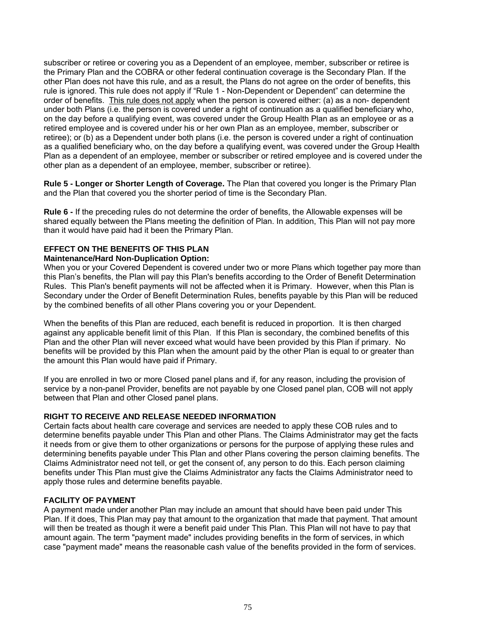subscriber or retiree or covering you as a Dependent of an employee, member, subscriber or retiree is the Primary Plan and the COBRA or other federal continuation coverage is the Secondary Plan. If the other Plan does not have this rule, and as a result, the Plans do not agree on the order of benefits, this rule is ignored. This rule does not apply if "Rule 1 - Non-Dependent or Dependent" can determine the order of benefits. This rule does not apply when the person is covered either: (a) as a non- dependent under both Plans (i.e. the person is covered under a right of continuation as a qualified beneficiary who, on the day before a qualifying event, was covered under the Group Health Plan as an employee or as a retired employee and is covered under his or her own Plan as an employee, member, subscriber or retiree); or (b) as a Dependent under both plans (i.e. the person is covered under a right of continuation as a qualified beneficiary who, on the day before a qualifying event, was covered under the Group Health Plan as a dependent of an employee, member or subscriber or retired employee and is covered under the other plan as a dependent of an employee, member, subscriber or retiree).

**Rule 5 - Longer or Shorter Length of Coverage.** The Plan that covered you longer is the Primary Plan and the Plan that covered you the shorter period of time is the Secondary Plan.

**Rule 6 -** If the preceding rules do not determine the order of benefits, the Allowable expenses will be shared equally between the Plans meeting the definition of Plan. In addition, This Plan will not pay more than it would have paid had it been the Primary Plan.

#### **EFFECT ON THE BENEFITS OF THIS PLAN**

#### **Maintenance/Hard Non-Duplication Option:**

When you or your Covered Dependent is covered under two or more Plans which together pay more than this Plan's benefits, the Plan will pay this Plan's benefits according to the Order of Benefit Determination Rules. This Plan's benefit payments will not be affected when it is Primary. However, when this Plan is Secondary under the Order of Benefit Determination Rules, benefits payable by this Plan will be reduced by the combined benefits of all other Plans covering you or your Dependent.

When the benefits of this Plan are reduced, each benefit is reduced in proportion. It is then charged against any applicable benefit limit of this Plan. If this Plan is secondary, the combined benefits of this Plan and the other Plan will never exceed what would have been provided by this Plan if primary. No benefits will be provided by this Plan when the amount paid by the other Plan is equal to or greater than the amount this Plan would have paid if Primary.

If you are enrolled in two or more Closed panel plans and if, for any reason, including the provision of service by a non-panel Provider, benefits are not payable by one Closed panel plan, COB will not apply between that Plan and other Closed panel plans.

#### **RIGHT TO RECEIVE AND RELEASE NEEDED INFORMATION**

Certain facts about health care coverage and services are needed to apply these COB rules and to determine benefits payable under This Plan and other Plans. The Claims Administrator may get the facts it needs from or give them to other organizations or persons for the purpose of applying these rules and determining benefits payable under This Plan and other Plans covering the person claiming benefits. The Claims Administrator need not tell, or get the consent of, any person to do this. Each person claiming benefits under This Plan must give the Claims Administrator any facts the Claims Administrator need to apply those rules and determine benefits payable.

#### **FACILITY OF PAYMENT**

A payment made under another Plan may include an amount that should have been paid under This Plan. If it does, This Plan may pay that amount to the organization that made that payment. That amount will then be treated as though it were a benefit paid under This Plan. This Plan will not have to pay that amount again. The term "payment made" includes providing benefits in the form of services, in which case "payment made" means the reasonable cash value of the benefits provided in the form of services.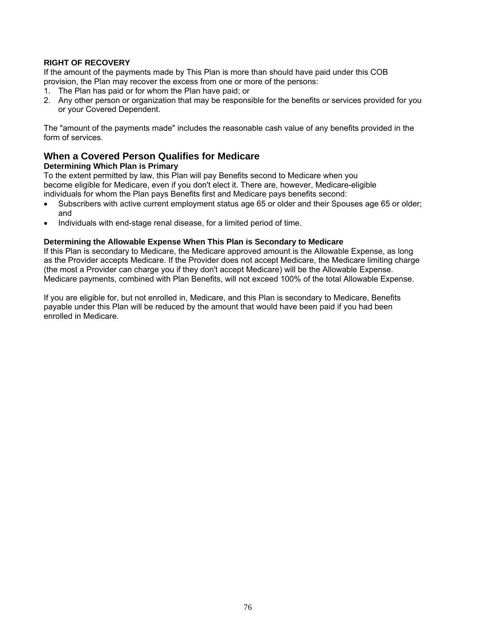#### **RIGHT OF RECOVERY**

If the amount of the payments made by This Plan is more than should have paid under this COB provision, the Plan may recover the excess from one or more of the persons:

- 1. The Plan has paid or for whom the Plan have paid; or
- 2. Any other person or organization that may be responsible for the benefits or services provided for you or your Covered Dependent.

The "amount of the payments made" includes the reasonable cash value of any benefits provided in the form of services.

# **When a Covered Person Qualifies for Medicare**

#### **Determining Which Plan is Primary**

To the extent permitted by law, this Plan will pay Benefits second to Medicare when you become eligible for Medicare, even if you don't elect it. There are, however, Medicare-eligible individuals for whom the Plan pays Benefits first and Medicare pays benefits second:

- Subscribers with active current employment status age 65 or older and their Spouses age 65 or older; and
- Individuals with end-stage renal disease, for a limited period of time.

#### **Determining the Allowable Expense When This Plan is Secondary to Medicare**

If this Plan is secondary to Medicare, the Medicare approved amount is the Allowable Expense, as long as the Provider accepts Medicare. If the Provider does not accept Medicare, the Medicare limiting charge (the most a Provider can charge you if they don't accept Medicare) will be the Allowable Expense. Medicare payments, combined with Plan Benefits, will not exceed 100% of the total Allowable Expense.

If you are eligible for, but not enrolled in, Medicare, and this Plan is secondary to Medicare, Benefits payable under this Plan will be reduced by the amount that would have been paid if you had been enrolled in Medicare.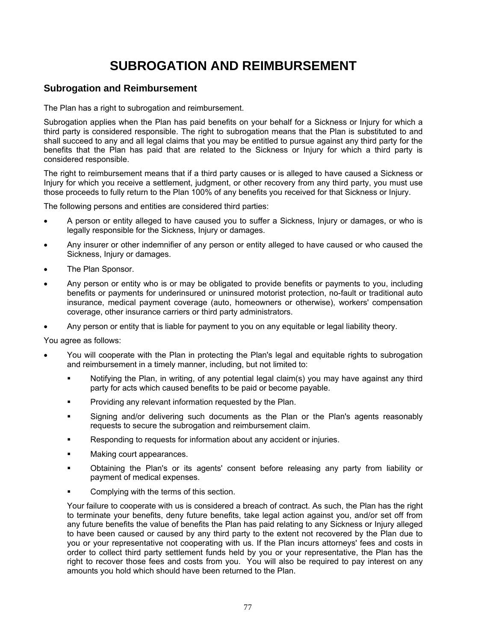# **SUBROGATION AND REIMBURSEMENT**

# **Subrogation and Reimbursement**

The Plan has a right to subrogation and reimbursement.

Subrogation applies when the Plan has paid benefits on your behalf for a Sickness or Injury for which a third party is considered responsible. The right to subrogation means that the Plan is substituted to and shall succeed to any and all legal claims that you may be entitled to pursue against any third party for the benefits that the Plan has paid that are related to the Sickness or Injury for which a third party is considered responsible.

The right to reimbursement means that if a third party causes or is alleged to have caused a Sickness or Injury for which you receive a settlement, judgment, or other recovery from any third party, you must use those proceeds to fully return to the Plan 100% of any benefits you received for that Sickness or Injury.

The following persons and entities are considered third parties:

- A person or entity alleged to have caused you to suffer a Sickness, Injury or damages, or who is legally responsible for the Sickness, Injury or damages.
- Any insurer or other indemnifier of any person or entity alleged to have caused or who caused the Sickness, Injury or damages.
- The Plan Sponsor.
- Any person or entity who is or may be obligated to provide benefits or payments to you, including benefits or payments for underinsured or uninsured motorist protection, no-fault or traditional auto insurance, medical payment coverage (auto, homeowners or otherwise), workers' compensation coverage, other insurance carriers or third party administrators.
- Any person or entity that is liable for payment to you on any equitable or legal liability theory.

You agree as follows:

- You will cooperate with the Plan in protecting the Plan's legal and equitable rights to subrogation and reimbursement in a timely manner, including, but not limited to:
	- Notifying the Plan, in writing, of any potential legal claim(s) you may have against any third party for acts which caused benefits to be paid or become payable.
	- Providing any relevant information requested by the Plan.
	- Signing and/or delivering such documents as the Plan or the Plan's agents reasonably requests to secure the subrogation and reimbursement claim.
	- Responding to requests for information about any accident or injuries.
	- Making court appearances.
	- Obtaining the Plan's or its agents' consent before releasing any party from liability or payment of medical expenses.
	- Complying with the terms of this section.

Your failure to cooperate with us is considered a breach of contract. As such, the Plan has the right to terminate your benefits, deny future benefits, take legal action against you, and/or set off from any future benefits the value of benefits the Plan has paid relating to any Sickness or Injury alleged to have been caused or caused by any third party to the extent not recovered by the Plan due to you or your representative not cooperating with us. If the Plan incurs attorneys' fees and costs in order to collect third party settlement funds held by you or your representative, the Plan has the right to recover those fees and costs from you. You will also be required to pay interest on any amounts you hold which should have been returned to the Plan.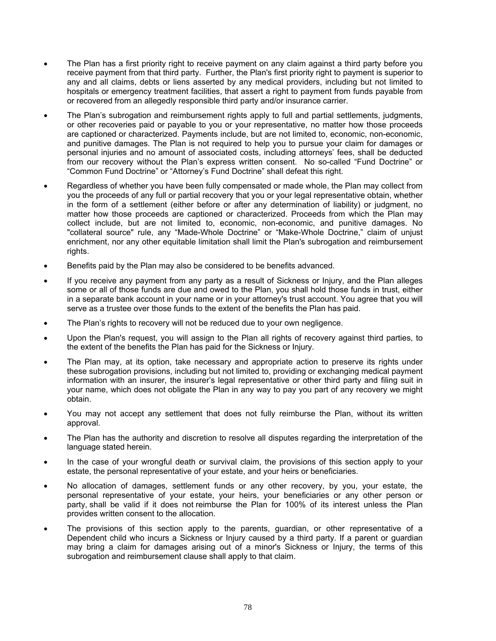- The Plan has a first priority right to receive payment on any claim against a third party before you receive payment from that third party. Further, the Plan's first priority right to payment is superior to any and all claims, debts or liens asserted by any medical providers, including but not limited to hospitals or emergency treatment facilities, that assert a right to payment from funds payable from or recovered from an allegedly responsible third party and/or insurance carrier.
- The Plan's subrogation and reimbursement rights apply to full and partial settlements, judgments, or other recoveries paid or payable to you or your representative, no matter how those proceeds are captioned or characterized. Payments include, but are not limited to, economic, non-economic, and punitive damages. The Plan is not required to help you to pursue your claim for damages or personal injuries and no amount of associated costs, including attorneys' fees, shall be deducted from our recovery without the Plan's express written consent. No so-called "Fund Doctrine" or "Common Fund Doctrine" or "Attorney's Fund Doctrine" shall defeat this right.
- Regardless of whether you have been fully compensated or made whole, the Plan may collect from you the proceeds of any full or partial recovery that you or your legal representative obtain, whether in the form of a settlement (either before or after any determination of liability) or judgment, no matter how those proceeds are captioned or characterized. Proceeds from which the Plan may collect include, but are not limited to, economic, non-economic, and punitive damages. No "collateral source" rule, any "Made-Whole Doctrine" or "Make-Whole Doctrine," claim of unjust enrichment, nor any other equitable limitation shall limit the Plan's subrogation and reimbursement rights.
- Benefits paid by the Plan may also be considered to be benefits advanced.
- If you receive any payment from any party as a result of Sickness or Injury, and the Plan alleges some or all of those funds are due and owed to the Plan, you shall hold those funds in trust, either in a separate bank account in your name or in your attorney's trust account. You agree that you will serve as a trustee over those funds to the extent of the benefits the Plan has paid.
- The Plan's rights to recovery will not be reduced due to your own negligence.
- Upon the Plan's request, you will assign to the Plan all rights of recovery against third parties, to the extent of the benefits the Plan has paid for the Sickness or Injury.
- The Plan may, at its option, take necessary and appropriate action to preserve its rights under these subrogation provisions, including but not limited to, providing or exchanging medical payment information with an insurer, the insurer's legal representative or other third party and filing suit in your name, which does not obligate the Plan in any way to pay you part of any recovery we might obtain.
- You may not accept any settlement that does not fully reimburse the Plan, without its written approval.
- The Plan has the authority and discretion to resolve all disputes regarding the interpretation of the language stated herein.
- In the case of your wrongful death or survival claim, the provisions of this section apply to your estate, the personal representative of your estate, and your heirs or beneficiaries.
- No allocation of damages, settlement funds or any other recovery, by you, your estate, the personal representative of your estate, your heirs, your beneficiaries or any other person or party, shall be valid if it does not reimburse the Plan for 100% of its interest unless the Plan provides written consent to the allocation.
- The provisions of this section apply to the parents, guardian, or other representative of a Dependent child who incurs a Sickness or Injury caused by a third party. If a parent or guardian may bring a claim for damages arising out of a minor's Sickness or Injury, the terms of this subrogation and reimbursement clause shall apply to that claim.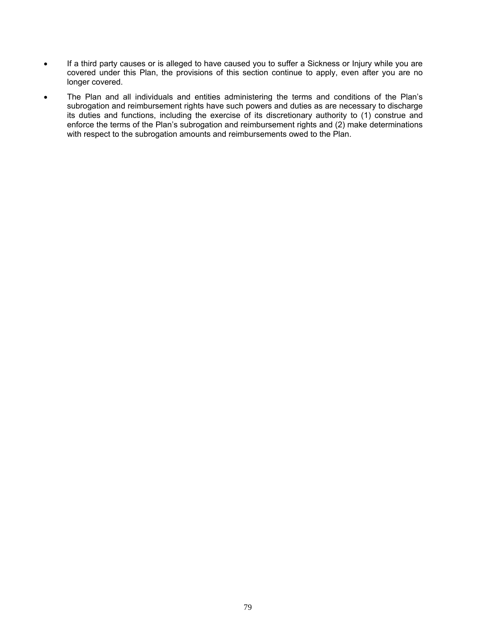- If a third party causes or is alleged to have caused you to suffer a Sickness or Injury while you are covered under this Plan, the provisions of this section continue to apply, even after you are no longer covered.
- The Plan and all individuals and entities administering the terms and conditions of the Plan's subrogation and reimbursement rights have such powers and duties as are necessary to discharge its duties and functions, including the exercise of its discretionary authority to (1) construe and enforce the terms of the Plan's subrogation and reimbursement rights and (2) make determinations with respect to the subrogation amounts and reimbursements owed to the Plan.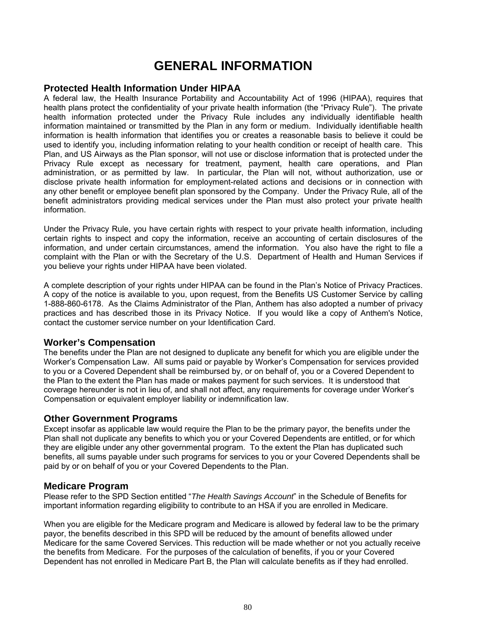# **GENERAL INFORMATION**

#### **Protected Health Information Under HIPAA**

A federal law, the Health Insurance Portability and Accountability Act of 1996 (HIPAA), requires that health plans protect the confidentiality of your private health information (the "Privacy Rule"). The private health information protected under the Privacy Rule includes any individually identifiable health information maintained or transmitted by the Plan in any form or medium. Individually identifiable health information is health information that identifies you or creates a reasonable basis to believe it could be used to identify you, including information relating to your health condition or receipt of health care. This Plan, and US Airways as the Plan sponsor, will not use or disclose information that is protected under the Privacy Rule except as necessary for treatment, payment, health care operations, and Plan administration, or as permitted by law. In particular, the Plan will not, without authorization, use or disclose private health information for employment-related actions and decisions or in connection with any other benefit or employee benefit plan sponsored by the Company. Under the Privacy Rule, all of the benefit administrators providing medical services under the Plan must also protect your private health information.

Under the Privacy Rule, you have certain rights with respect to your private health information, including certain rights to inspect and copy the information, receive an accounting of certain disclosures of the information, and under certain circumstances, amend the information. You also have the right to file a complaint with the Plan or with the Secretary of the U.S. Department of Health and Human Services if you believe your rights under HIPAA have been violated.

A complete description of your rights under HIPAA can be found in the Plan's Notice of Privacy Practices. A copy of the notice is available to you, upon request, from the Benefits US Customer Service by calling 1-888-860-6178. As the Claims Administrator of the Plan, Anthem has also adopted a number of privacy practices and has described those in its Privacy Notice. If you would like a copy of Anthem's Notice, contact the customer service number on your Identification Card.

# **Worker's Compensation**

The benefits under the Plan are not designed to duplicate any benefit for which you are eligible under the Worker's Compensation Law. All sums paid or payable by Worker's Compensation for services provided to you or a Covered Dependent shall be reimbursed by, or on behalf of, you or a Covered Dependent to the Plan to the extent the Plan has made or makes payment for such services. It is understood that coverage hereunder is not in lieu of, and shall not affect, any requirements for coverage under Worker's Compensation or equivalent employer liability or indemnification law.

#### **Other Government Programs**

Except insofar as applicable law would require the Plan to be the primary payor, the benefits under the Plan shall not duplicate any benefits to which you or your Covered Dependents are entitled, or for which they are eligible under any other governmental program. To the extent the Plan has duplicated such benefits, all sums payable under such programs for services to you or your Covered Dependents shall be paid by or on behalf of you or your Covered Dependents to the Plan.

#### **Medicare Program**

Please refer to the SPD Section entitled "*The Health Savings Account*" in the Schedule of Benefits for important information regarding eligibility to contribute to an HSA if you are enrolled in Medicare.

When you are eligible for the Medicare program and Medicare is allowed by federal law to be the primary payor, the benefits described in this SPD will be reduced by the amount of benefits allowed under Medicare for the same Covered Services. This reduction will be made whether or not you actually receive the benefits from Medicare. For the purposes of the calculation of benefits, if you or your Covered Dependent has not enrolled in Medicare Part B, the Plan will calculate benefits as if they had enrolled.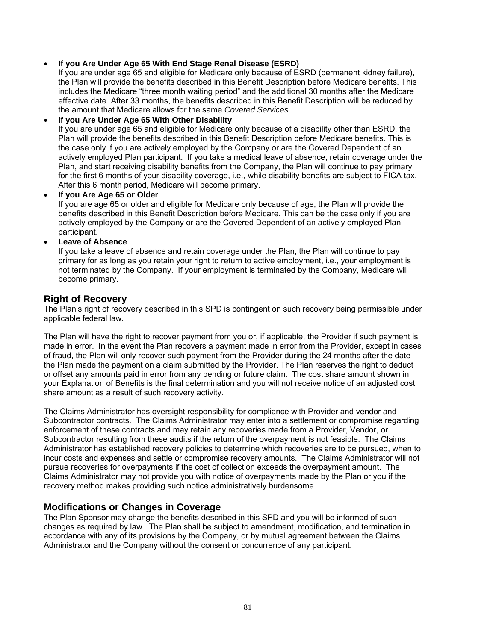#### **If you Are Under Age 65 With End Stage Renal Disease (ESRD)**

If you are under age 65 and eligible for Medicare only because of ESRD (permanent kidney failure), the Plan will provide the benefits described in this Benefit Description before Medicare benefits. This includes the Medicare "three month waiting period" and the additional 30 months after the Medicare effective date. After 33 months, the benefits described in this Benefit Description will be reduced by the amount that Medicare allows for the same *Covered Services*.

#### **If you Are Under Age 65 With Other Disability**

If you are under age 65 and eligible for Medicare only because of a disability other than ESRD, the Plan will provide the benefits described in this Benefit Description before Medicare benefits. This is the case only if you are actively employed by the Company or are the Covered Dependent of an actively employed Plan participant. If you take a medical leave of absence, retain coverage under the Plan, and start receiving disability benefits from the Company, the Plan will continue to pay primary for the first 6 months of your disability coverage, i.e., while disability benefits are subject to FICA tax. After this 6 month period, Medicare will become primary.

#### **If you Are Age 65 or Older**

If you are age 65 or older and eligible for Medicare only because of age, the Plan will provide the benefits described in this Benefit Description before Medicare. This can be the case only if you are actively employed by the Company or are the Covered Dependent of an actively employed Plan participant.

#### **Leave of Absence**

If you take a leave of absence and retain coverage under the Plan, the Plan will continue to pay primary for as long as you retain your right to return to active employment, i.e., your employment is not terminated by the Company. If your employment is terminated by the Company, Medicare will become primary.

# **Right of Recovery**

The Plan's right of recovery described in this SPD is contingent on such recovery being permissible under applicable federal law.

The Plan will have the right to recover payment from you or, if applicable, the Provider if such payment is made in error. In the event the Plan recovers a payment made in error from the Provider, except in cases of fraud, the Plan will only recover such payment from the Provider during the 24 months after the date the Plan made the payment on a claim submitted by the Provider. The Plan reserves the right to deduct or offset any amounts paid in error from any pending or future claim. The cost share amount shown in your Explanation of Benefits is the final determination and you will not receive notice of an adjusted cost share amount as a result of such recovery activity.

The Claims Administrator has oversight responsibility for compliance with Provider and vendor and Subcontractor contracts. The Claims Administrator may enter into a settlement or compromise regarding enforcement of these contracts and may retain any recoveries made from a Provider, Vendor, or Subcontractor resulting from these audits if the return of the overpayment is not feasible. The Claims Administrator has established recovery policies to determine which recoveries are to be pursued, when to incur costs and expenses and settle or compromise recovery amounts. The Claims Administrator will not pursue recoveries for overpayments if the cost of collection exceeds the overpayment amount. The Claims Administrator may not provide you with notice of overpayments made by the Plan or you if the recovery method makes providing such notice administratively burdensome.

# **Modifications or Changes in Coverage**

The Plan Sponsor may change the benefits described in this SPD and you will be informed of such changes as required by law. The Plan shall be subject to amendment, modification, and termination in accordance with any of its provisions by the Company, or by mutual agreement between the Claims Administrator and the Company without the consent or concurrence of any participant.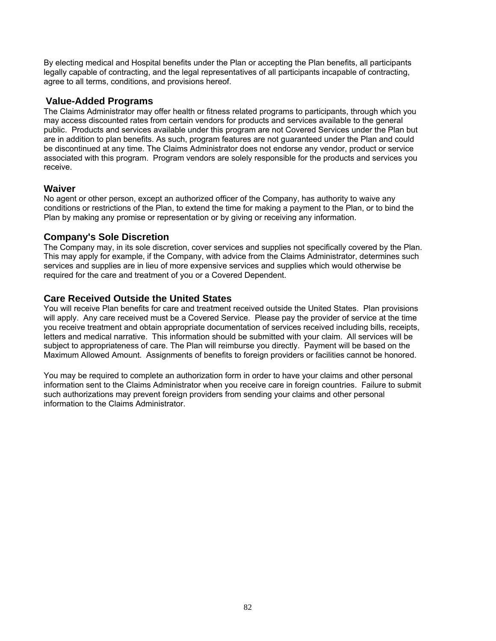By electing medical and Hospital benefits under the Plan or accepting the Plan benefits, all participants legally capable of contracting, and the legal representatives of all participants incapable of contracting, agree to all terms, conditions, and provisions hereof.

# **Value-Added Programs**

The Claims Administrator may offer health or fitness related programs to participants, through which you may access discounted rates from certain vendors for products and services available to the general public. Products and services available under this program are not Covered Services under the Plan but are in addition to plan benefits. As such, program features are not guaranteed under the Plan and could be discontinued at any time. The Claims Administrator does not endorse any vendor, product or service associated with this program. Program vendors are solely responsible for the products and services you receive.

# **Waiver**

No agent or other person, except an authorized officer of the Company, has authority to waive any conditions or restrictions of the Plan, to extend the time for making a payment to the Plan, or to bind the Plan by making any promise or representation or by giving or receiving any information.

# **Company's Sole Discretion**

The Company may, in its sole discretion, cover services and supplies not specifically covered by the Plan. This may apply for example, if the Company, with advice from the Claims Administrator, determines such services and supplies are in lieu of more expensive services and supplies which would otherwise be required for the care and treatment of you or a Covered Dependent.

# **Care Received Outside the United States**

You will receive Plan benefits for care and treatment received outside the United States. Plan provisions will apply. Any care received must be a Covered Service. Please pay the provider of service at the time you receive treatment and obtain appropriate documentation of services received including bills, receipts, letters and medical narrative. This information should be submitted with your claim. All services will be subject to appropriateness of care. The Plan will reimburse you directly. Payment will be based on the Maximum Allowed Amount. Assignments of benefits to foreign providers or facilities cannot be honored.

You may be required to complete an authorization form in order to have your claims and other personal information sent to the Claims Administrator when you receive care in foreign countries. Failure to submit such authorizations may prevent foreign providers from sending your claims and other personal information to the Claims Administrator.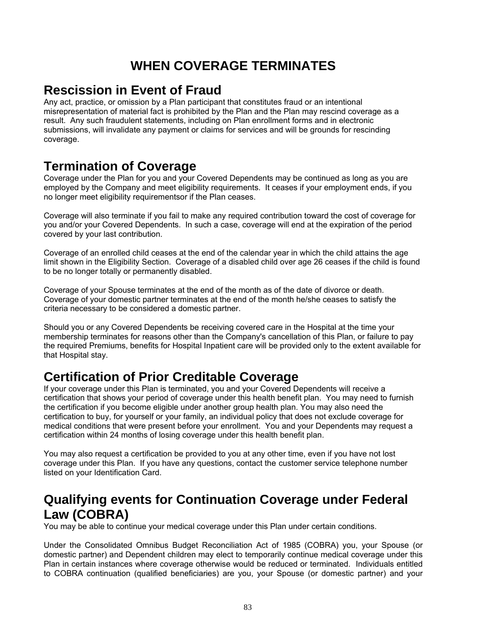# **WHEN COVERAGE TERMINATES**

# **Rescission in Event of Fraud**

Any act, practice, or omission by a Plan participant that constitutes fraud or an intentional misrepresentation of material fact is prohibited by the Plan and the Plan may rescind coverage as a result. Any such fraudulent statements, including on Plan enrollment forms and in electronic submissions, will invalidate any payment or claims for services and will be grounds for rescinding coverage.

# **Termination of Coverage**

Coverage under the Plan for you and your Covered Dependents may be continued as long as you are employed by the Company and meet eligibility requirements. It ceases if your employment ends, if you no longer meet eligibility requirementsor if the Plan ceases.

Coverage will also terminate if you fail to make any required contribution toward the cost of coverage for you and/or your Covered Dependents. In such a case, coverage will end at the expiration of the period covered by your last contribution.

Coverage of an enrolled child ceases at the end of the calendar year in which the child attains the age limit shown in the Eligibility Section. Coverage of a disabled child over age 26 ceases if the child is found to be no longer totally or permanently disabled.

Coverage of your Spouse terminates at the end of the month as of the date of divorce or death. Coverage of your domestic partner terminates at the end of the month he/she ceases to satisfy the criteria necessary to be considered a domestic partner.

Should you or any Covered Dependents be receiving covered care in the Hospital at the time your membership terminates for reasons other than the Company's cancellation of this Plan, or failure to pay the required Premiums, benefits for Hospital Inpatient care will be provided only to the extent available for that Hospital stay.

# **Certification of Prior Creditable Coverage**

If your coverage under this Plan is terminated, you and your Covered Dependents will receive a certification that shows your period of coverage under this health benefit plan. You may need to furnish the certification if you become eligible under another group health plan. You may also need the certification to buy, for yourself or your family, an individual policy that does not exclude coverage for medical conditions that were present before your enrollment. You and your Dependents may request a certification within 24 months of losing coverage under this health benefit plan.

You may also request a certification be provided to you at any other time, even if you have not lost coverage under this Plan. If you have any questions, contact the customer service telephone number listed on your Identification Card.

# **Qualifying events for Continuation Coverage under Federal Law (COBRA)**

You may be able to continue your medical coverage under this Plan under certain conditions.

Under the Consolidated Omnibus Budget Reconciliation Act of 1985 (COBRA) you, your Spouse (or domestic partner) and Dependent children may elect to temporarily continue medical coverage under this Plan in certain instances where coverage otherwise would be reduced or terminated. Individuals entitled to COBRA continuation (qualified beneficiaries) are you, your Spouse (or domestic partner) and your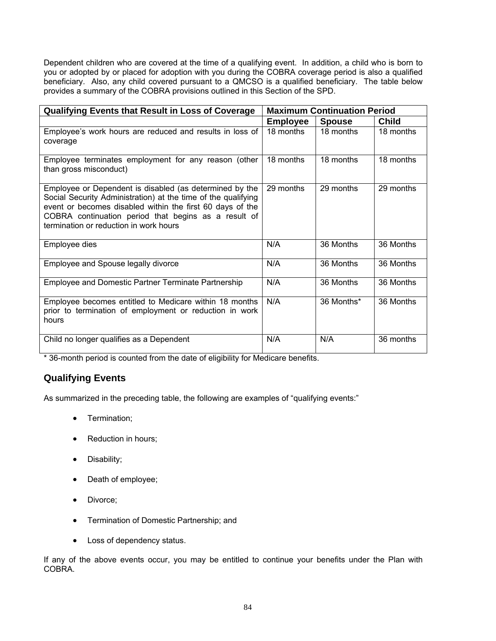Dependent children who are covered at the time of a qualifying event. In addition, a child who is born to you or adopted by or placed for adoption with you during the COBRA coverage period is also a qualified beneficiary. Also, any child covered pursuant to a QMCSO is a qualified beneficiary. The table below provides a summary of the COBRA provisions outlined in this Section of the SPD.

| <b>Qualifying Events that Result in Loss of Coverage</b>                                                                                                                                                                                                                                | <b>Maximum Continuation Period</b> |               |              |
|-----------------------------------------------------------------------------------------------------------------------------------------------------------------------------------------------------------------------------------------------------------------------------------------|------------------------------------|---------------|--------------|
|                                                                                                                                                                                                                                                                                         | <b>Employee</b>                    | <b>Spouse</b> | <b>Child</b> |
| Employee's work hours are reduced and results in loss of<br>coverage                                                                                                                                                                                                                    | 18 months                          | 18 months     | 18 months    |
| Employee terminates employment for any reason (other<br>than gross misconduct)                                                                                                                                                                                                          | 18 months                          | 18 months     | 18 months    |
| Employee or Dependent is disabled (as determined by the<br>Social Security Administration) at the time of the qualifying<br>event or becomes disabled within the first 60 days of the<br>COBRA continuation period that begins as a result of<br>termination or reduction in work hours | 29 months                          | 29 months     | 29 months    |
| Employee dies                                                                                                                                                                                                                                                                           | N/A                                | 36 Months     | 36 Months    |
| Employee and Spouse legally divorce                                                                                                                                                                                                                                                     | N/A                                | 36 Months     | 36 Months    |
| Employee and Domestic Partner Terminate Partnership                                                                                                                                                                                                                                     | N/A                                | 36 Months     | 36 Months    |
| Employee becomes entitled to Medicare within 18 months<br>prior to termination of employment or reduction in work<br>hours                                                                                                                                                              | N/A                                | 36 Months*    | 36 Months    |
| Child no longer qualifies as a Dependent                                                                                                                                                                                                                                                | N/A                                | N/A           | 36 months    |

\* 36-month period is counted from the date of eligibility for Medicare benefits.

# **Qualifying Events**

As summarized in the preceding table, the following are examples of "qualifying events:"

- Termination;
- Reduction in hours;
- Disability;
- Death of employee;
- Divorce:
- **•** Termination of Domestic Partnership; and
- Loss of dependency status.

If any of the above events occur, you may be entitled to continue your benefits under the Plan with COBRA.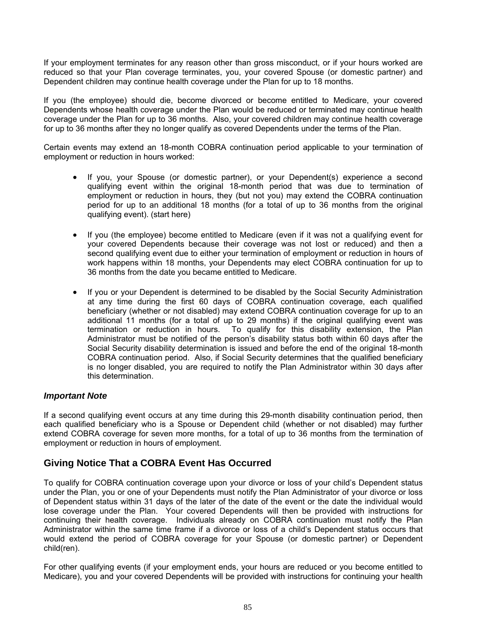If your employment terminates for any reason other than gross misconduct, or if your hours worked are reduced so that your Plan coverage terminates, you, your covered Spouse (or domestic partner) and Dependent children may continue health coverage under the Plan for up to 18 months.

If you (the employee) should die, become divorced or become entitled to Medicare, your covered Dependents whose health coverage under the Plan would be reduced or terminated may continue health coverage under the Plan for up to 36 months. Also, your covered children may continue health coverage for up to 36 months after they no longer qualify as covered Dependents under the terms of the Plan.

Certain events may extend an 18-month COBRA continuation period applicable to your termination of employment or reduction in hours worked:

- If you, your Spouse (or domestic partner), or your Dependent(s) experience a second qualifying event within the original 18-month period that was due to termination of employment or reduction in hours, they (but not you) may extend the COBRA continuation period for up to an additional 18 months (for a total of up to 36 months from the original qualifying event). (start here)
- If you (the employee) become entitled to Medicare (even if it was not a qualifying event for your covered Dependents because their coverage was not lost or reduced) and then a second qualifying event due to either your termination of employment or reduction in hours of work happens within 18 months, your Dependents may elect COBRA continuation for up to 36 months from the date you became entitled to Medicare.
- If you or your Dependent is determined to be disabled by the Social Security Administration at any time during the first 60 days of COBRA continuation coverage, each qualified beneficiary (whether or not disabled) may extend COBRA continuation coverage for up to an additional 11 months (for a total of up to 29 months) if the original qualifying event was termination or reduction in hours. To qualify for this disability extension, the Plan Administrator must be notified of the person's disability status both within 60 days after the Social Security disability determination is issued and before the end of the original 18-month COBRA continuation period. Also, if Social Security determines that the qualified beneficiary is no longer disabled, you are required to notify the Plan Administrator within 30 days after this determination.

# *Important Note*

If a second qualifying event occurs at any time during this 29-month disability continuation period, then each qualified beneficiary who is a Spouse or Dependent child (whether or not disabled) may further extend COBRA coverage for seven more months, for a total of up to 36 months from the termination of employment or reduction in hours of employment.

# **Giving Notice That a COBRA Event Has Occurred**

To qualify for COBRA continuation coverage upon your divorce or loss of your child's Dependent status under the Plan, you or one of your Dependents must notify the Plan Administrator of your divorce or loss of Dependent status within 31 days of the later of the date of the event or the date the individual would lose coverage under the Plan. Your covered Dependents will then be provided with instructions for continuing their health coverage. Individuals already on COBRA continuation must notify the Plan Administrator within the same time frame if a divorce or loss of a child's Dependent status occurs that would extend the period of COBRA coverage for your Spouse (or domestic partner) or Dependent child(ren).

For other qualifying events (if your employment ends, your hours are reduced or you become entitled to Medicare), you and your covered Dependents will be provided with instructions for continuing your health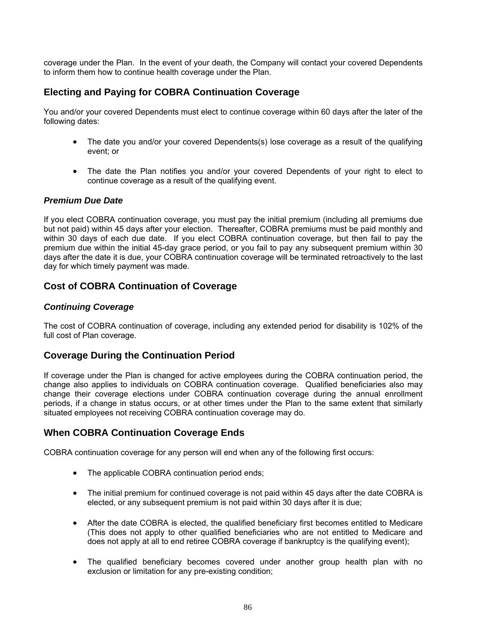coverage under the Plan. In the event of your death, the Company will contact your covered Dependents to inform them how to continue health coverage under the Plan.

# **Electing and Paying for COBRA Continuation Coverage**

You and/or your covered Dependents must elect to continue coverage within 60 days after the later of the following dates:

- The date you and/or your covered Dependents(s) lose coverage as a result of the qualifying event; or
- The date the Plan notifies you and/or your covered Dependents of your right to elect to continue coverage as a result of the qualifying event.

#### *Premium Due Date*

If you elect COBRA continuation coverage, you must pay the initial premium (including all premiums due but not paid) within 45 days after your election. Thereafter, COBRA premiums must be paid monthly and within 30 days of each due date. If you elect COBRA continuation coverage, but then fail to pay the premium due within the initial 45-day grace period, or you fail to pay any subsequent premium within 30 days after the date it is due, your COBRA continuation coverage will be terminated retroactively to the last day for which timely payment was made.

# **Cost of COBRA Continuation of Coverage**

#### *Continuing Coverage*

The cost of COBRA continuation of coverage, including any extended period for disability is 102% of the full cost of Plan coverage.

# **Coverage During the Continuation Period**

If coverage under the Plan is changed for active employees during the COBRA continuation period, the change also applies to individuals on COBRA continuation coverage. Qualified beneficiaries also may change their coverage elections under COBRA continuation coverage during the annual enrollment periods, if a change in status occurs, or at other times under the Plan to the same extent that similarly situated employees not receiving COBRA continuation coverage may do.

# **When COBRA Continuation Coverage Ends**

COBRA continuation coverage for any person will end when any of the following first occurs:

- The applicable COBRA continuation period ends;
- The initial premium for continued coverage is not paid within 45 days after the date COBRA is elected, or any subsequent premium is not paid within 30 days after it is due;
- After the date COBRA is elected, the qualified beneficiary first becomes entitled to Medicare (This does not apply to other qualified beneficiaries who are not entitled to Medicare and does not apply at all to end retiree COBRA coverage if bankruptcy is the qualifying event);
- The qualified beneficiary becomes covered under another group health plan with no exclusion or limitation for any pre-existing condition;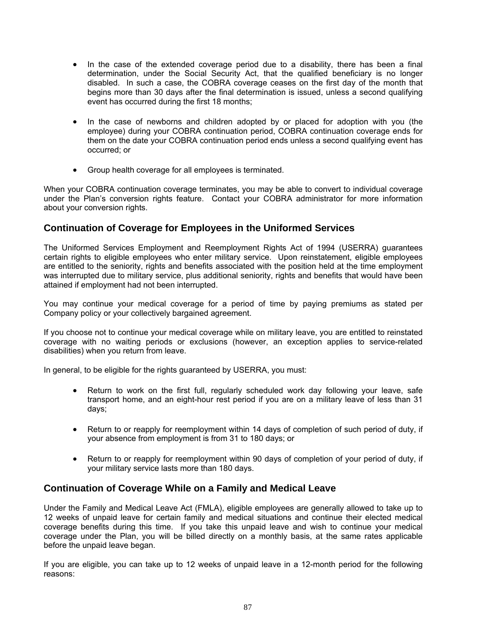- In the case of the extended coverage period due to a disability, there has been a final determination, under the Social Security Act, that the qualified beneficiary is no longer disabled. In such a case, the COBRA coverage ceases on the first day of the month that begins more than 30 days after the final determination is issued, unless a second qualifying event has occurred during the first 18 months;
- In the case of newborns and children adopted by or placed for adoption with you (the employee) during your COBRA continuation period, COBRA continuation coverage ends for them on the date your COBRA continuation period ends unless a second qualifying event has occurred; or
- Group health coverage for all employees is terminated.

When your COBRA continuation coverage terminates, you may be able to convert to individual coverage under the Plan's conversion rights feature. Contact your COBRA administrator for more information about your conversion rights.

# **Continuation of Coverage for Employees in the Uniformed Services**

The Uniformed Services Employment and Reemployment Rights Act of 1994 (USERRA) guarantees certain rights to eligible employees who enter military service. Upon reinstatement, eligible employees are entitled to the seniority, rights and benefits associated with the position held at the time employment was interrupted due to military service, plus additional seniority, rights and benefits that would have been attained if employment had not been interrupted.

You may continue your medical coverage for a period of time by paying premiums as stated per Company policy or your collectively bargained agreement.

If you choose not to continue your medical coverage while on military leave, you are entitled to reinstated coverage with no waiting periods or exclusions (however, an exception applies to service-related disabilities) when you return from leave.

In general, to be eligible for the rights guaranteed by USERRA, you must:

- Return to work on the first full, regularly scheduled work day following your leave, safe transport home, and an eight-hour rest period if you are on a military leave of less than 31 days;
- Return to or reapply for reemployment within 14 days of completion of such period of duty, if your absence from employment is from 31 to 180 days; or
- Return to or reapply for reemployment within 90 days of completion of your period of duty, if your military service lasts more than 180 days.

# **Continuation of Coverage While on a Family and Medical Leave**

Under the Family and Medical Leave Act (FMLA), eligible employees are generally allowed to take up to 12 weeks of unpaid leave for certain family and medical situations and continue their elected medical coverage benefits during this time. If you take this unpaid leave and wish to continue your medical coverage under the Plan, you will be billed directly on a monthly basis, at the same rates applicable before the unpaid leave began.

If you are eligible, you can take up to 12 weeks of unpaid leave in a 12-month period for the following reasons: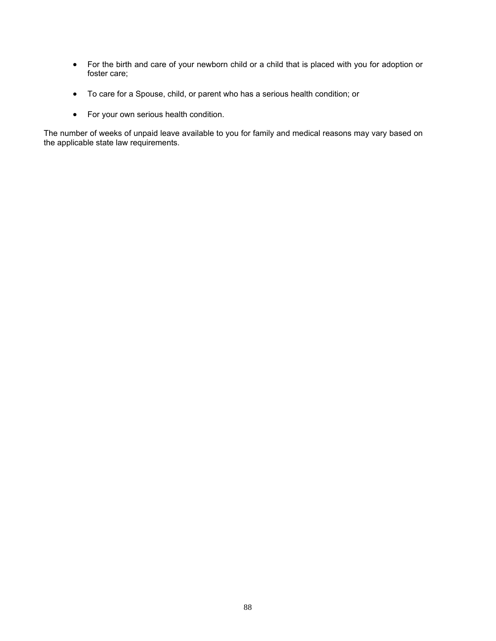- For the birth and care of your newborn child or a child that is placed with you for adoption or foster care;
- To care for a Spouse, child, or parent who has a serious health condition; or
- For your own serious health condition.

The number of weeks of unpaid leave available to you for family and medical reasons may vary based on the applicable state law requirements.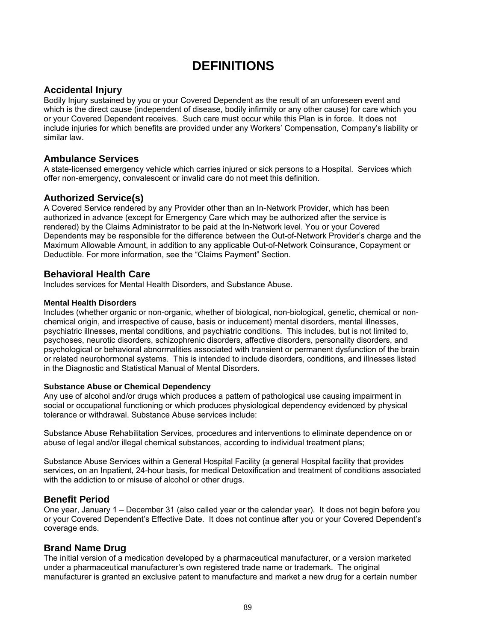# **DEFINITIONS**

# **Accidental Injury**

Bodily Injury sustained by you or your Covered Dependent as the result of an unforeseen event and which is the direct cause (independent of disease, bodily infirmity or any other cause) for care which you or your Covered Dependent receives. Such care must occur while this Plan is in force. It does not include injuries for which benefits are provided under any Workers' Compensation, Company's liability or similar law.

# **Ambulance Services**

A state-licensed emergency vehicle which carries injured or sick persons to a Hospital. Services which offer non-emergency, convalescent or invalid care do not meet this definition.

**Authorized Service(s)**<br>A Covered Service rendered by any Provider other than an In-Network Provider, which has been authorized in advance (except for Emergency Care which may be authorized after the service is rendered) by the Claims Administrator to be paid at the In-Network level. You or your Covered Dependents may be responsible for the difference between the Out-of-Network Provider's charge and the Maximum Allowable Amount, in addition to any applicable Out-of-Network Coinsurance, Copayment or Deductible. For more information, see the "Claims Payment" Section.

# **Behavioral Health Care**

Includes services for Mental Health Disorders, and Substance Abuse.

#### **Mental Health Disorders**

Includes (whether organic or non-organic, whether of biological, non-biological, genetic, chemical or nonchemical origin, and irrespective of cause, basis or inducement) mental disorders, mental illnesses, psychiatric illnesses, mental conditions, and psychiatric conditions. This includes, but is not limited to, psychoses, neurotic disorders, schizophrenic disorders, affective disorders, personality disorders, and psychological or behavioral abnormalities associated with transient or permanent dysfunction of the brain or related neurohormonal systems. This is intended to include disorders, conditions, and illnesses listed in the Diagnostic and Statistical Manual of Mental Disorders.

#### **Substance Abuse or Chemical Dependency**

Any use of alcohol and/or drugs which produces a pattern of pathological use causing impairment in social or occupational functioning or which produces physiological dependency evidenced by physical tolerance or withdrawal. Substance Abuse services include:

Substance Abuse Rehabilitation Services, procedures and interventions to eliminate dependence on or abuse of legal and/or illegal chemical substances, according to individual treatment plans;

Substance Abuse Services within a General Hospital Facility (a general Hospital facility that provides services, on an Inpatient, 24-hour basis, for medical Detoxification and treatment of conditions associated with the addiction to or misuse of alcohol or other drugs.

# **Benefit Period**

One year, January 1 – December 31 (also called year or the calendar year). It does not begin before you or your Covered Dependent's Effective Date. It does not continue after you or your Covered Dependent's coverage ends.

# **Brand Name Drug**

The initial version of a medication developed by a pharmaceutical manufacturer, or a version marketed under a pharmaceutical manufacturer's own registered trade name or trademark. The original manufacturer is granted an exclusive patent to manufacture and market a new drug for a certain number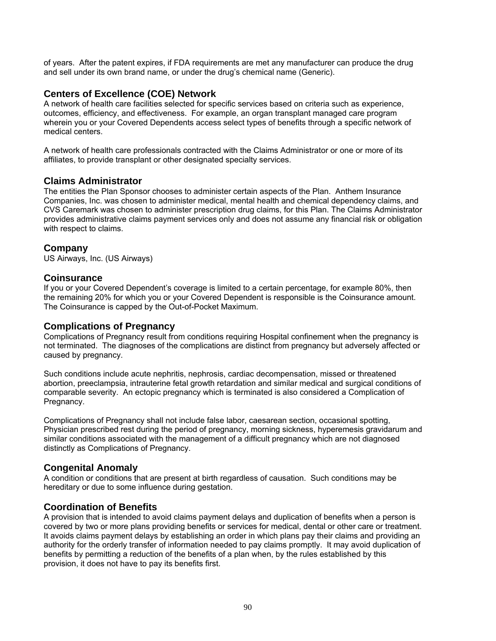of years. After the patent expires, if FDA requirements are met any manufacturer can produce the drug and sell under its own brand name, or under the drug's chemical name (Generic).

# **Centers of Excellence (COE) Network**

A network of health care facilities selected for specific services based on criteria such as experience, outcomes, efficiency, and effectiveness. For example, an organ transplant managed care program wherein you or your Covered Dependents access select types of benefits through a specific network of medical centers.

A network of health care professionals contracted with the Claims Administrator or one or more of its affiliates, to provide transplant or other designated specialty services.

# **Claims Administrator**

The entities the Plan Sponsor chooses to administer certain aspects of the Plan. Anthem Insurance Companies, Inc. was chosen to administer medical, mental health and chemical dependency claims, and CVS Caremark was chosen to administer prescription drug claims, for this Plan. The Claims Administrator provides administrative claims payment services only and does not assume any financial risk or obligation with respect to claims.

# **Company**

US Airways, Inc. (US Airways)

#### **Coinsurance**

If you or your Covered Dependent's coverage is limited to a certain percentage, for example 80%, then the remaining 20% for which you or your Covered Dependent is responsible is the Coinsurance amount. The Coinsurance is capped by the Out-of-Pocket Maximum.

# **Complications of Pregnancy**

Complications of Pregnancy result from conditions requiring Hospital confinement when the pregnancy is not terminated. The diagnoses of the complications are distinct from pregnancy but adversely affected or caused by pregnancy.

Such conditions include acute nephritis, nephrosis, cardiac decompensation, missed or threatened abortion, preeclampsia, intrauterine fetal growth retardation and similar medical and surgical conditions of comparable severity. An ectopic pregnancy which is terminated is also considered a Complication of Pregnancy.

Complications of Pregnancy shall not include false labor, caesarean section, occasional spotting, Physician prescribed rest during the period of pregnancy, morning sickness, hyperemesis gravidarum and similar conditions associated with the management of a difficult pregnancy which are not diagnosed distinctly as Complications of Pregnancy.

# **Congenital Anomaly**

A condition or conditions that are present at birth regardless of causation. Such conditions may be hereditary or due to some influence during gestation.

# **Coordination of Benefits**

A provision that is intended to avoid claims payment delays and duplication of benefits when a person is covered by two or more plans providing benefits or services for medical, dental or other care or treatment. It avoids claims payment delays by establishing an order in which plans pay their claims and providing an authority for the orderly transfer of information needed to pay claims promptly. It may avoid duplication of benefits by permitting a reduction of the benefits of a plan when, by the rules established by this provision, it does not have to pay its benefits first.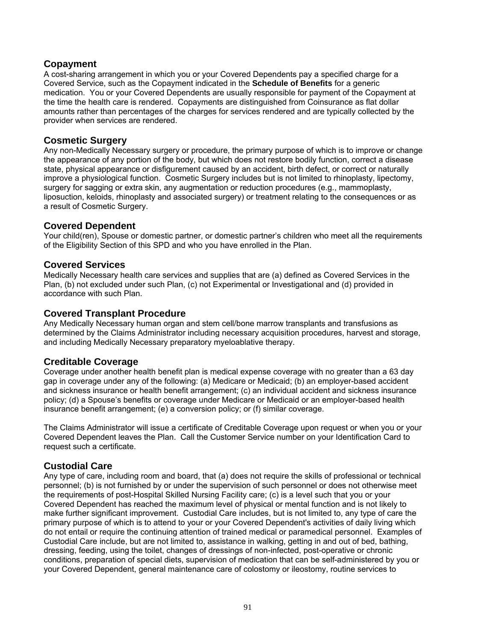# **Copayment**

A cost-sharing arrangement in which you or your Covered Dependents pay a specified charge for a Covered Service, such as the Copayment indicated in the **Schedule of Benefits** for a generic medication. You or your Covered Dependents are usually responsible for payment of the Copayment at the time the health care is rendered. Copayments are distinguished from Coinsurance as flat dollar amounts rather than percentages of the charges for services rendered and are typically collected by the provider when services are rendered.

# **Cosmetic Surgery**

Any non-Medically Necessary surgery or procedure, the primary purpose of which is to improve or change the appearance of any portion of the body, but which does not restore bodily function, correct a disease state, physical appearance or disfigurement caused by an accident, birth defect, or correct or naturally improve a physiological function. Cosmetic Surgery includes but is not limited to rhinoplasty, lipectomy, surgery for sagging or extra skin, any augmentation or reduction procedures (e.g., mammoplasty, liposuction, keloids, rhinoplasty and associated surgery) or treatment relating to the consequences or as a result of Cosmetic Surgery.

# **Covered Dependent**

Your child(ren), Spouse or domestic partner, or domestic partner's children who meet all the requirements of the Eligibility Section of this SPD and who you have enrolled in the Plan.

#### **Covered Services**

Medically Necessary health care services and supplies that are (a) defined as Covered Services in the Plan, (b) not excluded under such Plan, (c) not Experimental or Investigational and (d) provided in accordance with such Plan.

# **Covered Transplant Procedure**

Any Medically Necessary human organ and stem cell/bone marrow transplants and transfusions as determined by the Claims Administrator including necessary acquisition procedures, harvest and storage, and including Medically Necessary preparatory myeloablative therapy.

# **Creditable Coverage**

Coverage under another health benefit plan is medical expense coverage with no greater than a 63 day gap in coverage under any of the following: (a) Medicare or Medicaid; (b) an employer-based accident and sickness insurance or health benefit arrangement; (c) an individual accident and sickness insurance policy; (d) a Spouse's benefits or coverage under Medicare or Medicaid or an employer-based health insurance benefit arrangement; (e) a conversion policy; or (f) similar coverage.

The Claims Administrator will issue a certificate of Creditable Coverage upon request or when you or your Covered Dependent leaves the Plan. Call the Customer Service number on your Identification Card to request such a certificate.

# **Custodial Care**

Any type of care, including room and board, that (a) does not require the skills of professional or technical personnel; (b) is not furnished by or under the supervision of such personnel or does not otherwise meet the requirements of post-Hospital Skilled Nursing Facility care; (c) is a level such that you or your Covered Dependent has reached the maximum level of physical or mental function and is not likely to make further significant improvement. Custodial Care includes, but is not limited to, any type of care the primary purpose of which is to attend to your or your Covered Dependent's activities of daily living which do not entail or require the continuing attention of trained medical or paramedical personnel. Examples of Custodial Care include, but are not limited to, assistance in walking, getting in and out of bed, bathing, dressing, feeding, using the toilet, changes of dressings of non-infected, post-operative or chronic conditions, preparation of special diets, supervision of medication that can be self-administered by you or your Covered Dependent, general maintenance care of colostomy or ileostomy, routine services to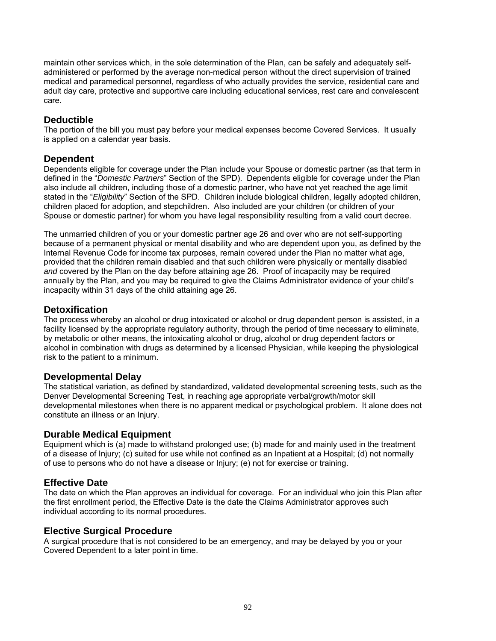maintain other services which, in the sole determination of the Plan, can be safely and adequately selfadministered or performed by the average non-medical person without the direct supervision of trained medical and paramedical personnel, regardless of who actually provides the service, residential care and adult day care, protective and supportive care including educational services, rest care and convalescent care.

# **Deductible**

The portion of the bill you must pay before your medical expenses become Covered Services. It usually is applied on a calendar year basis.

# **Dependent**

Dependents eligible for coverage under the Plan include your Spouse or domestic partner (as that term in defined in the "*Domestic Partners*" Section of the SPD). Dependents eligible for coverage under the Plan also include all children, including those of a domestic partner, who have not yet reached the age limit stated in the "*Eligibility*" Section of the SPD. Children include biological children, legally adopted children, children placed for adoption, and stepchildren. Also included are your children (or children of your Spouse or domestic partner) for whom you have legal responsibility resulting from a valid court decree.

The unmarried children of you or your domestic partner age 26 and over who are not self-supporting because of a permanent physical or mental disability and who are dependent upon you, as defined by the Internal Revenue Code for income tax purposes, remain covered under the Plan no matter what age, provided that the children remain disabled and that such children were physically or mentally disabled *and* covered by the Plan on the day before attaining age 26. Proof of incapacity may be required annually by the Plan, and you may be required to give the Claims Administrator evidence of your child's incapacity within 31 days of the child attaining age 26.

# **Detoxification**

The process whereby an alcohol or drug intoxicated or alcohol or drug dependent person is assisted, in a facility licensed by the appropriate regulatory authority, through the period of time necessary to eliminate, by metabolic or other means, the intoxicating alcohol or drug, alcohol or drug dependent factors or alcohol in combination with drugs as determined by a licensed Physician, while keeping the physiological risk to the patient to a minimum.

# **Developmental Delay**

The statistical variation, as defined by standardized, validated developmental screening tests, such as the Denver Developmental Screening Test, in reaching age appropriate verbal/growth/motor skill developmental milestones when there is no apparent medical or psychological problem. It alone does not constitute an illness or an Injury.

# **Durable Medical Equipment**

Equipment which is (a) made to withstand prolonged use; (b) made for and mainly used in the treatment of a disease of Injury; (c) suited for use while not confined as an Inpatient at a Hospital; (d) not normally of use to persons who do not have a disease or Injury; (e) not for exercise or training.

# **Effective Date**

The date on which the Plan approves an individual for coverage. For an individual who join this Plan after the first enrollment period, the Effective Date is the date the Claims Administrator approves such individual according to its normal procedures.

# **Elective Surgical Procedure**

A surgical procedure that is not considered to be an emergency, and may be delayed by you or your Covered Dependent to a later point in time.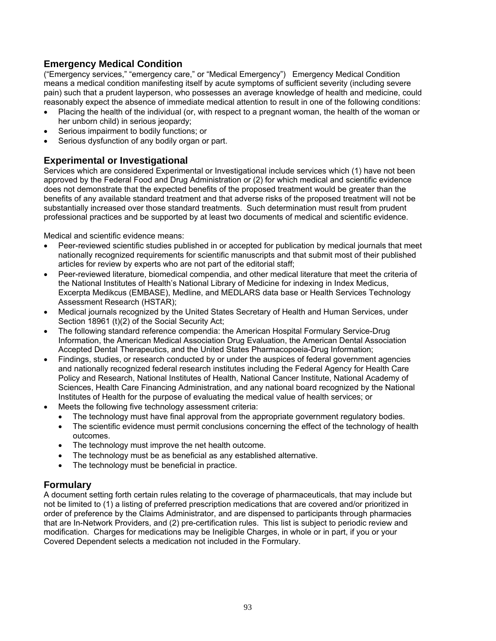# **Emergency Medical Condition**

("Emergency services," "emergency care," or "Medical Emergency") Emergency Medical Condition means a medical condition manifesting itself by acute symptoms of sufficient severity (including severe pain) such that a prudent layperson, who possesses an average knowledge of health and medicine, could reasonably expect the absence of immediate medical attention to result in one of the following conditions:

- Placing the health of the individual (or, with respect to a pregnant woman, the health of the woman or her unborn child) in serious jeopardy;
- Serious impairment to bodily functions; or
- Serious dysfunction of any bodily organ or part.

# **Experimental or Investigational**

Services which are considered Experimental or Investigational include services which (1) have not been approved by the Federal Food and Drug Administration or (2) for which medical and scientific evidence does not demonstrate that the expected benefits of the proposed treatment would be greater than the benefits of any available standard treatment and that adverse risks of the proposed treatment will not be substantially increased over those standard treatments. Such determination must result from prudent professional practices and be supported by at least two documents of medical and scientific evidence.

Medical and scientific evidence means:

- Peer-reviewed scientific studies published in or accepted for publication by medical journals that meet nationally recognized requirements for scientific manuscripts and that submit most of their published articles for review by experts who are not part of the editorial staff;
- Peer-reviewed literature, biomedical compendia, and other medical literature that meet the criteria of the National Institutes of Health's National Library of Medicine for indexing in Index Medicus, Excerpta Medikcus (EMBASE), Medline, and MEDLARS data base or Health Services Technology Assessment Research (HSTAR);
- Medical journals recognized by the United States Secretary of Health and Human Services, under Section 18961 (t)(2) of the Social Security Act;
- The following standard reference compendia: the American Hospital Formulary Service-Drug Information, the American Medical Association Drug Evaluation, the American Dental Association Accepted Dental Therapeutics, and the United States Pharmacopoeia-Drug Information;
- Findings, studies, or research conducted by or under the auspices of federal government agencies and nationally recognized federal research institutes including the Federal Agency for Health Care Policy and Research, National Institutes of Health, National Cancer Institute, National Academy of Sciences, Health Care Financing Administration, and any national board recognized by the National Institutes of Health for the purpose of evaluating the medical value of health services; or
- Meets the following five technology assessment criteria:
	- The technology must have final approval from the appropriate government regulatory bodies.
	- The scientific evidence must permit conclusions concerning the effect of the technology of health outcomes.
	- The technology must improve the net health outcome.
	- The technology must be as beneficial as any established alternative.
	- The technology must be beneficial in practice.

# **Formulary**

A document setting forth certain rules relating to the coverage of pharmaceuticals, that may include but not be limited to (1) a listing of preferred prescription medications that are covered and/or prioritized in order of preference by the Claims Administrator, and are dispensed to participants through pharmacies that are In-Network Providers, and (2) pre-certification rules. This list is subject to periodic review and modification. Charges for medications may be Ineligible Charges, in whole or in part, if you or your Covered Dependent selects a medication not included in the Formulary.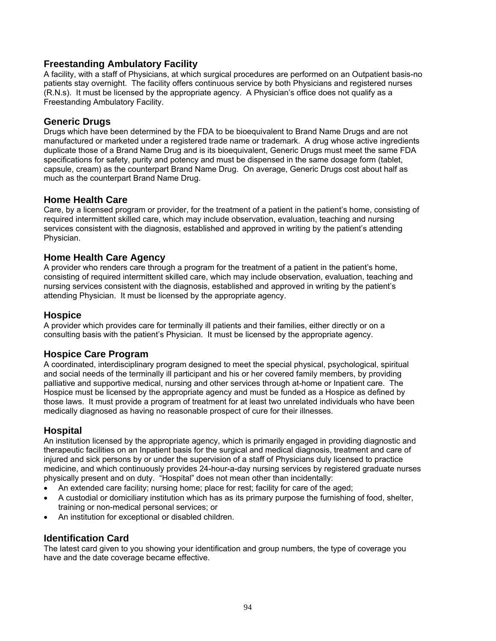# **Freestanding Ambulatory Facility**

A facility, with a staff of Physicians, at which surgical procedures are performed on an Outpatient basis-no patients stay overnight. The facility offers continuous service by both Physicians and registered nurses (R.N.s). It must be licensed by the appropriate agency. A Physician's office does not qualify as a Freestanding Ambulatory Facility.

#### **Generic Drugs**

Drugs which have been determined by the FDA to be bioequivalent to Brand Name Drugs and are not manufactured or marketed under a registered trade name or trademark. A drug whose active ingredients duplicate those of a Brand Name Drug and is its bioequivalent, Generic Drugs must meet the same FDA specifications for safety, purity and potency and must be dispensed in the same dosage form (tablet, capsule, cream) as the counterpart Brand Name Drug. On average, Generic Drugs cost about half as much as the counterpart Brand Name Drug.

# **Home Health Care**

Care, by a licensed program or provider, for the treatment of a patient in the patient's home, consisting of required intermittent skilled care, which may include observation, evaluation, teaching and nursing services consistent with the diagnosis, established and approved in writing by the patient's attending Physician.

# **Home Health Care Agency**

A provider who renders care through a program for the treatment of a patient in the patient's home, consisting of required intermittent skilled care, which may include observation, evaluation, teaching and nursing services consistent with the diagnosis, established and approved in writing by the patient's attending Physician. It must be licensed by the appropriate agency.

# **Hospice**

A provider which provides care for terminally ill patients and their families, either directly or on a consulting basis with the patient's Physician. It must be licensed by the appropriate agency.

# **Hospice Care Program**

A coordinated, interdisciplinary program designed to meet the special physical, psychological, spiritual and social needs of the terminally ill participant and his or her covered family members, by providing palliative and supportive medical, nursing and other services through at-home or Inpatient care. The Hospice must be licensed by the appropriate agency and must be funded as a Hospice as defined by those laws. It must provide a program of treatment for at least two unrelated individuals who have been medically diagnosed as having no reasonable prospect of cure for their illnesses.

# **Hospital**

An institution licensed by the appropriate agency, which is primarily engaged in providing diagnostic and therapeutic facilities on an Inpatient basis for the surgical and medical diagnosis, treatment and care of injured and sick persons by or under the supervision of a staff of Physicians duly licensed to practice medicine, and which continuously provides 24-hour-a-day nursing services by registered graduate nurses physically present and on duty. "Hospital" does not mean other than incidentally:

- An extended care facility; nursing home; place for rest; facility for care of the aged;
- A custodial or domiciliary institution which has as its primary purpose the furnishing of food, shelter, training or non-medical personal services; or
- An institution for exceptional or disabled children.

# **Identification Card**

The latest card given to you showing your identification and group numbers, the type of coverage you have and the date coverage became effective.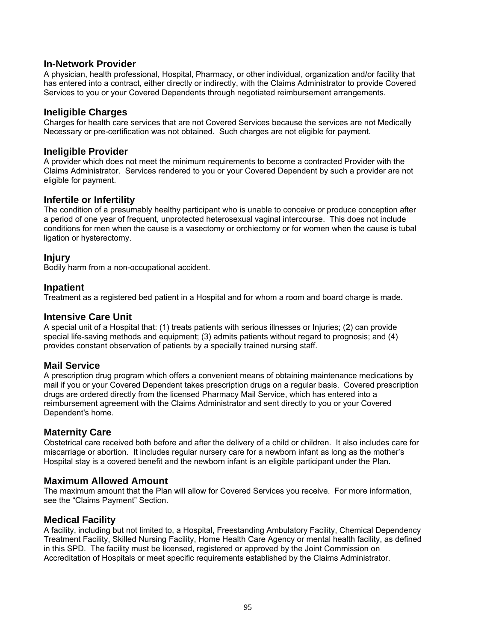#### **In-Network Provider**

A physician, health professional, Hospital, Pharmacy, or other individual, organization and/or facility that has entered into a contract, either directly or indirectly, with the Claims Administrator to provide Covered Services to you or your Covered Dependents through negotiated reimbursement arrangements.

#### **Ineligible Charges**

Charges for health care services that are not Covered Services because the services are not Medically Necessary or pre-certification was not obtained. Such charges are not eligible for payment.

#### **Ineligible Provider**

A provider which does not meet the minimum requirements to become a contracted Provider with the Claims Administrator. Services rendered to you or your Covered Dependent by such a provider are not eligible for payment.

#### **Infertile or Infertility**

The condition of a presumably healthy participant who is unable to conceive or produce conception after a period of one year of frequent, unprotected heterosexual vaginal intercourse. This does not include conditions for men when the cause is a vasectomy or orchiectomy or for women when the cause is tubal ligation or hysterectomy.

#### **Injury**

Bodily harm from a non-occupational accident.

#### **Inpatient**

Treatment as a registered bed patient in a Hospital and for whom a room and board charge is made.

#### **Intensive Care Unit**

A special unit of a Hospital that: (1) treats patients with serious illnesses or Injuries; (2) can provide special life-saving methods and equipment; (3) admits patients without regard to prognosis; and (4) provides constant observation of patients by a specially trained nursing staff.

# **Mail Service**

A prescription drug program which offers a convenient means of obtaining maintenance medications by mail if you or your Covered Dependent takes prescription drugs on a regular basis. Covered prescription drugs are ordered directly from the licensed Pharmacy Mail Service, which has entered into a reimbursement agreement with the Claims Administrator and sent directly to you or your Covered Dependent's home.

# **Maternity Care**

Obstetrical care received both before and after the delivery of a child or children. It also includes care for miscarriage or abortion. It includes regular nursery care for a newborn infant as long as the mother's Hospital stay is a covered benefit and the newborn infant is an eligible participant under the Plan.

#### **Maximum Allowed Amount**

The maximum amount that the Plan will allow for Covered Services you receive. For more information, see the "Claims Payment" Section.

#### **Medical Facility**

A facility, including but not limited to, a Hospital, Freestanding Ambulatory Facility, Chemical Dependency Treatment Facility, Skilled Nursing Facility, Home Health Care Agency or mental health facility, as defined in this SPD. The facility must be licensed, registered or approved by the Joint Commission on Accreditation of Hospitals or meet specific requirements established by the Claims Administrator.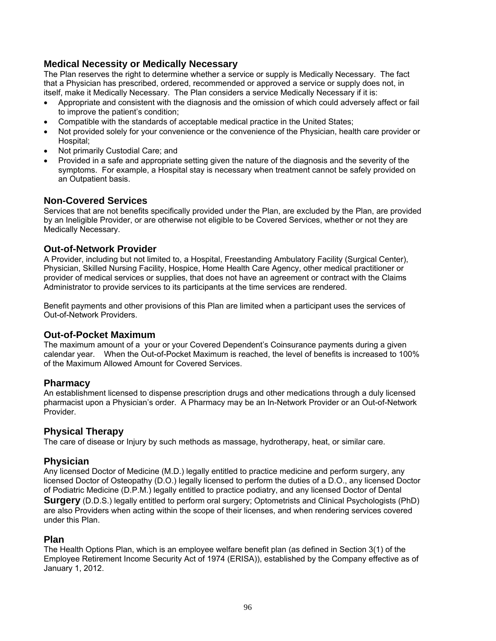# **Medical Necessity or Medically Necessary**

The Plan reserves the right to determine whether a service or supply is Medically Necessary. The fact that a Physician has prescribed, ordered, recommended or approved a service or supply does not, in itself, make it Medically Necessary. The Plan considers a service Medically Necessary if it is:

- Appropriate and consistent with the diagnosis and the omission of which could adversely affect or fail to improve the patient's condition;
- Compatible with the standards of acceptable medical practice in the United States;
- Not provided solely for your convenience or the convenience of the Physician, health care provider or Hospital;
- Not primarily Custodial Care; and
- Provided in a safe and appropriate setting given the nature of the diagnosis and the severity of the symptoms. For example, a Hospital stay is necessary when treatment cannot be safely provided on an Outpatient basis.

#### **Non-Covered Services**

Services that are not benefits specifically provided under the Plan, are excluded by the Plan, are provided by an Ineligible Provider, or are otherwise not eligible to be Covered Services, whether or not they are Medically Necessary.

#### **Out-of-Network Provider**

A Provider, including but not limited to, a Hospital, Freestanding Ambulatory Facility (Surgical Center), Physician, Skilled Nursing Facility, Hospice, Home Health Care Agency, other medical practitioner or provider of medical services or supplies, that does not have an agreement or contract with the Claims Administrator to provide services to its participants at the time services are rendered.

Benefit payments and other provisions of this Plan are limited when a participant uses the services of Out-of-Network Providers.

#### **Out-of-Pocket Maximum**

The maximum amount of a your or your Covered Dependent's Coinsurance payments during a given calendar year. When the Out-of-Pocket Maximum is reached, the level of benefits is increased to 100% of the Maximum Allowed Amount for Covered Services.

**Pharmacy**<br>An establishment licensed to dispense prescription drugs and other medications through a duly licensed pharmacist upon a Physician's order. A Pharmacy may be an In-Network Provider or an Out-of-Network Provider.

# **Physical Therapy**

The care of disease or Injury by such methods as massage, hydrotherapy, heat, or similar care.

# **Physician**

Any licensed Doctor of Medicine (M.D.) legally entitled to practice medicine and perform surgery, any licensed Doctor of Osteopathy (D.O.) legally licensed to perform the duties of a D.O., any licensed Doctor of Podiatric Medicine (D.P.M.) legally entitled to practice podiatry, and any licensed Doctor of Dental **Surgery** (D.D.S.) legally entitled to perform oral surgery; Optometrists and Clinical Psychologists (PhD) are also Providers when acting within the scope of their licenses, and when rendering services covered

under this Plan.

#### **Plan**

The Health Options Plan, which is an employee welfare benefit plan (as defined in Section 3(1) of the Employee Retirement Income Security Act of 1974 (ERISA)), established by the Company effective as of January 1, 2012.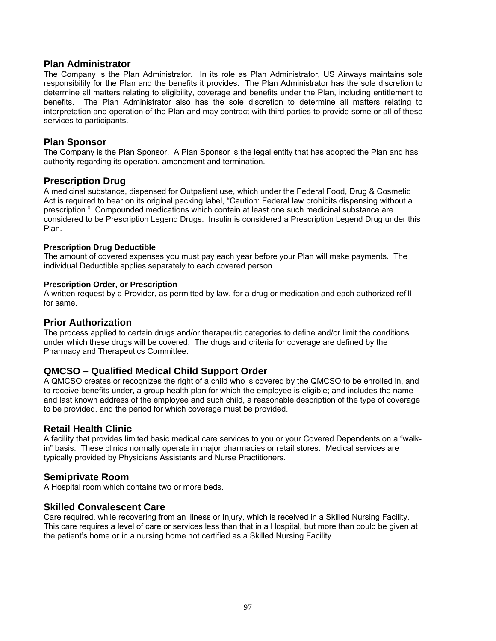#### **Plan Administrator**

The Company is the Plan Administrator. In its role as Plan Administrator, US Airways maintains sole responsibility for the Plan and the benefits it provides. The Plan Administrator has the sole discretion to determine all matters relating to eligibility, coverage and benefits under the Plan, including entitlement to benefits. The Plan Administrator also has the sole discretion to determine all matters relating to interpretation and operation of the Plan and may contract with third parties to provide some or all of these services to participants.

# **Plan Sponsor**

The Company is the Plan Sponsor. A Plan Sponsor is the legal entity that has adopted the Plan and has authority regarding its operation, amendment and termination.

#### **Prescription Drug**

A medicinal substance, dispensed for Outpatient use, which under the Federal Food, Drug & Cosmetic Act is required to bear on its original packing label, "Caution: Federal law prohibits dispensing without a prescription." Compounded medications which contain at least one such medicinal substance are considered to be Prescription Legend Drugs. Insulin is considered a Prescription Legend Drug under this Plan.

#### **Prescription Drug Deductible**

The amount of covered expenses you must pay each year before your Plan will make payments. The individual Deductible applies separately to each covered person.

#### **Prescription Order, or Prescription**

A written request by a Provider, as permitted by law, for a drug or medication and each authorized refill for same.

**Prior Authorization**<br>The process applied to certain drugs and/or therapeutic categories to define and/or limit the conditions under which these drugs will be covered. The drugs and criteria for coverage are defined by the Pharmacy and Therapeutics Committee.

# **QMCSO – Qualified Medical Child Support Order**

A QMCSO creates or recognizes the right of a child who is covered by the QMCSO to be enrolled in, and to receive benefits under, a group health plan for which the employee is eligible; and includes the name and last known address of the employee and such child, a reasonable description of the type of coverage to be provided, and the period for which coverage must be provided.

#### **Retail Health Clinic**

A facility that provides limited basic medical care services to you or your Covered Dependents on a "walkin" basis. These clinics normally operate in major pharmacies or retail stores. Medical services are typically provided by Physicians Assistants and Nurse Practitioners.

# **Semiprivate Room**

A Hospital room which contains two or more beds.

#### **Skilled Convalescent Care**

Care required, while recovering from an illness or Injury, which is received in a Skilled Nursing Facility. This care requires a level of care or services less than that in a Hospital, but more than could be given at the patient's home or in a nursing home not certified as a Skilled Nursing Facility.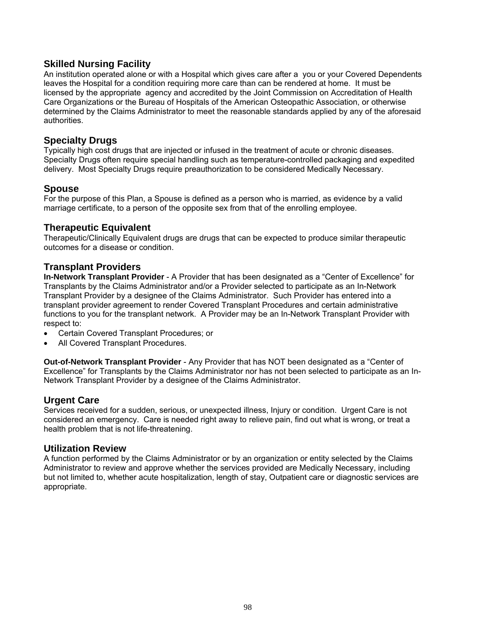# **Skilled Nursing Facility**

An institution operated alone or with a Hospital which gives care after a you or your Covered Dependents leaves the Hospital for a condition requiring more care than can be rendered at home. It must be licensed by the appropriate agency and accredited by the Joint Commission on Accreditation of Health Care Organizations or the Bureau of Hospitals of the American Osteopathic Association, or otherwise determined by the Claims Administrator to meet the reasonable standards applied by any of the aforesaid authorities.

# **Specialty Drugs**

Typically high cost drugs that are injected or infused in the treatment of acute or chronic diseases. Specialty Drugs often require special handling such as temperature-controlled packaging and expedited delivery. Most Specialty Drugs require preauthorization to be considered Medically Necessary.

# **Spouse**

For the purpose of this Plan, a Spouse is defined as a person who is married, as evidence by a valid marriage certificate, to a person of the opposite sex from that of the enrolling employee.

#### **Therapeutic Equivalent**

Therapeutic/Clinically Equivalent drugs are drugs that can be expected to produce similar therapeutic outcomes for a disease or condition.

# **Transplant Providers**

**In-Network Transplant Provider** - A Provider that has been designated as a "Center of Excellence" for Transplants by the Claims Administrator and/or a Provider selected to participate as an In-Network Transplant Provider by a designee of the Claims Administrator. Such Provider has entered into a transplant provider agreement to render Covered Transplant Procedures and certain administrative functions to you for the transplant network. A Provider may be an In-Network Transplant Provider with respect to:

- Certain Covered Transplant Procedures; or
- All Covered Transplant Procedures.

**Out-of-Network Transplant Provider** - Any Provider that has NOT been designated as a "Center of Excellence" for Transplants by the Claims Administrator nor has not been selected to participate as an In-Network Transplant Provider by a designee of the Claims Administrator.

# **Urgent Care**

Services received for a sudden, serious, or unexpected illness, Injury or condition. Urgent Care is not considered an emergency. Care is needed right away to relieve pain, find out what is wrong, or treat a health problem that is not life-threatening.

#### **Utilization Review**

A function performed by the Claims Administrator or by an organization or entity selected by the Claims Administrator to review and approve whether the services provided are Medically Necessary, including but not limited to, whether acute hospitalization, length of stay, Outpatient care or diagnostic services are appropriate.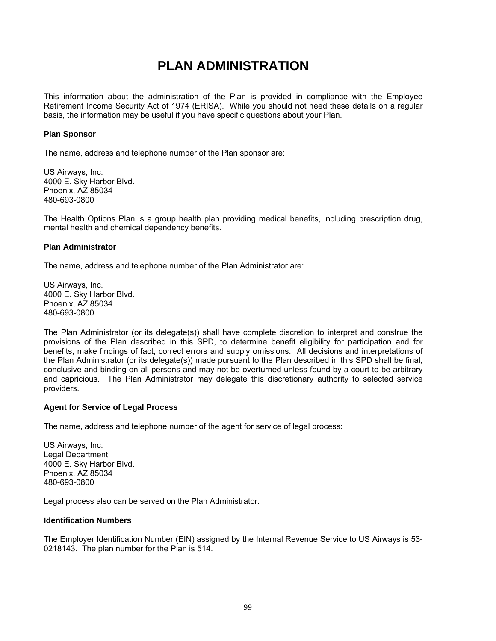# **PLAN ADMINISTRATION**

This information about the administration of the Plan is provided in compliance with the Employee Retirement Income Security Act of 1974 (ERISA). While you should not need these details on a regular basis, the information may be useful if you have specific questions about your Plan.

#### **Plan Sponsor**

The name, address and telephone number of the Plan sponsor are:

US Airways, Inc. 4000 E. Sky Harbor Blvd. Phoenix, AZ 85034 480-693-0800

The Health Options Plan is a group health plan providing medical benefits, including prescription drug, mental health and chemical dependency benefits.

#### **Plan Administrator**

The name, address and telephone number of the Plan Administrator are:

US Airways, Inc. 4000 E. Sky Harbor Blvd. Phoenix, AZ 85034 480-693-0800

The Plan Administrator (or its delegate(s)) shall have complete discretion to interpret and construe the provisions of the Plan described in this SPD, to determine benefit eligibility for participation and for benefits, make findings of fact, correct errors and supply omissions. All decisions and interpretations of the Plan Administrator (or its delegate(s)) made pursuant to the Plan described in this SPD shall be final, conclusive and binding on all persons and may not be overturned unless found by a court to be arbitrary and capricious. The Plan Administrator may delegate this discretionary authority to selected service providers.

#### **Agent for Service of Legal Process**

The name, address and telephone number of the agent for service of legal process:

US Airways, Inc. Legal Department 4000 E. Sky Harbor Blvd. Phoenix, AZ 85034 480-693-0800

Legal process also can be served on the Plan Administrator.

#### **Identification Numbers**

The Employer Identification Number (EIN) assigned by the Internal Revenue Service to US Airways is 53- 0218143. The plan number for the Plan is 514.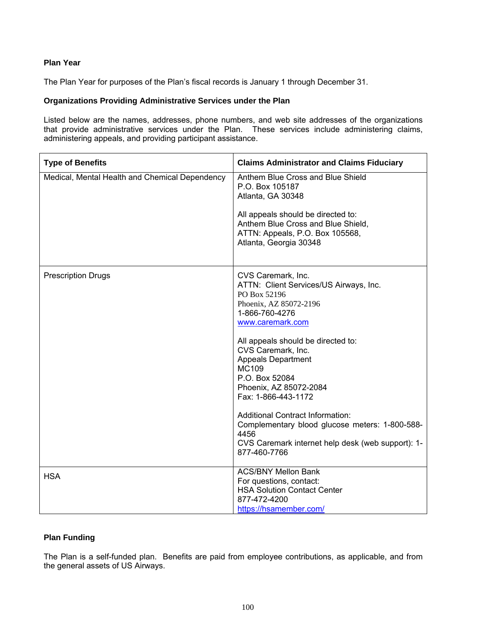#### **Plan Year**

The Plan Year for purposes of the Plan's fiscal records is January 1 through December 31.

#### **Organizations Providing Administrative Services under the Plan**

Listed below are the names, addresses, phone numbers, and web site addresses of the organizations that provide administrative services under the Plan. These services include administering claims, administering appeals, and providing participant assistance.

| <b>Type of Benefits</b>                        | <b>Claims Administrator and Claims Fiduciary</b>                                                                                                                                                                    |  |
|------------------------------------------------|---------------------------------------------------------------------------------------------------------------------------------------------------------------------------------------------------------------------|--|
| Medical, Mental Health and Chemical Dependency | Anthem Blue Cross and Blue Shield<br>P.O. Box 105187<br>Atlanta, GA 30348                                                                                                                                           |  |
|                                                | All appeals should be directed to:<br>Anthem Blue Cross and Blue Shield,<br>ATTN: Appeals, P.O. Box 105568,<br>Atlanta, Georgia 30348                                                                               |  |
| <b>Prescription Drugs</b>                      | CVS Caremark, Inc.<br>ATTN: Client Services/US Airways, Inc.<br>PO Box 52196<br>Phoenix, AZ 85072-2196<br>1-866-760-4276<br>www.caremark.com                                                                        |  |
|                                                | All appeals should be directed to:<br>CVS Caremark, Inc.<br><b>Appeals Department</b><br><b>MC109</b><br>P.O. Box 52084<br>Phoenix, AZ 85072-2084<br>Fax: 1-866-443-1172<br><b>Additional Contract Information:</b> |  |
|                                                | Complementary blood glucose meters: 1-800-588-<br>4456<br>CVS Caremark internet help desk (web support): 1-<br>877-460-7766                                                                                         |  |
| <b>HSA</b>                                     | <b>ACS/BNY Mellon Bank</b><br>For questions, contact:<br><b>HSA Solution Contact Center</b><br>877-472-4200<br>https://hsamember.com/                                                                               |  |

#### **Plan Funding**

The Plan is a self-funded plan. Benefits are paid from employee contributions, as applicable, and from the general assets of US Airways.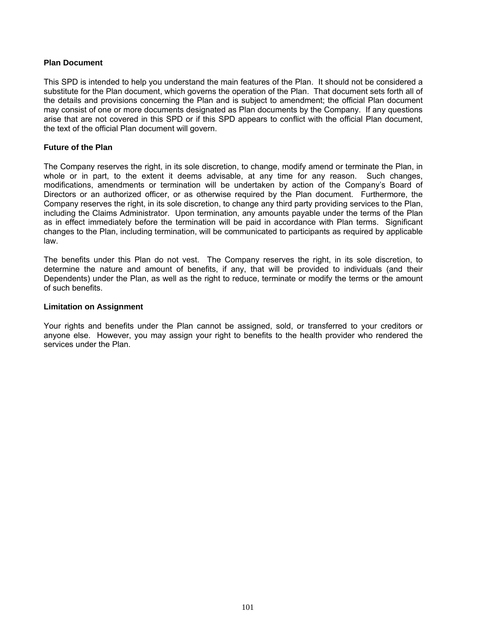#### **Plan Document**

This SPD is intended to help you understand the main features of the Plan. It should not be considered a substitute for the Plan document, which governs the operation of the Plan. That document sets forth all of the details and provisions concerning the Plan and is subject to amendment; the official Plan document may consist of one or more documents designated as Plan documents by the Company. If any questions arise that are not covered in this SPD or if this SPD appears to conflict with the official Plan document, the text of the official Plan document will govern.

#### **Future of the Plan**

The Company reserves the right, in its sole discretion, to change, modify amend or terminate the Plan, in whole or in part, to the extent it deems advisable, at any time for any reason. Such changes, modifications, amendments or termination will be undertaken by action of the Company's Board of Directors or an authorized officer, or as otherwise required by the Plan document. Furthermore, the Company reserves the right, in its sole discretion, to change any third party providing services to the Plan, including the Claims Administrator. Upon termination, any amounts payable under the terms of the Plan as in effect immediately before the termination will be paid in accordance with Plan terms. Significant changes to the Plan, including termination, will be communicated to participants as required by applicable law.

The benefits under this Plan do not vest. The Company reserves the right, in its sole discretion, to determine the nature and amount of benefits, if any, that will be provided to individuals (and their Dependents) under the Plan, as well as the right to reduce, terminate or modify the terms or the amount of such benefits.

#### **Limitation on Assignment**

Your rights and benefits under the Plan cannot be assigned, sold, or transferred to your creditors or anyone else. However, you may assign your right to benefits to the health provider who rendered the services under the Plan.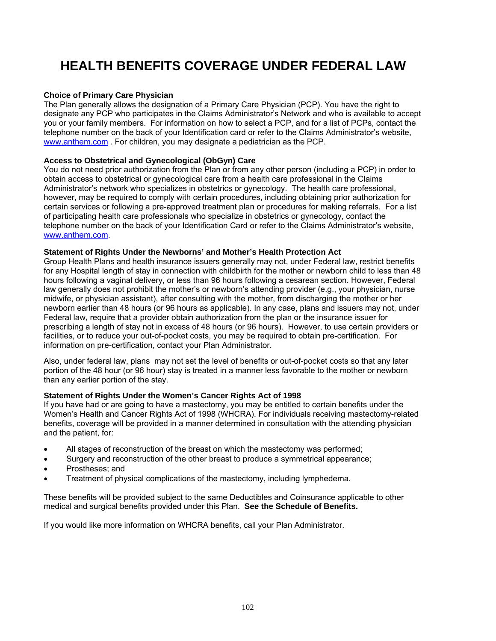# **HEALTH BENEFITS COVERAGE UNDER FEDERAL LAW**

#### **Choice of Primary Care Physician**

The Plan generally allows the designation of a Primary Care Physician (PCP). You have the right to designate any PCP who participates in the Claims Administrator's Network and who is available to accept you or your family members. For information on how to select a PCP, and for a list of PCPs, contact the telephone number on the back of your Identification card or refer to the Claims Administrator's website, www.anthem.com . For children, you may designate a pediatrician as the PCP.

#### **Access to Obstetrical and Gynecological (ObGyn) Care**

You do not need prior authorization from the Plan or from any other person (including a PCP) in order to obtain access to obstetrical or gynecological care from a health care professional in the Claims Administrator's network who specializes in obstetrics or gynecology. The health care professional, however, may be required to comply with certain procedures, including obtaining prior authorization for certain services or following a pre-approved treatment plan or procedures for making referrals. For a list of participating health care professionals who specialize in obstetrics or gynecology, contact the telephone number on the back of your Identification Card or refer to the Claims Administrator's website, www.anthem.com.

#### **Statement of Rights Under the Newborns' and Mother's Health Protection Act**

Group Health Plans and health insurance issuers generally may not, under Federal law, restrict benefits for any Hospital length of stay in connection with childbirth for the mother or newborn child to less than 48 hours following a vaginal delivery, or less than 96 hours following a cesarean section. However, Federal law generally does not prohibit the mother's or newborn's attending provider (e.g., your physician, nurse midwife, or physician assistant), after consulting with the mother, from discharging the mother or her newborn earlier than 48 hours (or 96 hours as applicable). In any case, plans and issuers may not, under Federal law, require that a provider obtain authorization from the plan or the insurance issuer for prescribing a length of stay not in excess of 48 hours (or 96 hours). However, to use certain providers or facilities, or to reduce your out-of-pocket costs, you may be required to obtain pre-certification. For information on pre-certification, contact your Plan Administrator.

Also, under federal law, plans may not set the level of benefits or out-of-pocket costs so that any later portion of the 48 hour (or 96 hour) stay is treated in a manner less favorable to the mother or newborn than any earlier portion of the stay.

#### **Statement of Rights Under the Women's Cancer Rights Act of 1998**

If you have had or are going to have a mastectomy, you may be entitled to certain benefits under the Women's Health and Cancer Rights Act of 1998 (WHCRA). For individuals receiving mastectomy-related benefits, coverage will be provided in a manner determined in consultation with the attending physician and the patient, for:

- All stages of reconstruction of the breast on which the mastectomy was performed;
- Surgery and reconstruction of the other breast to produce a symmetrical appearance;
- Prostheses; and
- Treatment of physical complications of the mastectomy, including lymphedema.

These benefits will be provided subject to the same Deductibles and Coinsurance applicable to other medical and surgical benefits provided under this Plan. **See the Schedule of Benefits.**

If you would like more information on WHCRA benefits, call your Plan Administrator.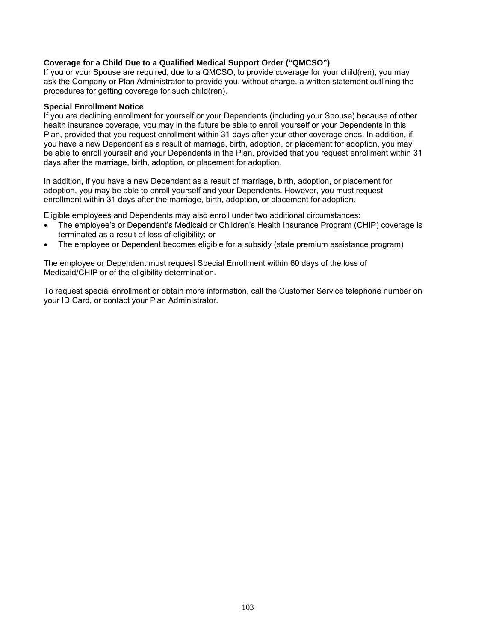#### **Coverage for a Child Due to a Qualified Medical Support Order ("QMCSO")**

If you or your Spouse are required, due to a QMCSO, to provide coverage for your child(ren), you may ask the Company or Plan Administrator to provide you, without charge, a written statement outlining the procedures for getting coverage for such child(ren).

#### **Special Enrollment Notice**

If you are declining enrollment for yourself or your Dependents (including your Spouse) because of other health insurance coverage, you may in the future be able to enroll yourself or your Dependents in this Plan, provided that you request enrollment within 31 days after your other coverage ends. In addition, if you have a new Dependent as a result of marriage, birth, adoption, or placement for adoption, you may be able to enroll yourself and your Dependents in the Plan, provided that you request enrollment within 31 days after the marriage, birth, adoption, or placement for adoption.

In addition, if you have a new Dependent as a result of marriage, birth, adoption, or placement for adoption, you may be able to enroll yourself and your Dependents. However, you must request enrollment within 31 days after the marriage, birth, adoption, or placement for adoption.

Eligible employees and Dependents may also enroll under two additional circumstances:

- The employee's or Dependent's Medicaid or Children's Health Insurance Program (CHIP) coverage is terminated as a result of loss of eligibility; or
- The employee or Dependent becomes eligible for a subsidy (state premium assistance program)

The employee or Dependent must request Special Enrollment within 60 days of the loss of Medicaid/CHIP or of the eligibility determination.

To request special enrollment or obtain more information, call the Customer Service telephone number on your ID Card, or contact your Plan Administrator.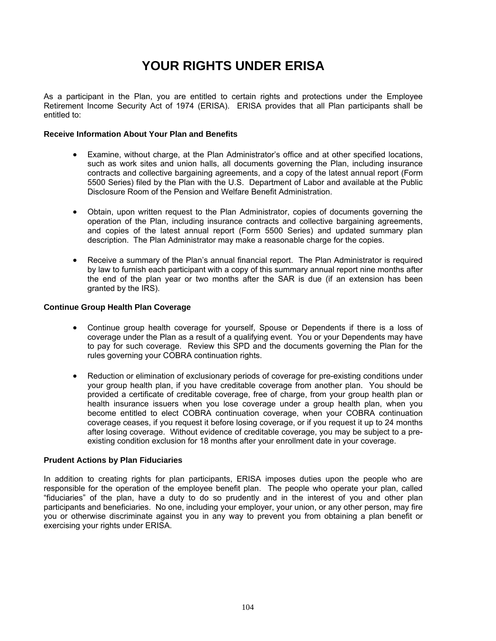# **YOUR RIGHTS UNDER ERISA**

As a participant in the Plan, you are entitled to certain rights and protections under the Employee Retirement Income Security Act of 1974 (ERISA). ERISA provides that all Plan participants shall be entitled to:

#### **Receive Information About Your Plan and Benefits**

- Examine, without charge, at the Plan Administrator's office and at other specified locations, such as work sites and union halls, all documents governing the Plan, including insurance contracts and collective bargaining agreements, and a copy of the latest annual report (Form 5500 Series) filed by the Plan with the U.S. Department of Labor and available at the Public Disclosure Room of the Pension and Welfare Benefit Administration.
- Obtain, upon written request to the Plan Administrator, copies of documents governing the operation of the Plan, including insurance contracts and collective bargaining agreements, and copies of the latest annual report (Form 5500 Series) and updated summary plan description. The Plan Administrator may make a reasonable charge for the copies.
- Receive a summary of the Plan's annual financial report. The Plan Administrator is required by law to furnish each participant with a copy of this summary annual report nine months after the end of the plan year or two months after the SAR is due (if an extension has been granted by the IRS).

#### **Continue Group Health Plan Coverage**

- Continue group health coverage for yourself, Spouse or Dependents if there is a loss of coverage under the Plan as a result of a qualifying event. You or your Dependents may have to pay for such coverage. Review this SPD and the documents governing the Plan for the rules governing your COBRA continuation rights.
- Reduction or elimination of exclusionary periods of coverage for pre-existing conditions under your group health plan, if you have creditable coverage from another plan. You should be provided a certificate of creditable coverage, free of charge, from your group health plan or health insurance issuers when you lose coverage under a group health plan, when you become entitled to elect COBRA continuation coverage, when your COBRA continuation coverage ceases, if you request it before losing coverage, or if you request it up to 24 months after losing coverage. Without evidence of creditable coverage, you may be subject to a preexisting condition exclusion for 18 months after your enrollment date in your coverage.

#### **Prudent Actions by Plan Fiduciaries**

In addition to creating rights for plan participants, ERISA imposes duties upon the people who are responsible for the operation of the employee benefit plan. The people who operate your plan, called "fiduciaries" of the plan, have a duty to do so prudently and in the interest of you and other plan participants and beneficiaries. No one, including your employer, your union, or any other person, may fire you or otherwise discriminate against you in any way to prevent you from obtaining a plan benefit or exercising your rights under ERISA.